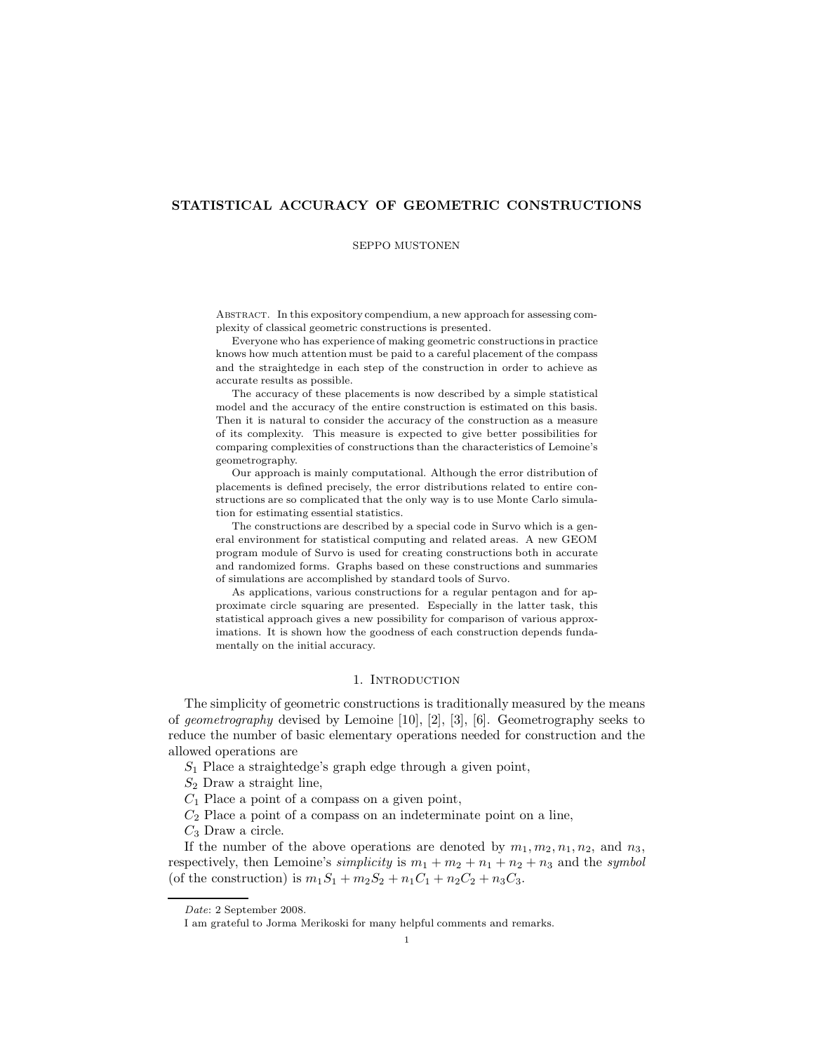# STATISTICAL ACCURACY OF GEOMETRIC CONSTRUCTIONS

### SEPPO MUSTONEN

Abstract. In this expository compendium, a new approach for assessing complexity of classical geometric constructions is presented.

Everyone who has experience of making geometric constructions in practice knows how much attention must be paid to a careful placement of the compass and the straightedge in each step of the construction in order to achieve as accurate results as possible.

The accuracy of these placements is now described by a simple statistical model and the accuracy of the entire construction is estimated on this basis. Then it is natural to consider the accuracy of the construction as a measure of its complexity. This measure is expected to give better possibilities for comparing complexities of constructions than the characteristics of Lemoine's geometrography.

Our approach is mainly computational. Although the error distribution of placements is defined precisely, the error distributions related to entire constructions are so complicated that the only way is to use Monte Carlo simulation for estimating essential statistics.

The constructions are described by a special code in Survo which is a general environment for statistical computing and related areas. A new GEOM program module of Survo is used for creating constructions both in accurate and randomized forms. Graphs based on these constructions and summaries of simulations are accomplished by standard tools of Survo.

As applications, various constructions for a regular pentagon and for approximate circle squaring are presented. Especially in the latter task, this statistical approach gives a new possibility for comparison of various approximations. It is shown how the goodness of each construction depends fundamentally on the initial accuracy.

# 1. INTRODUCTION

The simplicity of geometric constructions is traditionally measured by the means of geometrography devised by Lemoine  $[10]$ ,  $[2]$ ,  $[3]$ ,  $[6]$ . Geometrography seeks to reduce the number of basic elementary operations needed for construction and the allowed operations are

 $S_1$  Place a straightedge's graph edge through a given point,

 $S_2$  Draw a straight line,

 $C_1$  Place a point of a compass on a given point,

 $C_2$  Place a point of a compass on an indeterminate point on a line,

 $C_3$  Draw a circle.

If the number of the above operations are denoted by  $m_1, m_2, n_1, n_2$ , and  $n_3$ , respectively, then Lemoine's simplicity is  $m_1 + m_2 + n_1 + n_2 + n_3$  and the symbol (of the construction) is  $m_1S_1 + m_2S_2 + n_1C_1 + n_2C_2 + n_3C_3$ .

Date: 2 September 2008.

I am grateful to Jorma Merikoski for many helpful comments and remarks.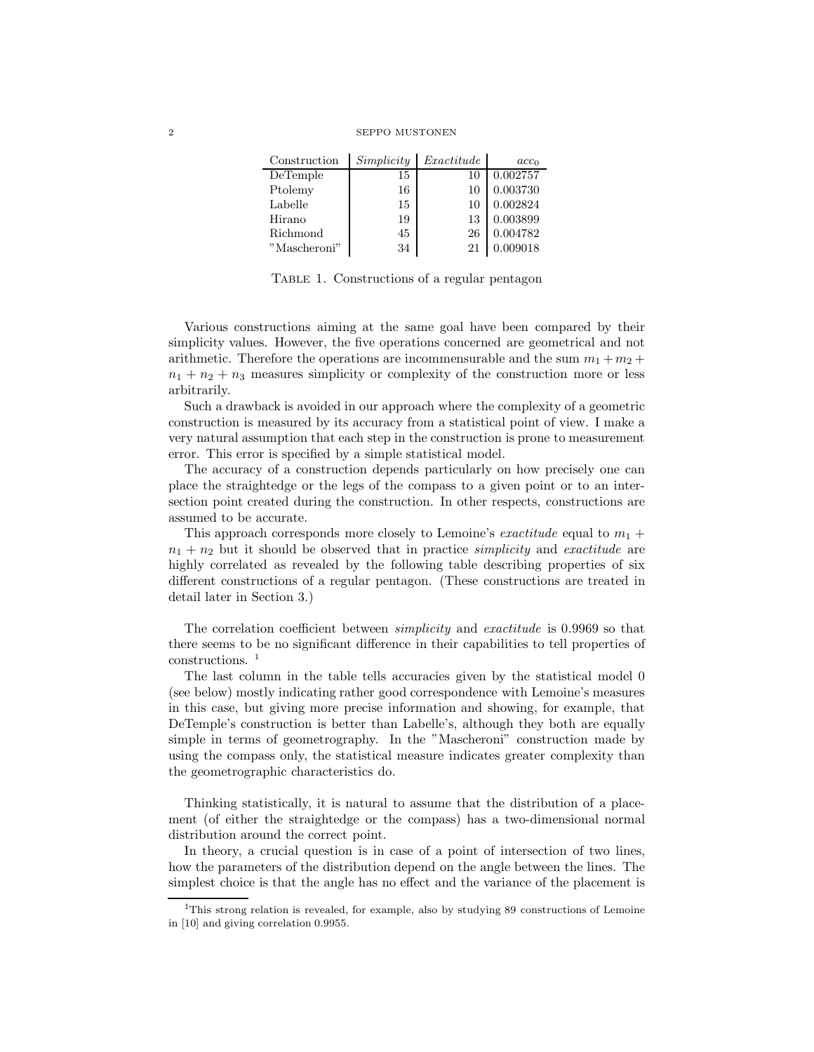| Construction | Simplicity | Exactitude | acc <sub>0</sub> |
|--------------|------------|------------|------------------|
| DeTemple     | 15         |            | 0.002757         |
| Ptolemy      | 16         | 10         | 0.003730         |
| Labelle      | 15         | 10         | 0.002824         |
| Hirano       | 19         | 13         | 0.003899         |
| Richmond     | 45         | 26         | 0.004782         |
| "Mascheroni" | 34         |            | .009018          |

Table 1. Constructions of a regular pentagon

Various constructions aiming at the same goal have been compared by their simplicity values. However, the five operations concerned are geometrical and not arithmetic. Therefore the operations are incommensurable and the sum  $m_1 + m_2 +$  $n_1 + n_2 + n_3$  measures simplicity or complexity of the construction more or less arbitrarily.

Such a drawback is avoided in our approach where the complexity of a geometric construction is measured by its accuracy from a statistical point of view. I make a very natural assumption that each step in the construction is prone to measurement error. This error is specified by a simple statistical model.

The accuracy of a construction depends particularly on how precisely one can place the straightedge or the legs of the compass to a given point or to an intersection point created during the construction. In other respects, constructions are assumed to be accurate.

This approach corresponds more closely to Lemoine's *exactitude* equal to  $m_1 +$  $n_1 + n_2$  but it should be observed that in practice *simplicity* and *exactitude* are highly correlated as revealed by the following table describing properties of six different constructions of a regular pentagon. (These constructions are treated in detail later in Section 3.)

The correlation coefficient between *simplicity* and *exactitude* is 0.9969 so that there seems to be no significant difference in their capabilities to tell properties of constructions.<sup>1</sup>

The last column in the table tells accuracies given by the statistical model 0 (see below) mostly indicating rather good correspondence with Lemoine's measures in this case, but giving more precise information and showing, for example, that DeTemple's construction is better than Labelle's, although they both are equally simple in terms of geometrography. In the "Mascheroni" construction made by using the compass only, the statistical measure indicates greater complexity than the geometrographic characteristics do.

Thinking statistically, it is natural to assume that the distribution of a placement (of either the straightedge or the compass) has a two-dimensional normal distribution around the correct point.

In theory, a crucial question is in case of a point of intersection of two lines, how the parameters of the distribution depend on the angle between the lines. The simplest choice is that the angle has no effect and the variance of the placement is

<sup>&</sup>lt;sup>1</sup>This strong relation is revealed, for example, also by studying 89 constructions of Lemoine in [10] and giving correlation 0.9955.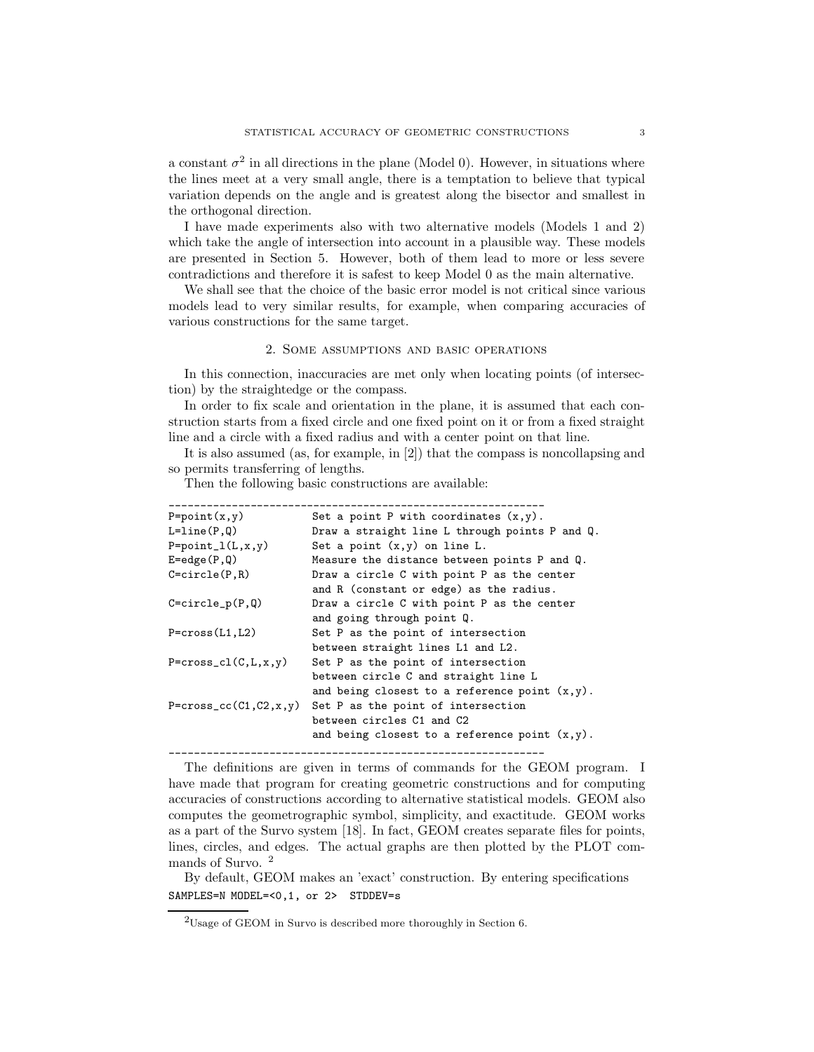a constant  $\sigma^2$  in all directions in the plane (Model 0). However, in situations where the lines meet at a very small angle, there is a temptation to believe that typical variation depends on the angle and is greatest along the bisector and smallest in the orthogonal direction.

I have made experiments also with two alternative models (Models 1 and 2) which take the angle of intersection into account in a plausible way. These models are presented in Section 5. However, both of them lead to more or less severe contradictions and therefore it is safest to keep Model 0 as the main alternative.

We shall see that the choice of the basic error model is not critical since various models lead to very similar results, for example, when comparing accuracies of various constructions for the same target.

## 2. Some assumptions and basic operations

In this connection, inaccuracies are met only when locating points (of intersection) by the straightedge or the compass.

In order to fix scale and orientation in the plane, it is assumed that each construction starts from a fixed circle and one fixed point on it or from a fixed straight line and a circle with a fixed radius and with a center point on that line.

It is also assumed (as, for example, in [2]) that the compass is noncollapsing and so permits transferring of lengths.

Then the following basic constructions are available:

| $P = point(x, y)$           | Set a point P with coordinates $(x,y)$ .         |
|-----------------------------|--------------------------------------------------|
| $L=line(P, Q)$              | Draw a straight line L through points P and Q.   |
| $P = point_1(L, x, y)$      | Set a point $(x,y)$ on line L.                   |
| $E = edge(P, Q)$            | Measure the distance between points P and Q.     |
| $C = circle(P, R)$          | Draw a circle C with point P as the center       |
|                             | and R (constant or edge) as the radius.          |
| $C = circle_p(P, Q)$        | Draw a circle C with point P as the center       |
|                             | and going through point Q.                       |
| $P = cross(L1, L2)$         | Set P as the point of intersection               |
|                             | between straight lines L1 and L2.                |
| $P = cross_cl(C, L, x, y)$  | Set P as the point of intersection               |
|                             | between circle C and straight line L             |
|                             | and being closest to a reference point $(x,y)$ . |
| $P = cross_c(C1, C2, x, y)$ | Set P as the point of intersection               |
|                             | between circles C1 and C2                        |
|                             | and being closest to a reference point $(x,y)$ . |
|                             |                                                  |

The definitions are given in terms of commands for the GEOM program. I have made that program for creating geometric constructions and for computing accuracies of constructions according to alternative statistical models. GEOM also computes the geometrographic symbol, simplicity, and exactitude. GEOM works as a part of the Survo system [18]. In fact, GEOM creates separate files for points, lines, circles, and edges. The actual graphs are then plotted by the PLOT commands of Survo. <sup>2</sup>

By default, GEOM makes an 'exact' construction. By entering specifications SAMPLES=N MODEL=<0,1, or 2> STDDEV=s

<sup>2</sup>Usage of GEOM in Survo is described more thoroughly in Section 6.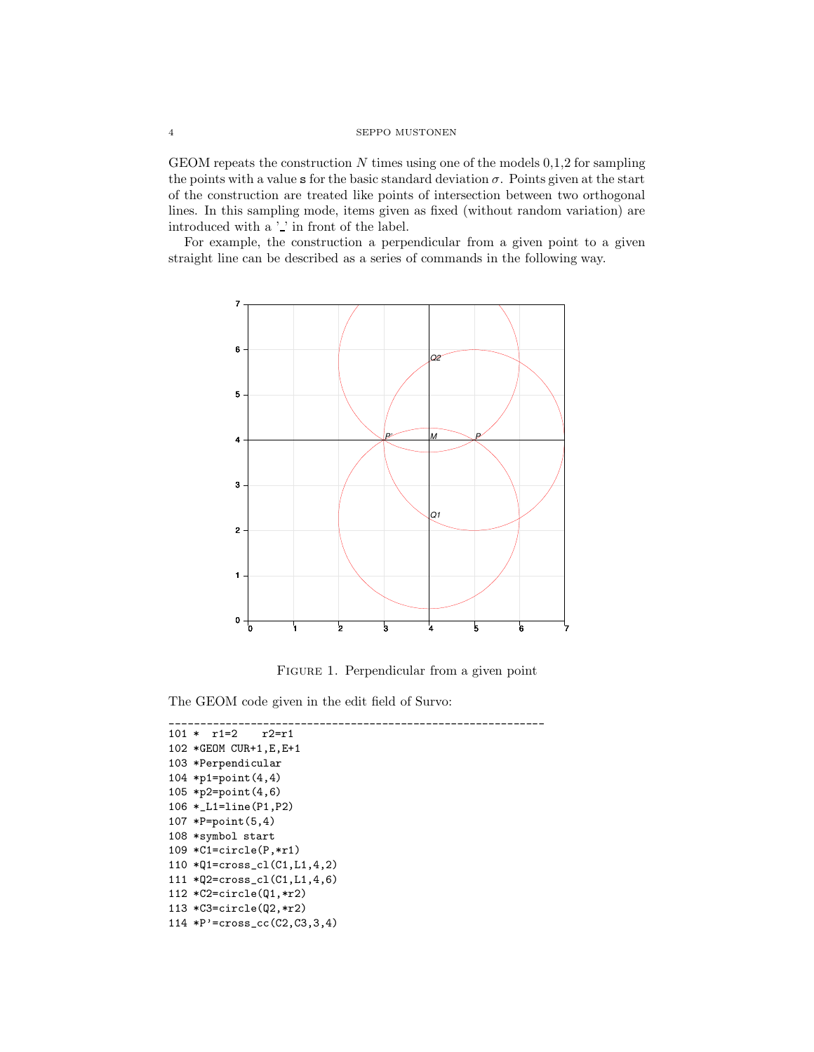GEOM repeats the construction  $N$  times using one of the models  $0,1,2$  for sampling the points with a value s for the basic standard deviation  $\sigma$ . Points given at the start of the construction are treated like points of intersection between two orthogonal lines. In this sampling mode, items given as fixed (without random variation) are introduced with a  $\cdot$  ' in front of the label.

For example, the construction a perpendicular from a given point to a given straight line can be described as a series of commands in the following way.



FIGURE 1. Perpendicular from a given point

The GEOM code given in the edit field of Survo:

\_\_\_\_\_\_\_\_\_\_\_\_\_\_\_\_\_\_\_\_\_\_\_\_\_\_\_\_\_\_\_\_\_\_\_\_\_\_\_\_\_\_\_\_\_\_\_\_\_\_\_\_\_\_\_\_\_\_\_\_

```
101 * r1=2 r2=r1102 *GEOM CUR+1,E,E+1
103 *Perpendicular
104 *p1=point(4,4)
105 *p2=point(4,6)
106 *_L1=line(P1,P2)
107 *P=point(5,4)
108 *symbol start
109 *C1=circle(P,*r1)
110 *Q1=cross_cl(C1,L1,4,2)
111 *Q2=cross_cl(C1,L1,4,6)
112 *C2=circle(Q1,*r2)
113 *C3=circle(Q2,*r2)
114 *P'=cross_cc(C2,C3,3,4)
```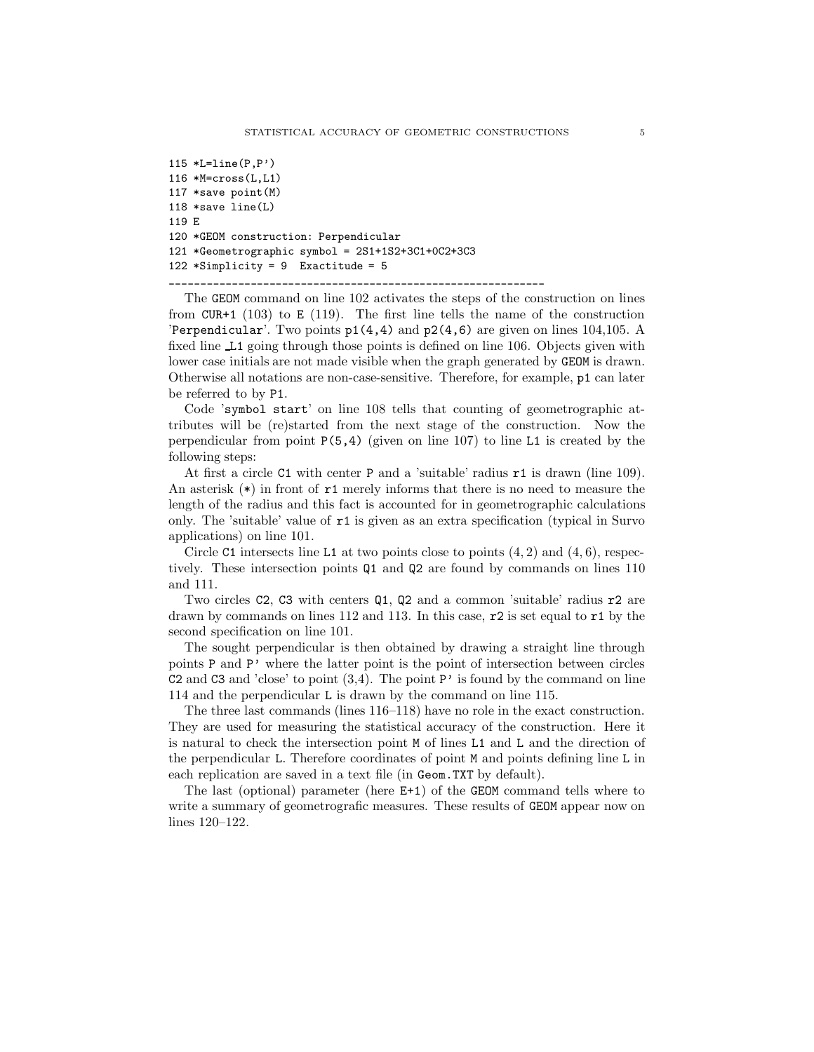```
115 *L=line(P,P')116 *M=cross(L,L1)
117 *save point(M)
118 *save line(L)
119 E
120 *GEOM construction: Perpendicular
121 *Geometrographic symbol = 2S1+1S2+3C1+0C2+3C3
122 *Simplify = 9 Exactitude = 5
```
\_\_\_\_\_\_\_\_\_\_\_\_\_\_\_\_\_\_\_\_\_\_\_\_\_\_\_\_\_\_\_\_\_\_\_\_\_\_\_\_\_\_\_\_\_\_\_\_\_\_\_\_\_\_\_\_\_\_\_\_

The GEOM command on line 102 activates the steps of the construction on lines from  $CUR+1$  (103) to E (119). The first line tells the name of the construction 'Perpendicular'. Two points  $p1(4,4)$  and  $p2(4,6)$  are given on lines 104,105. A fixed line L1 going through those points is defined on line 106. Objects given with lower case initials are not made visible when the graph generated by GEOM is drawn. Otherwise all notations are non-case-sensitive. Therefore, for example, p1 can later be referred to by P1.

Code 'symbol start' on line 108 tells that counting of geometrographic attributes will be (re)started from the next stage of the construction. Now the perpendicular from point  $P(5,4)$  (given on line 107) to line L1 is created by the following steps:

At first a circle C1 with center P and a 'suitable' radius r1 is drawn (line 109). An asterisk  $(*)$  in front of  $r1$  merely informs that there is no need to measure the length of the radius and this fact is accounted for in geometrographic calculations only. The 'suitable' value of r1 is given as an extra specification (typical in Survo applications) on line 101.

Circle C1 intersects line L1 at two points close to points  $(4, 2)$  and  $(4, 6)$ , respectively. These intersection points Q1 and Q2 are found by commands on lines 110 and 111.

Two circles C2, C3 with centers Q1, Q2 and a common 'suitable' radius r2 are drawn by commands on lines 112 and 113. In this case,  $\tau$  is set equal to  $\tau$ 1 by the second specification on line 101.

The sought perpendicular is then obtained by drawing a straight line through points P and P' where the latter point is the point of intersection between circles C2 and C3 and 'close' to point  $(3,4)$ . The point P' is found by the command on line 114 and the perpendicular L is drawn by the command on line 115.

The three last commands (lines 116–118) have no role in the exact construction. They are used for measuring the statistical accuracy of the construction. Here it is natural to check the intersection point M of lines L1 and L and the direction of the perpendicular L. Therefore coordinates of point M and points defining line L in each replication are saved in a text file (in Geom.TXT by default).

The last (optional) parameter (here E+1) of the GEOM command tells where to write a summary of geometrografic measures. These results of GEOM appear now on lines 120–122.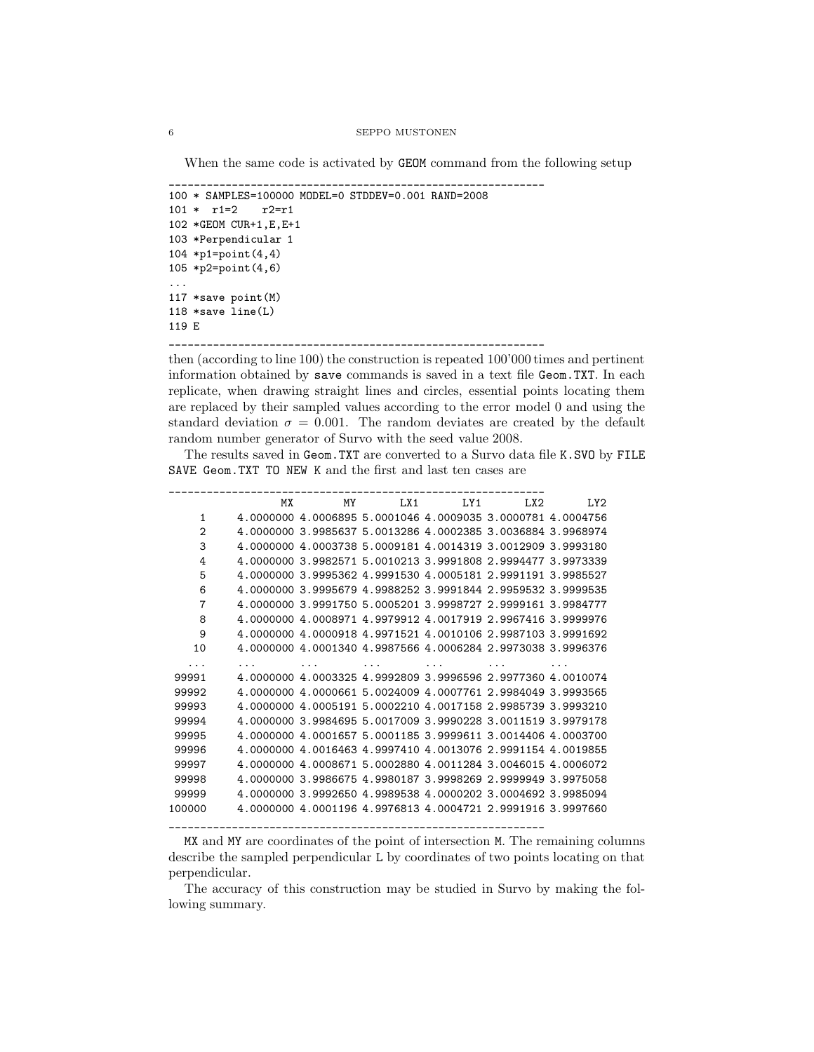When the same code is activated by GEOM command from the following setup

```
____________________________________________________________
100 * SAMPLES=100000 MODEL=0 STDDEV=0.001 RAND=2008
101 * r1=2 r2=r1
102 *GEOM CUR+1,E,E+1
103 *Perpendicular 1
104 *p1=point(4,4)
105 *p2=point(4,6)
...
117 *save point(M)
118 *save line(L)
119 E
            ____________________________________________________________
```
then (according to line 100) the construction is repeated 100'000 times and pertinent information obtained by save commands is saved in a text file Geom.TXT. In each replicate, when drawing straight lines and circles, essential points locating them are replaced by their sampled values according to the error model 0 and using the standard deviation  $\sigma = 0.001$ . The random deviates are created by the default random number generator of Survo with the seed value 2008.

The results saved in Geom.TXT are converted to a Survo data file K.SVO by FILE SAVE Geom.TXT TO NEW K and the first and last ten cases are

|                | MX        | MY | LX1                                                         | LY1 | LX <sub>2</sub> | LY <sub>2</sub> |
|----------------|-----------|----|-------------------------------------------------------------|-----|-----------------|-----------------|
| 1              |           |    | 4,0000000 4,0006895 5,0001046 4,0009035 3,0000781 4,0004756 |     |                 |                 |
| $\overline{2}$ |           |    | 4,0000000 3,9985637 5,0013286 4,0002385 3,0036884 3,9968974 |     |                 |                 |
| 3              | 4.0000000 |    | 4.0003738 5.0009181 4.0014319 3.0012909 3.9993180           |     |                 |                 |
| 4              |           |    | 4,0000000 3,9982571 5,0010213 3,9991808 2,9994477 3,9973339 |     |                 |                 |
| 5              |           |    | 4,0000000 3,9995362 4,9991530 4,0005181 2,9991191 3,9985527 |     |                 |                 |
| 6              |           |    | 4,0000000 3,9995679 4,9988252 3,9991844 2,9959532 3,9999535 |     |                 |                 |
| 7              |           |    | 4,0000000 3,9991750 5,0005201 3,9998727 2,9999161 3,9984777 |     |                 |                 |
| 8              |           |    | 4,0000000 4,0008971 4,9979912 4,0017919 2,9967416 3,9999976 |     |                 |                 |
| 9              |           |    | 4,0000000 4,0000918 4,9971521 4,0010106 2,9987103 3,9991692 |     |                 |                 |
| 10             |           |    | 4,0000000 4,0001340 4,9987566 4,0006284 2,9973038 3,9996376 |     |                 |                 |
|                |           |    |                                                             |     |                 |                 |
| 99991          |           |    | 4,0000000 4,0003325 4,9992809 3,9996596 2,9977360 4,0010074 |     |                 |                 |
| 99992          |           |    | 4,0000000 4,0000661 5,0024009 4,0007761 2,9984049 3,9993565 |     |                 |                 |
| 99993          |           |    | 4,0000000 4,0005191 5,0002210 4,0017158 2,9985739 3,9993210 |     |                 |                 |
| 99994          |           |    | 4,0000000 3,9984695 5,0017009 3,9990228 3,0011519 3,9979178 |     |                 |                 |
| 99995          | 4.0000000 |    | 4.0001657 5.0001185 3.9999611 3.0014406 4.0003700           |     |                 |                 |
| 99996          |           |    | 4,0000000 4,0016463 4,9997410 4,0013076 2,9991154 4,0019855 |     |                 |                 |
| 99997          |           |    | 4,0000000 4,0008671 5,0002880 4,0011284 3,0046015 4,0006072 |     |                 |                 |
| 99998          |           |    | 4,0000000 3,9986675 4,9980187 3,9998269 2,9999949 3,9975058 |     |                 |                 |
| 99999          |           |    | 4,0000000 3,9992650 4,9989538 4,0000202 3,0004692 3,9985094 |     |                 |                 |
| 100000         |           |    | 4,0000000 4,0001196 4,9976813 4,0004721 2,9991916 3,9997660 |     |                 |                 |
|                |           |    |                                                             |     |                 |                 |

MX and MY are coordinates of the point of intersection M. The remaining columns describe the sampled perpendicular L by coordinates of two points locating on that perpendicular.

The accuracy of this construction may be studied in Survo by making the following summary.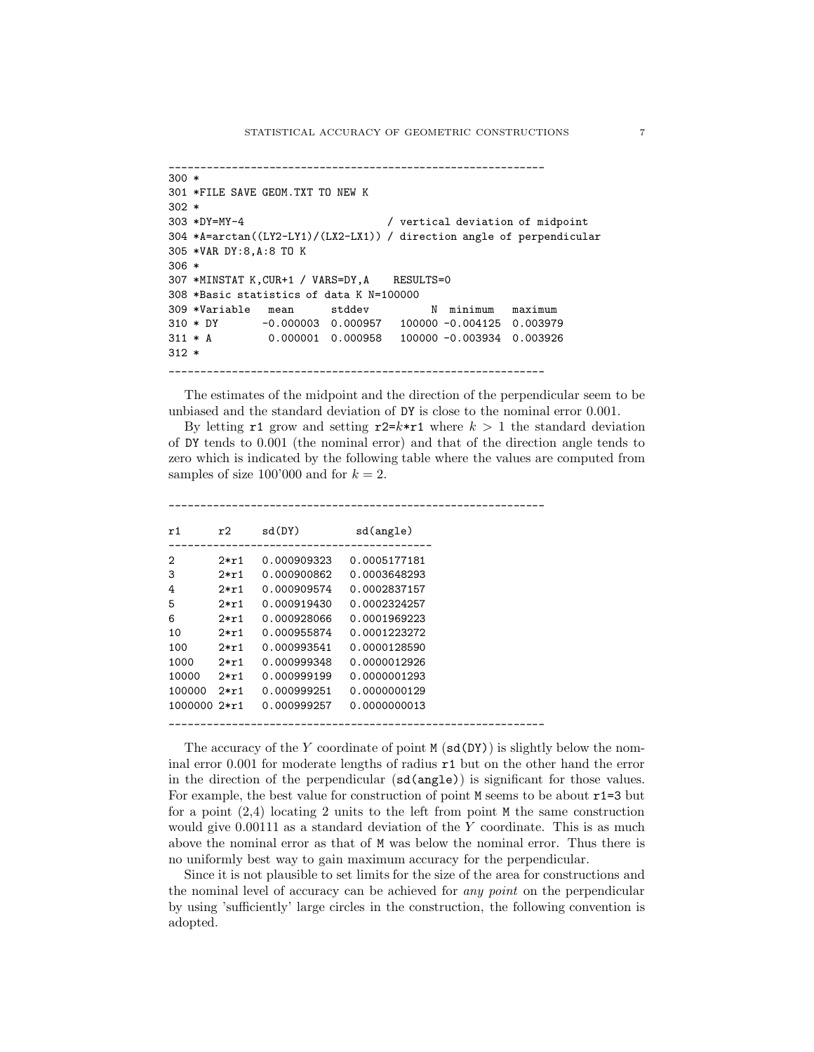```
____________________________________________________________
300 *
301 *FILE SAVE GEOM.TXT TO NEW K
302 *
303 *DY=MY-4 / vertical deviation of midpoint
304 *A=arctan((LY2-LY1)/(LX2-LX1)) / direction angle of perpendicular
305 *VAR DY:8,A:8 TO K
306 *
307 *MINSTAT K,CUR+1 / VARS=DY,A RESULTS=0
308 *Basic statistics of data K N=100000
309 *Variable mean stddev N minimum maximum
310 * DY -0.000003 0.000957 100000 -0.004125 0.003979
311 * A 0.000001 0.000958 100000 -0.003934 0.003926
312 *
____________________________________________________________
```
The estimates of the midpoint and the direction of the perpendicular seem to be unbiased and the standard deviation of DY is close to the nominal error 0.001.

By letting r1 grow and setting r2=k\*r1 where  $k > 1$  the standard deviation of DY tends to 0.001 (the nominal error) and that of the direction angle tends to zero which is indicated by the following table where the values are computed from samples of size 100'000 and for  $k = 2$ .

| r1           | r2     | sd(DY)      | sd(angle)    |
|--------------|--------|-------------|--------------|
| 2            | $2*r1$ | 0.000909323 | 0.0005177181 |
| 3            | $2*ri$ | 0.000900862 | 0.0003648293 |
| 4            | $2*r1$ | 0.000909574 | 0.0002837157 |
| 5            | $2*ri$ | 0.000919430 | 0.0002324257 |
| 6            | $2*r1$ | 0.000928066 | 0.0001969223 |
| 10           | $2*r1$ | 0.000955874 | 0.0001223272 |
| 100          | $2*ri$ | 0.000993541 | 0.0000128590 |
| 1000         | $2*r1$ | 0.000999348 | 0.0000012926 |
| 10000        | $2*ri$ | 0.000999199 | 0.0000001293 |
| 100000       | $2*ri$ | 0.000999251 | 0.0000000129 |
| 1000000 2*r1 |        | 0.000999257 | 0.0000000013 |
|              |        |             |              |

\_\_\_\_\_\_\_\_\_\_\_\_\_\_\_\_\_\_\_\_\_\_\_\_\_\_\_\_\_\_\_\_\_\_\_\_\_\_\_\_\_\_\_\_\_\_\_\_\_\_\_\_\_\_\_\_\_\_\_\_

The accuracy of the Y coordinate of point  $M(\text{sd}(DY))$  is slightly below the nominal error 0.001 for moderate lengths of radius r1 but on the other hand the error in the direction of the perpendicular (sd(angle)) is significant for those values. For example, the best value for construction of point M seems to be about  $r1=3$  but for a point  $(2,4)$  locating 2 units to the left from point M the same construction would give 0.00111 as a standard deviation of the Y coordinate. This is as much above the nominal error as that of M was below the nominal error. Thus there is no uniformly best way to gain maximum accuracy for the perpendicular.

Since it is not plausible to set limits for the size of the area for constructions and the nominal level of accuracy can be achieved for any point on the perpendicular by using 'sufficiently' large circles in the construction, the following convention is adopted.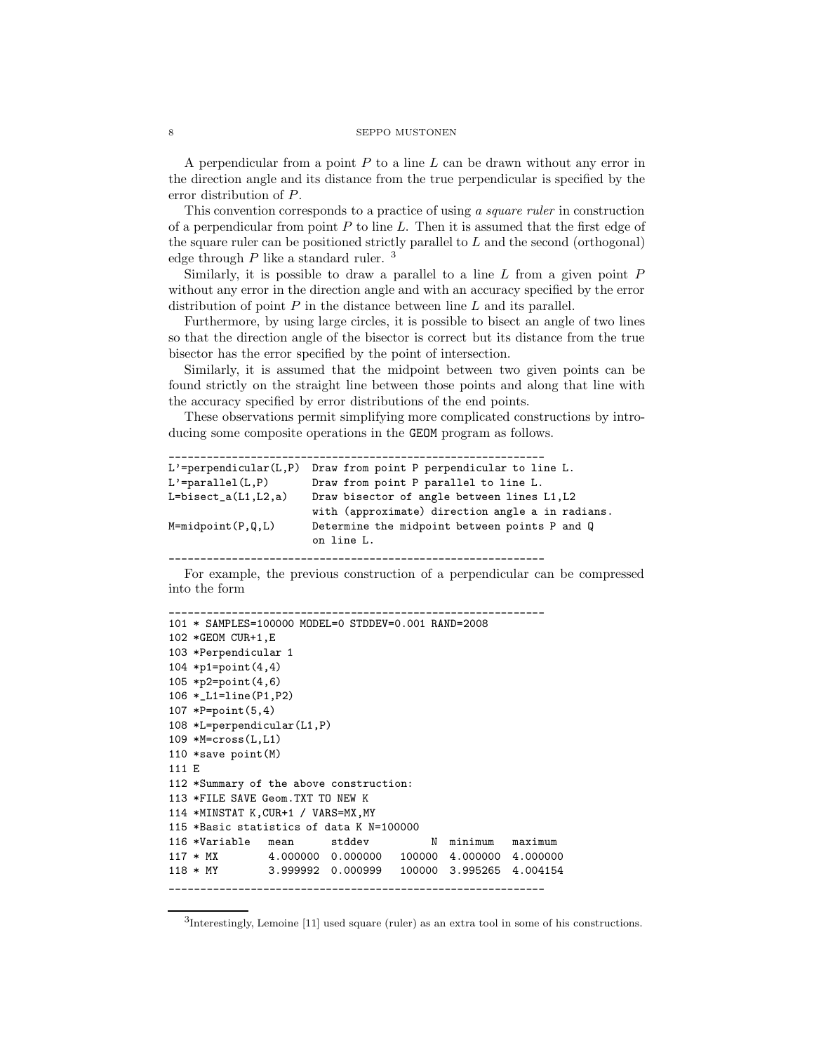A perpendicular from a point  $P$  to a line  $L$  can be drawn without any error in the direction angle and its distance from the true perpendicular is specified by the error distribution of P.

This convention corresponds to a practice of using a square ruler in construction of a perpendicular from point  $P$  to line  $L$ . Then it is assumed that the first edge of the square ruler can be positioned strictly parallel to L and the second (orthogonal) edge through  $P$  like a standard ruler.<sup>3</sup>

Similarly, it is possible to draw a parallel to a line  $L$  from a given point  $P$ without any error in the direction angle and with an accuracy specified by the error distribution of point  $P$  in the distance between line  $L$  and its parallel.

Furthermore, by using large circles, it is possible to bisect an angle of two lines so that the direction angle of the bisector is correct but its distance from the true bisector has the error specified by the point of intersection.

Similarly, it is assumed that the midpoint between two given points can be found strictly on the straight line between those points and along that line with the accuracy specified by error distributions of the end points.

These observations permit simplifying more complicated constructions by introducing some composite operations in the GEOM program as follows.

```
____________________________________________________________
L'=perpendicular(L,P) Draw from point P perpendicular to line L.
L'=parallel(L,P) Draw from point P parallel to line L.
L=bisect_a(L1,L2,a) Draw bisector of angle between lines L1,L2
                        with (approximate) direction angle a in radians.
M=midpoint(P,Q,L) Determine the midpoint between points P and Q
                        on line L.
                   ____________________________________________________________
```
For example, the previous construction of a perpendicular can be compressed into the form

```
101 * SAMPLES=100000 MODEL=0 STDDEV=0.001 RAND=2008
102 *GEOM CUR+1,E
103 *Perpendicular 1
104 *p1=point(4,4)
105 *p2=point(4,6)
106 *_L1=line(P1,P2)
107 *P=point(5,4)
108 *L=perpendicular(L1,P)
109 *M=cross(L,L1)
110 *save point(M)
111 E
112 *Summary of the above construction:
113 *FILE SAVE Geom.TXT TO NEW K
114 *MINSTAT K,CUR+1 / VARS=MX,MY
115 *Basic statistics of data K N=100000
116 *Variable mean stddev N minimum maximum
117 * MX 4.000000 0.000000 100000 4.000000 4.000000
118 * MY 3.999992 0.000999 100000 3.995265 4.004154
____________________________________________________________
```
\_\_\_\_\_\_\_\_\_\_\_\_\_\_\_\_\_\_\_\_\_\_\_\_\_\_\_\_\_\_\_\_\_\_\_\_\_\_\_\_\_\_\_\_\_\_\_\_\_\_\_\_\_\_\_\_\_\_\_\_

<sup>3</sup> Interestingly, Lemoine [11] used square (ruler) as an extra tool in some of his constructions.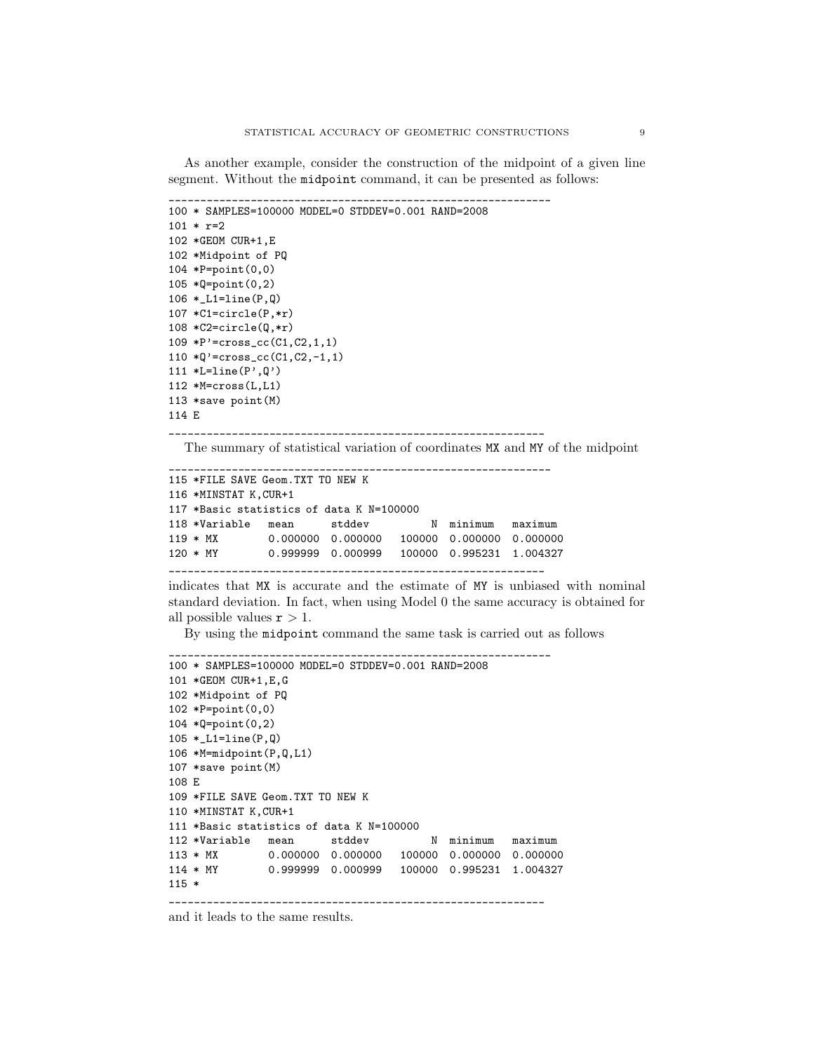As another example, consider the construction of the midpoint of a given line segment. Without the midpoint command, it can be presented as follows:

```
100 * SAMPLES=100000 MODEL=0 STDDEV=0.001 RAND=2008
101 * r=2102 *GEOM CUR+1,E
102 *Midpoint of PQ
104 *P=point(0,0)
105 *Q=point(0,2)
106 *_L1=line(P,Q)
107 *C1=circle(P,*r)
108 *C2=circle(Q,*r)
109 *P'=cross_cc(C1,C2,1,1)
110 *Q'=cross_cc(C1,C2,-1,1)
111 *L=line(P',Q')112 *M=cross(L,L1)
113 *save point(M)
114 E
```
\_\_\_\_\_\_\_\_\_\_\_\_\_\_\_\_\_\_\_\_\_\_\_\_\_\_\_\_\_\_\_\_\_\_\_\_\_\_\_\_\_\_\_\_\_\_\_\_\_\_\_\_\_\_\_\_\_\_\_\_ The summary of statistical variation of coordinates MX and MY of the midpoint

```
_____________________________________________________________
115 *FILE SAVE Geom.TXT TO NEW K
116 *MINSTAT K,CUR+1
117 *Basic statistics of data K N=100000
118 *Variable mean stddev N minimum maximum
119 * MX 0.000000 0.000000 100000 0.000000 0.000000<br>120 * MY 0.999999 0.000999 100000 0.995231 1.004327
               120 * MY 0.999999 0.000999 100000 0.995231 1.004327
```
\_\_\_\_\_\_\_\_\_\_\_\_\_\_\_\_\_\_\_\_\_\_\_\_\_\_\_\_\_\_\_\_\_\_\_\_\_\_\_\_\_\_\_\_\_\_\_\_\_\_\_\_\_\_\_\_\_\_\_\_

indicates that MX is accurate and the estimate of MY is unbiased with nominal standard deviation. In fact, when using Model 0 the same accuracy is obtained for all possible values  $r > 1$ .

By using the midpoint command the same task is carried out as follows

```
_____________________________________________________________
100 * SAMPLES=100000 MODEL=0 STDDEV=0.001 RAND=2008
101 *GEOM CUR+1,E,G
102 *Midpoint of PQ
102 *P=point(0,0)
104 *Q=point(0,2)
105 *_L1=line(P,Q)
106 *M=midpoint(P,Q,L1)
107 *save point(M)
108 E
109 *FILE SAVE Geom.TXT TO NEW K
110 *MINSTAT K,CUR+1
111 *Basic statistics of data K N=100000
112 *Variable mean stddev N minimum maximum
113 * MX 0.000000 0.000000 100000 0.000000 0.000000
114 * MY 0.999999 0.000999 100000 0.995231 1.004327
115 *
____________________________________________________________
```
and it leads to the same results.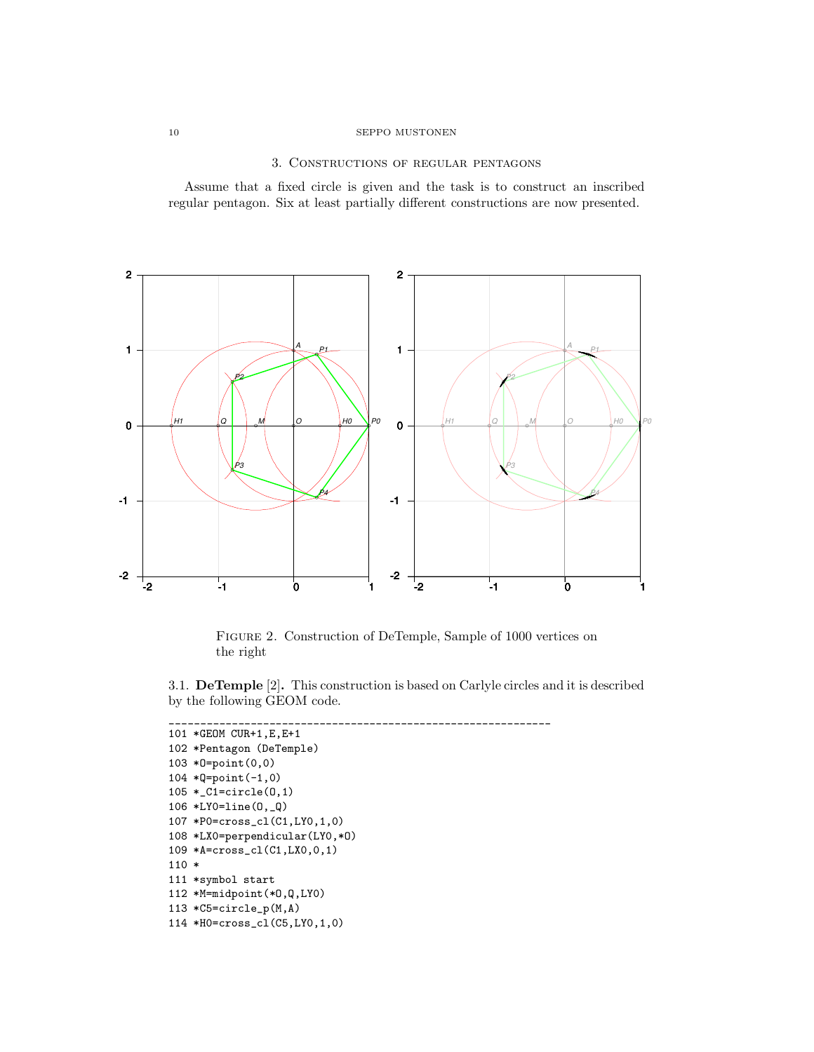# 3. Constructions of regular pentagons

Assume that a fixed circle is given and the task is to construct an inscribed regular pentagon. Six at least partially different constructions are now presented.



Figure 2. Construction of DeTemple, Sample of 1000 vertices on the right

3.1. DeTemple [2]. This construction is based on Carlyle circles and it is described by the following GEOM code.

```
_____________________________________________________________
101 *GEOM CUR+1,E,E+1
102 *Pentagon (DeTemple)
103 *O=point(0,0)
104 *Q=point(-1,0)
105 *_C1=circle(O,1)
106 *LY0=line(O,_Q)
107 *P0=cross_cl(C1,LY0,1,0)
108 *LX0=perpendicular(LY0,*O)
109 *A=cross_cl(C1,LX0,0,1)
110 *
111 *symbol start
112 *M=midpoint(*O,Q,LY0)
113 *C5=circle_p(M,A)
114 *H0=cross_cl(C5,LY0,1,0)
```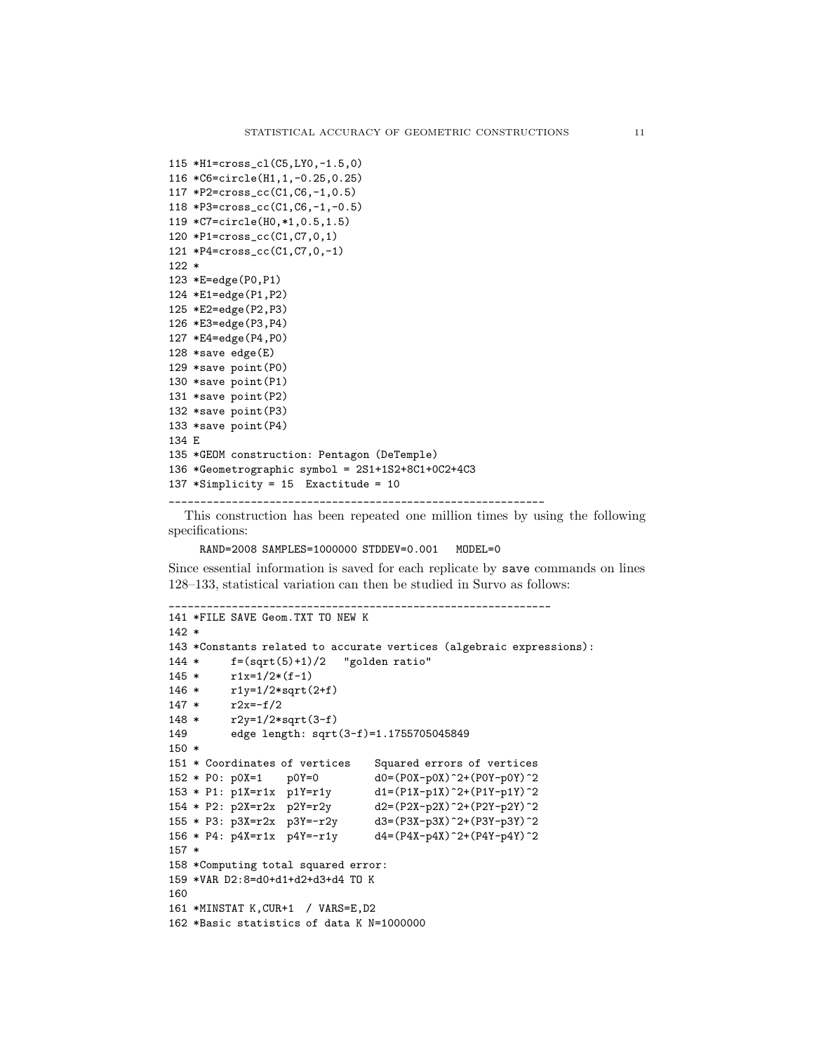```
115 *H1=cross_cl(C5,LY0,-1.5,0)
116 *C6=circle(H1,1,-0.25,0.25)
117 *P2=cross_cc(C1,C6,-1,0.5)
118 *P3=cross_cc(C1,C6,-1,-0.5)
119 *C7=circle(H0,*1,0.5,1.5)
120 *P1=cross_cc(C1,C7,0,1)
121 *P4=cross_cc(C1,C7,0,-1)
122 *
123 *E=edge(P0,P1)
124 *E1=edge(P1,P2)
125 *E2=edge(P2,P3)
126 *E3=edge(P3,P4)
127 *E4=edge(P4,P0)
128 *save edge(E)
129 *save point(P0)
130 *save point(P1)
131 *save point(P2)
132 *save point(P3)
133 *save point(P4)
134 E
135 *GEOM construction: Pentagon (DeTemple)
136 *Geometrographic symbol = 2S1+1S2+8C1+0C2+4C3
137 *Simplicity = 15 Exactitude = 10
```
This construction has been repeated one million times by using the following specifications:

RAND=2008 SAMPLES=1000000 STDDEV=0.001 MODEL=0

\_\_\_\_\_\_\_\_\_\_\_\_\_\_\_\_\_\_\_\_\_\_\_\_\_\_\_\_\_\_\_\_\_\_\_\_\_\_\_\_\_\_\_\_\_\_\_\_\_\_\_\_\_\_\_\_\_\_\_\_\_

\_\_\_\_\_\_\_\_\_\_\_\_\_\_\_\_\_\_\_\_\_\_\_\_\_\_\_\_\_\_\_\_\_\_\_\_\_\_\_\_\_\_\_\_\_\_\_\_\_\_\_\_\_\_\_\_\_\_\_\_

Since essential information is saved for each replicate by save commands on lines 128–133, statistical variation can then be studied in Survo as follows:

```
141 *FILE SAVE Geom.TXT TO NEW K
142 *
143 *Constants related to accurate vertices (algebraic expressions):
144 * f=(sqrt(5)+1)/2 "golden ratio"
145 * r1x=1/2*(f-1)146 * r1y=1/2*sqrt(2+f)
147 * r2x=-f/2
148 * r2y=1/2*sqrt(3-f)
149 edge length: sqrt(3-f)=1.1755705045849
150 *
151 * Coordinates of vertices Squared errors of vertices
152 * P0: p0X=1 p0Y=0 d0=(P0X-p0X)^2+(P0Y-p0Y)^2
153 * P1: p1X=r1x p1Y=r1y d1=(P1X-p1X)^2+(P1Y-p1Y)^2
154 * P2: p2X=r2x p2Y=r2y d2=(P2X-p2X)^2+(P2Y-p2Y)^2
155 * P3: p3X=r2x p3Y=-r2y d3=(P3X-p3X)^2+(P3Y-p3Y)^2
156 * P4: p4X=r1x p4Y=-r1y d4=(P4X-p4X)^2+(P4Y-p4Y)^2
157 *
158 *Computing total squared error:
159 *VAR D2:8=d0+d1+d2+d3+d4 TO K
160
161 *MINSTAT K,CUR+1 / VARS=E,D2
162 *Basic statistics of data K N=1000000
```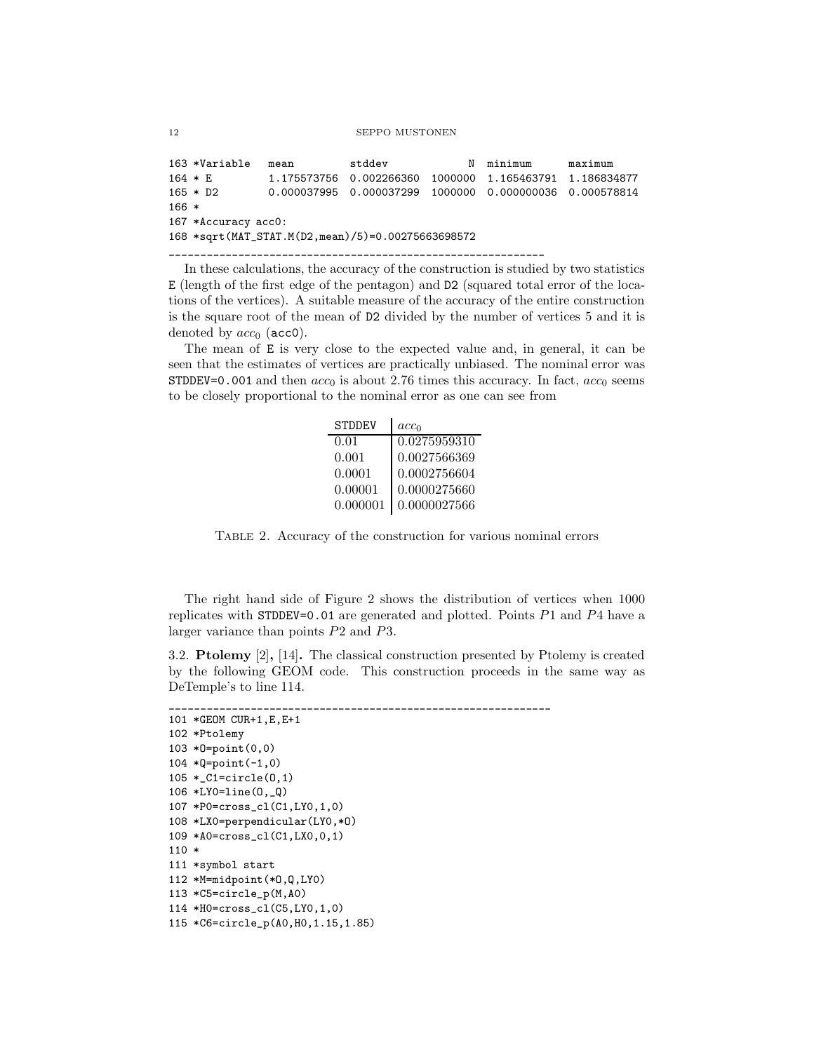```
163 *Variable mean stddev N minimum maximum
164 * E 1.175573756 0.002266360 1000000 1.165463791 1.186834877
165 * D2 0.000037995 0.000037299 1000000 0.000000036 0.000578814
166 *
167 *Accuracy acc0:
168 *sqrt(MAT_STAT.M(D2,mean)/5)=0.00275663698572
____________________________________________________________
```
In these calculations, the accuracy of the construction is studied by two statistics E (length of the first edge of the pentagon) and D2 (squared total error of the locations of the vertices). A suitable measure of the accuracy of the entire construction is the square root of the mean of D2 divided by the number of vertices 5 and it is denoted by  $acc<sub>0</sub>$  (acc0).

The mean of E is very close to the expected value and, in general, it can be seen that the estimates of vertices are practically unbiased. The nominal error was STDDEV=0.001 and then  $acc_0$  is about 2.76 times this accuracy. In fact,  $acc_0$  seems to be closely proportional to the nominal error as one can see from

| <b>STDDEV</b> | acc <sub>0</sub> |
|---------------|------------------|
| 0.01          | 0.0275959310     |
| 0.001         | 0.0027566369     |
| 0.0001        | 0.0002756604     |
| 0.00001       | 0.0000275660     |
| 0.000001      | 0.0000027566     |

Table 2. Accuracy of the construction for various nominal errors

The right hand side of Figure 2 shows the distribution of vertices when 1000 replicates with STDDEV=0.01 are generated and plotted. Points P1 and P4 have a larger variance than points P2 and P3.

3.2. Ptolemy [2], [14]. The classical construction presented by Ptolemy is created by the following GEOM code. This construction proceeds in the same way as DeTemple's to line 114.

```
_____________________________________________________________
101 *GEOM CUR+1,E,E+1
102 *Ptolemy
103 *O=point(0,0)
104 *Q=point(-1,0)
105 *_C1=circle(O,1)
106 *LY0=line(O,_Q)
107 *P0=cross_cl(C1,LY0,1,0)
108 *LX0=perpendicular(LY0,*O)
109 *A0=cross_cl(C1,LX0,0,1)
110 *
111 *symbol start
112 *M=midpoint(*O,Q,LY0)
113 *C5=circle_p(M,A0)
114 *H0=cross_cl(C5,LY0,1,0)
115 *C6=circle_p(A0,H0,1.15,1.85)
```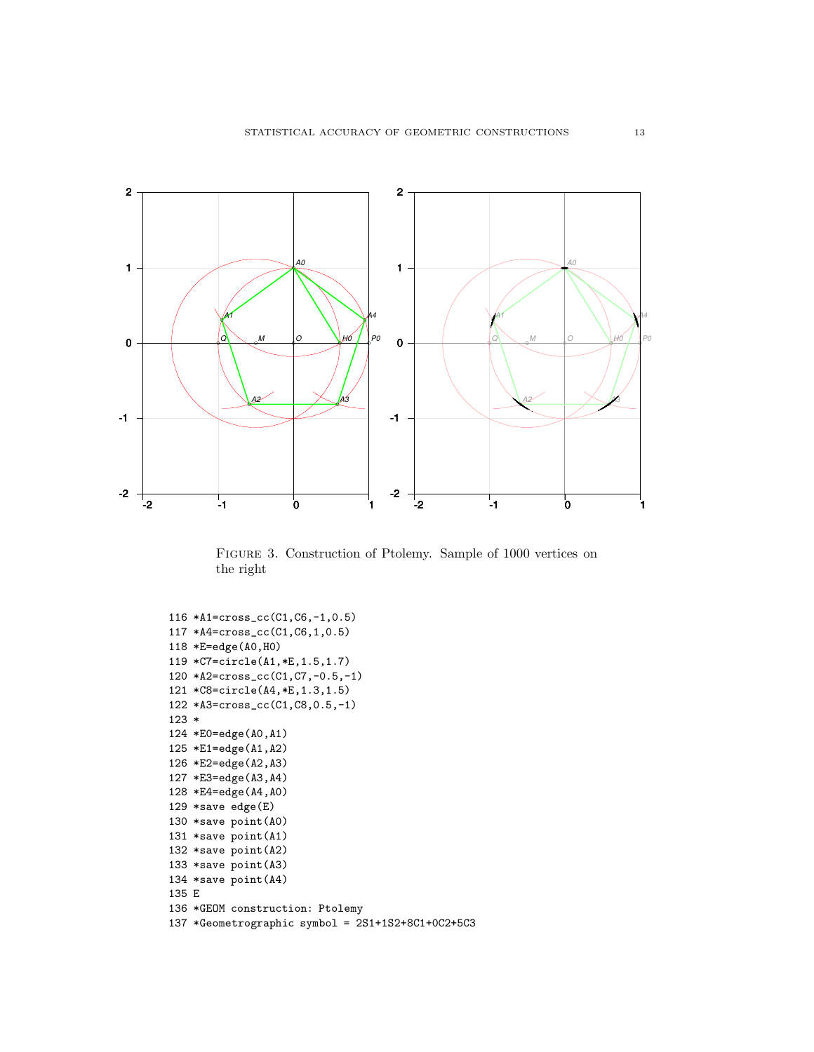

Figure 3. Construction of Ptolemy. Sample of 1000 vertices on the right

```
116 *A1=cross_cc(C1,C6,-1,0.5)
117 *A4=cross_cc(C1,C6,1,0.5)
118 *E=edge(A0,H0)
119 *C7=circle(A1,*E,1.5,1.7)
120 *A2=cross_cc(C1,C7,-0.5,-1)
121 *C8=circle(A4,*E,1.3,1.5)
122 *A3=cross_cc(C1,C8,0.5,-1)
123 *
124 *E0=edge(A0,A1)
125 *E1=edge(A1,A2)
126 *E2=edge(A2,A3)
127 *E3=edge(A3,A4)
128 *E4=edge(A4,A0)
129 *save edge(E)
130 *save point(A0)
131 *save point(A1)
132 *save point(A2)
133 *save point(A3)
134 *save point(A4)
135 E
136 *GEOM construction: Ptolemy
137 *Geometrographic symbol = 2S1+1S2+8C1+0C2+5C3
```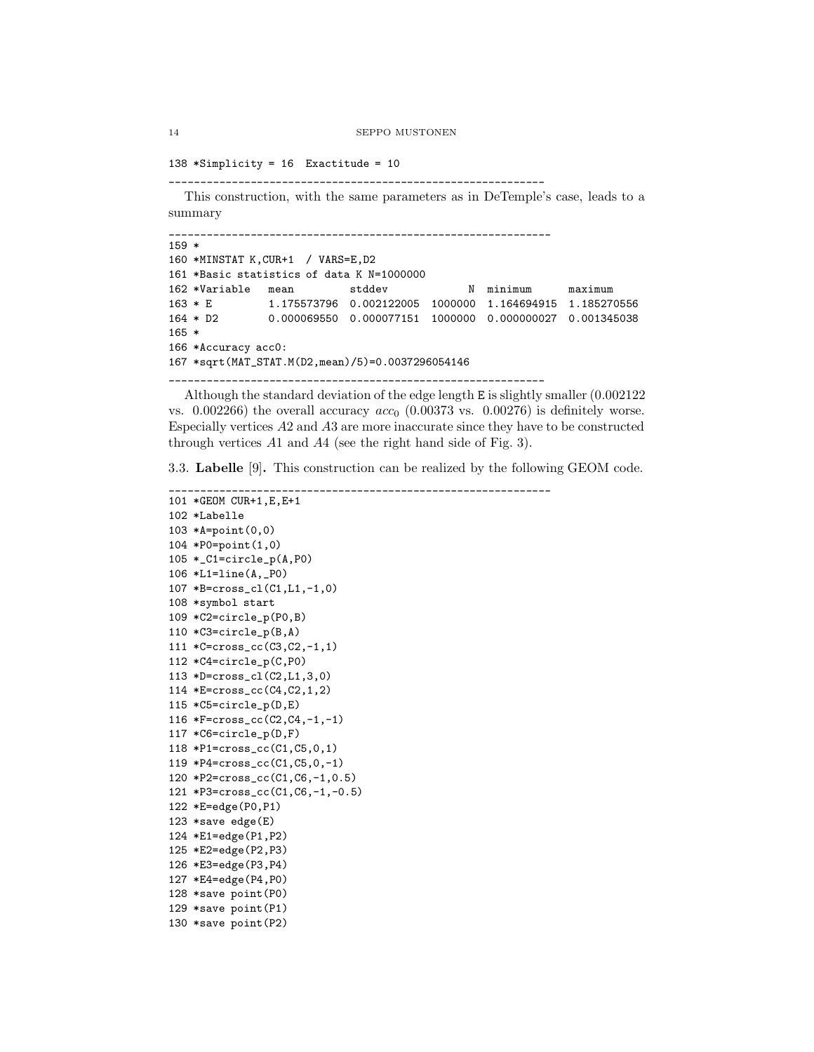```
14 SEPPO MUSTONEN
```

```
138 *Simplicity = 16 Exactitude = 10
```
\_\_\_\_\_\_\_\_\_\_\_\_\_\_\_\_\_\_\_\_\_\_\_\_\_\_\_\_\_\_\_\_\_\_\_\_\_\_\_\_\_\_\_\_\_\_\_\_\_\_\_\_\_\_\_\_\_\_\_\_

This construction, with the same parameters as in DeTemple's case, leads to a summary

```
_____________________________________________________________
159 *
160 *MINSTAT K,CUR+1 / VARS=E,D2
161 *Basic statistics of data K N=1000000
162 *Variable mean stddev N minimum maximum
163 * E 1.175573796 0.002122005 1000000 1.164694915 1.185270556
164 * D2 0.000069550 0.000077151 1000000 0.000000027 0.001345038
165 *
166 *Accuracy acc0:
167 *sqrt(MAT_STAT.M(D2,mean)/5)=0.0037296054146
```
\_\_\_\_\_\_\_\_\_\_\_\_\_\_\_\_\_\_\_\_\_\_\_\_\_\_\_\_\_\_\_\_\_\_\_\_\_\_\_\_\_\_\_\_\_\_\_\_\_\_\_\_\_\_\_\_\_\_\_\_

Although the standard deviation of the edge length E is slightly smaller (0.002122 vs.  $0.002266$ ) the overall accuracy  $acc<sub>0</sub>$  (0.00373 vs. 0.00276) is definitely worse. Especially vertices A2 and A3 are more inaccurate since they have to be constructed through vertices A1 and A4 (see the right hand side of Fig. 3).

3.3. Labelle [9]. This construction can be realized by the following GEOM code.

```
_____________________________________________________________
101 *GEOM CUR+1,E,E+1
102 *Labelle
103 *A=point(0,0)
104 *P0=point(1,0)
105 *_C1=circle_p(A,P0)
106 *L1=line(A,_P0)
107 *B=cross_cl(C1,L1,-1,0)
108 *symbol start
109 *C2=circle_p(P0,B)
110 *C3=circle_p(B,A)
111 *C=cross_cc(C3,C2,-1,1)
112 *C4=circle_p(C,P0)
113 *D=cross_cl(C2,L1,3,0)
114 *E=cross_cc(C4,C2,1,2)
115 *C5 = circle_p(D,E)116 *F=cross_cc(C2,C4,-1,-1)
117 *C6=circle_p(D,F)
118 *P1=cross_cc(C1,C5,0,1)
119 *P4=cross_cc(C1,C5,0,-1)
120 *P2=cross_cc(C1,C6,-1,0.5)
121 *P3=cross_cc(C1,C6,-1,-0.5)
122 *E=edge(P0,P1)
123 *save edge(E)
124 *E1=edge(P1,P2)
125 *E2=edge(P2,P3)
126 *E3=edge(P3,P4)
127 *E4=edge(P4,P0)
128 *save point(P0)
129 *save point(P1)
130 *save point(P2)
```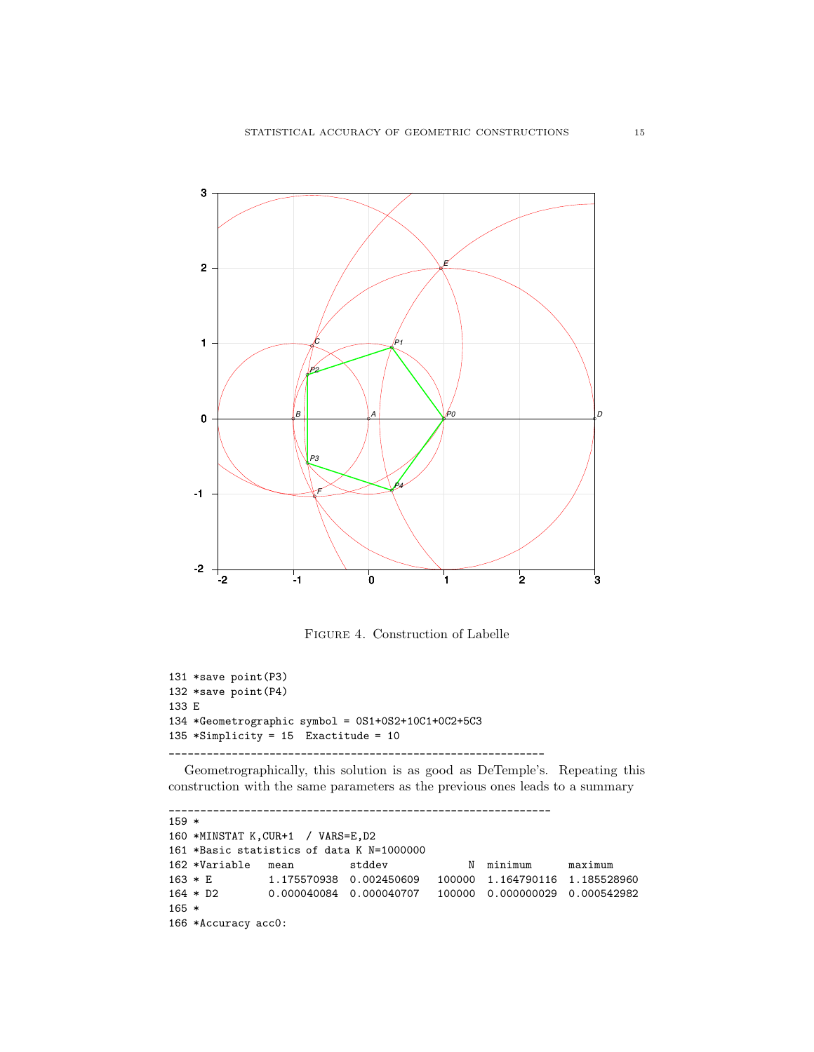

Figure 4. Construction of Labelle

```
131 *save point(P3)
132 *save point(P4)
133 E
134 *Geometrographic symbol = 0S1+0S2+10C1+0C2+5C3
135 *Simplify = 15 Exactitude = 10
____________________________________________________________
```
Geometrographically, this solution is as good as DeTemple's. Repeating this construction with the same parameters as the previous ones leads to a summary

```
_____________________________________________________________
159 *
160 *MINSTAT K,CUR+1 / VARS=E,D2
161 *Basic statistics of data K N=1000000
162 *Variable mean stddev N minimum maximum
163 * E 1.175570938 0.002450609 100000 1.164790116 1.185528960
164 * D2 0.000040084 0.000040707 100000 0.000000029 0.000542982
165 *
166 *Accuracy acc0:
```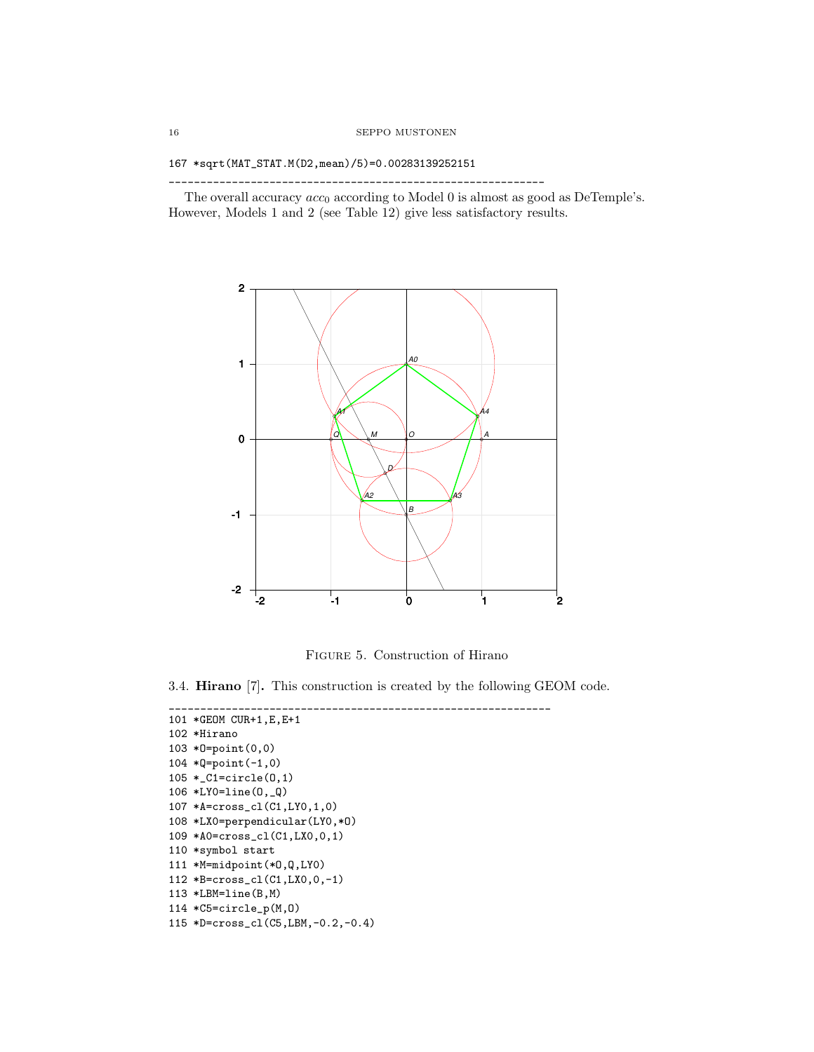```
167 *sqrt(MAT_STAT.M(D2,mean)/5)=0.00283139252151
```
The overall accuracy  $acc_0$  according to Model 0 is almost as good as DeTemple's. However, Models 1 and 2 (see Table 12) give less satisfactory results.

\_\_\_\_\_\_\_\_\_\_\_\_\_\_\_\_\_\_\_\_\_\_\_\_\_\_\_\_\_\_\_\_\_\_\_\_\_\_\_\_\_\_\_\_\_\_\_\_\_\_\_\_\_\_\_\_\_\_\_\_



Figure 5. Construction of Hirano

\_\_\_\_\_\_\_\_\_\_\_\_\_\_\_\_\_\_\_\_\_\_\_\_\_\_\_\_\_\_\_\_\_\_\_\_\_\_\_\_\_\_\_\_\_\_\_\_\_\_\_\_\_\_\_\_\_\_\_\_\_

3.4. Hirano [7]. This construction is created by the following GEOM code.

```
101 *GEOM CUR+1,E,E+1
102 *Hirano
103 *O=point(0,0)
104 *Q=point(-1,0)
105 *_C1=circle(O,1)
106 *LY0=line(O,_Q)
107 *A=cross_cl(C1,LY0,1,0)
108 *LX0=perpendicular(LY0,*O)
109 *A0=cross_cl(C1,LX0,0,1)
110 *symbol start
111 *M=midpoint(*O,Q,LY0)
112 *B=cross_cl(C1,LX0,0,-1)
113 *LBM=line(B,M)
114 *C5=circle_p(M,O)
115 *D=cross_cl(C5,LBM,-0.2,-0.4)
```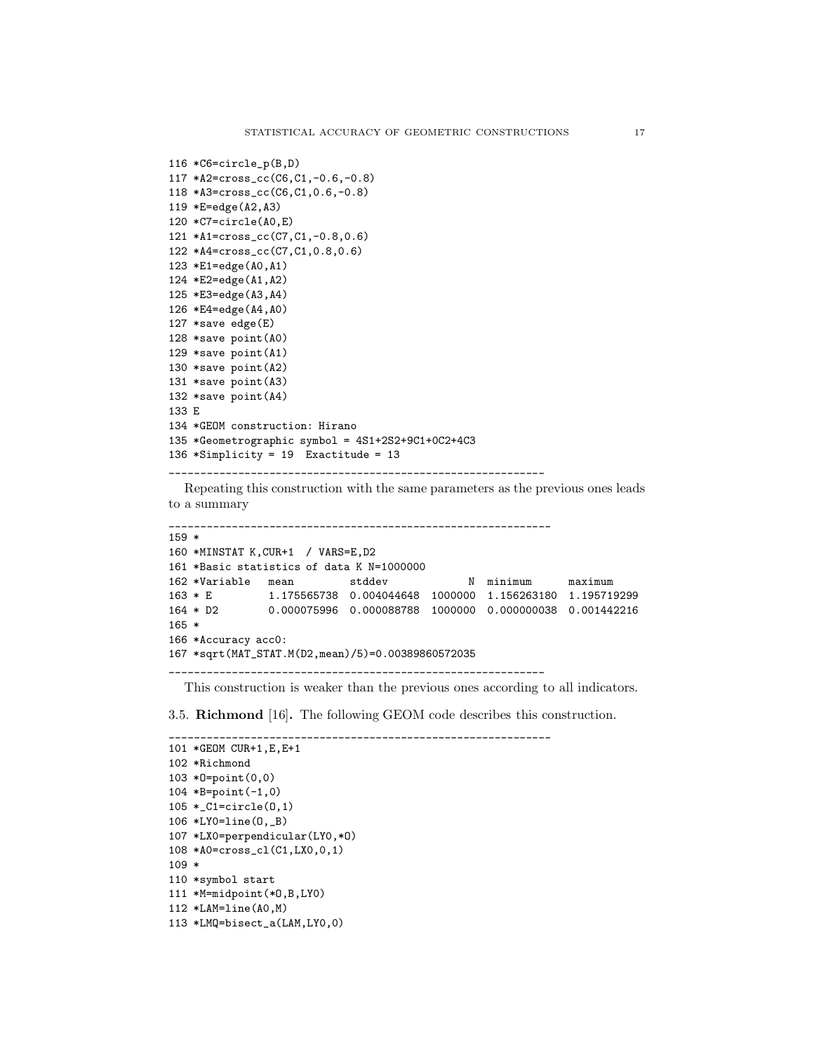```
116 *C6=circle_p(B,D)
117 *A2=cross_cc(C6,C1,-0.6,-0.8)
118 *A3=cross_cc(C6,C1,0.6,-0.8)
119 *E=edge(A2,A3)
120 *C7=circle(A0,E)
121 *A1=cross_cc(C7,C1,-0.8,0.6)
122 *A4=cross_cc(C7,C1,0.8,0.6)
123 *E1=edge(A0,A1)
124 *E2=edge(A1,A2)
125 *E3=edge(A3,A4)
126 *E4=edge(A4,A0)
127 *save edge(E)
128 *save point(A0)
129 *save point(A1)
130 *save point(A2)
131 *save point(A3)
132 *save point(A4)
133 E
134 *GEOM construction: Hirano
135 *Geometrographic symbol = 4S1+2S2+9C1+0C2+4C3
136 *Simplicity = 19 Exactitude = 13
____________________________________________________________
```
Repeating this construction with the same parameters as the previous ones leads to a summary

```
_____________________________________________________________
159 *
160 *MINSTAT K,CUR+1 / VARS=E,D2
161 *Basic statistics of data K N=1000000
162 *Variable mean stddev N minimum maximum
163 * E 1.175565738 0.004044648 1000000 1.156263180 1.195719299
164 * D2 0.000075996 0.000088788 1000000 0.000000038 0.001442216
165 *
166 *Accuracy acc0:
167 *sqrt(MAT_STAT.M(D2,mean)/5)=0.00389860572035
____________________________________________________________
```
This construction is weaker than the previous ones according to all indicators.

3.5. Richmond [16]. The following GEOM code describes this construction.

\_\_\_\_\_\_\_\_\_\_\_\_\_\_\_\_\_\_\_\_\_\_\_\_\_\_\_\_\_\_\_\_\_\_\_\_\_\_\_\_\_\_\_\_\_\_\_\_\_\_\_\_\_\_\_\_\_\_\_\_\_

```
101 *GEOM CUR+1,E,E+1
102 *Richmond
103 *O=point(0,0)
104 *B=point(-1,0)
105 *_C1=circle(O,1)
106 *LY0=line(O,_B)
107 *LX0=perpendicular(LY0,*O)
108 *A0=cross_cl(C1,LX0,0,1)
109 *
110 *symbol start
111 *M=midpoint(*O,B,LY0)
112 *LAM=line(A0,M)
113 *LMQ=bisect_a(LAM,LY0,0)
```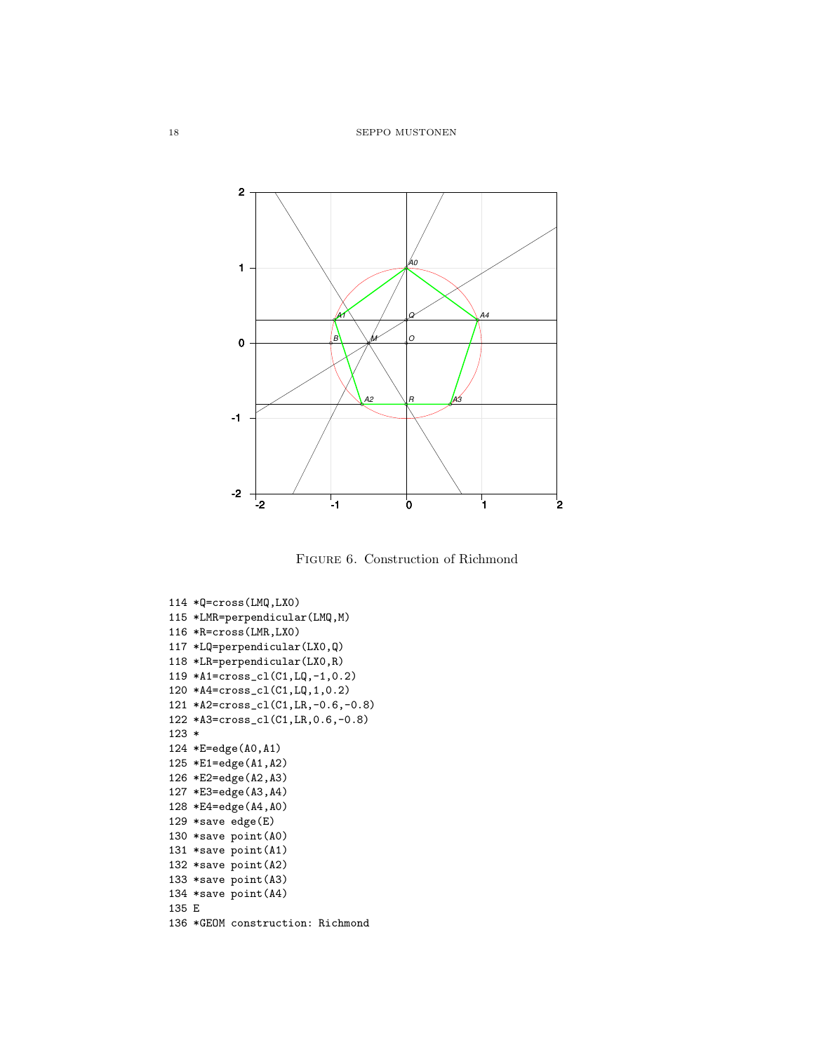

Figure 6. Construction of Richmond

```
114 *Q=cross(LMQ,LX0)
115 *LMR=perpendicular(LMQ,M)
116 *R=cross(LMR,LX0)
117 *LQ=perpendicular(LX0,Q)
118 *LR=perpendicular(LX0,R)
119 *A1=cross_cl(C1,LQ,-1,0.2)
120 *A4=cross_cl(C1,LQ,1,0.2)
121 *A2=cross_cl(C1,LR,-0.6,-0.8)
122 *A3=cross_cl(C1,LR,0.6,-0.8)
123 *
124 *E=edge(A0,A1)
125 *E1=edge(A1,A2)
126 *E2=edge(A2,A3)
127 *E3=edge(A3,A4)
128 *E4=edge(A4,A0)
129 *save edge(E)
130 *save point(A0)
131 *save point(A1)
132 *save point(A2)
133 *save point(A3)
134 *save point(A4)
135 E
136 *GEOM construction: Richmond
```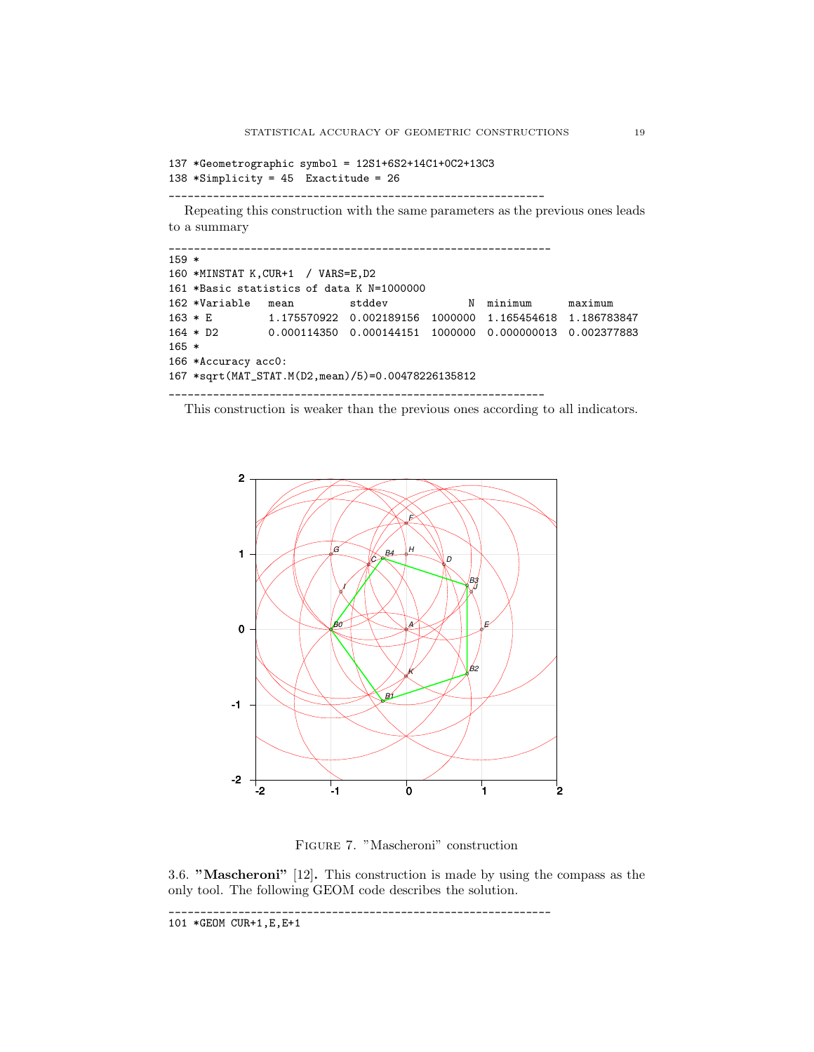```
137 *Geometrographic symbol = 12S1+6S2+14C1+0C2+13C3
138 *Simplicity = 45 Exactitude = 26
```
\_\_\_\_\_\_\_\_\_\_\_\_\_\_\_\_\_\_\_\_\_\_\_\_\_\_\_\_\_\_\_\_\_\_\_\_\_\_\_\_\_\_\_\_\_\_\_\_\_\_\_\_\_\_\_\_\_\_\_\_

Repeating this construction with the same parameters as the previous ones leads to a summary

| $159 *$ |                     |                                                                  |        |   |         |         |
|---------|---------------------|------------------------------------------------------------------|--------|---|---------|---------|
|         |                     | 160 *MINSTAT K, CUR+1 / VARS=E, D2                               |        |   |         |         |
|         |                     | 161 *Basic statistics of data K N=1000000                        |        |   |         |         |
|         | 162 *Variable mean  |                                                                  | stddev | N | minimum | maximum |
|         | $163 * E$           |                                                                  |        |   |         |         |
|         |                     | 164 * D2 0.000114350 0.000144151 1000000 0.000000013 0.002377883 |        |   |         |         |
| $165 *$ |                     |                                                                  |        |   |         |         |
|         | 166 *Accuracy acc0: |                                                                  |        |   |         |         |
|         |                     | 167 *sqrt(MAT_STAT.M(D2,mean)/5)=0.00478226135812                |        |   |         |         |
|         |                     |                                                                  |        |   |         |         |

This construction is weaker than the previous ones according to all indicators.



Figure 7. "Mascheroni" construction

3.6. "Mascheroni" [12]. This construction is made by using the compass as the only tool. The following GEOM code describes the solution. \_\_\_\_\_\_\_\_\_\_\_\_\_\_\_\_\_\_\_\_\_\_\_\_\_\_\_\_\_\_\_\_\_\_\_\_\_\_\_\_\_\_\_\_\_\_\_\_\_\_\_\_\_\_\_\_\_\_\_\_\_

101 \*GEOM CUR+1,E,E+1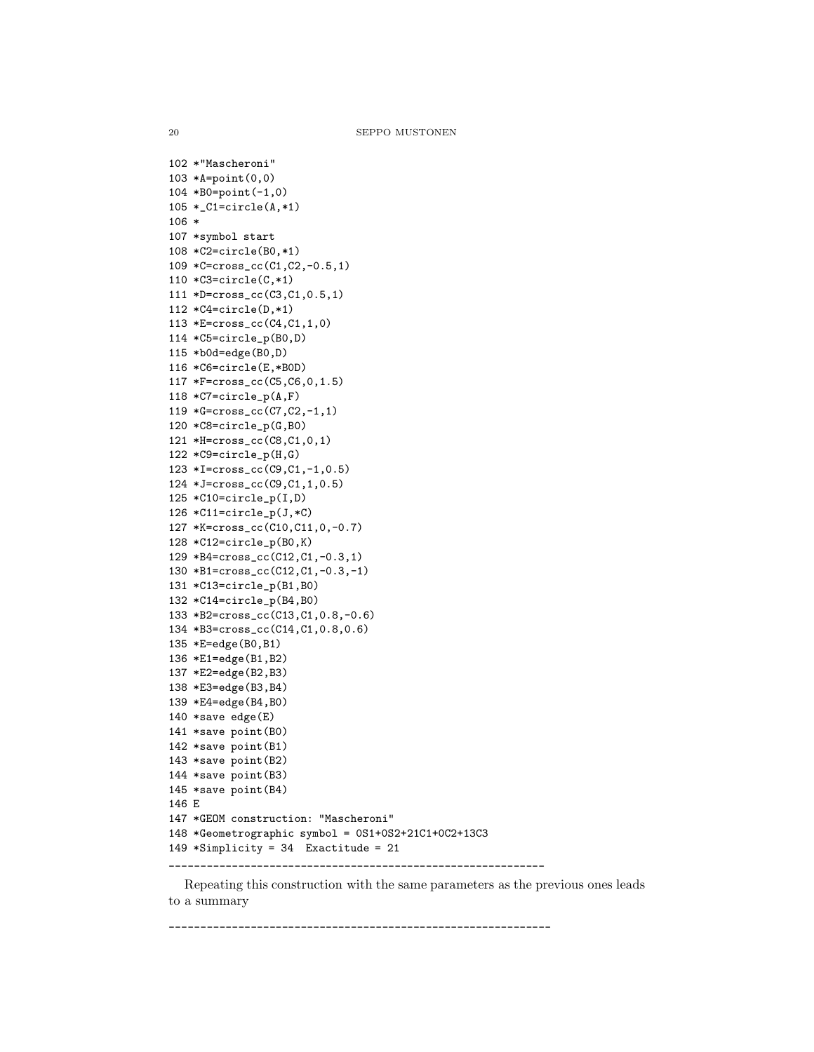102 \*"Mascheroni" 103 \*A=point(0,0) 104 \*B0=point(-1,0) 105 \*\_C1=circle(A,\*1) 106 \* 107 \*symbol start 108 \*C2=circle(B0,\*1) 109 \*C=cross\_cc(C1,C2,-0.5,1) 110 \*C3=circle(C,\*1) 111 \*D=cross\_cc(C3,C1,0.5,1) 112 \*C4=circle(D,\*1) 113 \*E=cross\_cc(C4,C1,1,0) 114 \*C5=circle\_p(B0,D) 115 \*b0d=edge(B0,D) 116 \*C6=circle(E,\*B0D) 117 \*F=cross\_cc(C5,C6,0,1.5) 118 \*C7=circle\_p(A,F) 119 \*G=cross\_cc(C7,C2,-1,1) 120 \*C8=circle\_p(G,B0) 121 \*H=cross\_cc(C8,C1,0,1) 122 \*C9=circle\_p(H,G) 123 \*I=cross\_cc(C9,C1,-1,0.5) 124 \*J=cross\_cc(C9,C1,1,0.5) 125 \*C10=circle\_p(I,D) 126 \*C11=circle\_p(J,\*C) 127 \*K=cross\_cc(C10,C11,0,-0.7) 128 \*C12=circle\_p(B0,K) 129 \*B4=cross\_cc(C12,C1,-0.3,1) 130 \*B1=cross\_cc(C12,C1,-0.3,-1) 131 \*C13=circle\_p(B1,B0) 132 \*C14=circle\_p(B4,B0) 133 \*B2=cross\_cc(C13,C1,0.8,-0.6) 134 \*B3=cross\_cc(C14,C1,0.8,0.6) 135 \*E=edge(B0,B1) 136 \*E1=edge(B1,B2) 137 \*E2=edge(B2,B3) 138 \*E3=edge(B3,B4) 139 \*E4=edge(B4,B0) 140 \*save edge(E) 141 \*save point(B0) 142 \*save point(B1) 143 \*save point(B2) 144 \*save point(B3) 145 \*save point(B4) 146 E 147 \*GEOM construction: "Mascheroni" 148 \*Geometrographic symbol = 0S1+0S2+21C1+0C2+13C3 149 \*Simplicity = 34 Exactitude = 21 \_\_\_\_\_\_\_\_\_\_\_\_\_\_\_\_\_\_\_\_\_\_\_\_\_\_\_\_\_\_\_\_\_\_\_\_\_\_\_\_\_\_\_\_\_\_\_\_\_\_\_\_\_\_\_\_\_\_\_\_

Repeating this construction with the same parameters as the previous ones leads to a summary

\_\_\_\_\_\_\_\_\_\_\_\_\_\_\_\_\_\_\_\_\_\_\_\_\_\_\_\_\_\_\_\_\_\_\_\_\_\_\_\_\_\_\_\_\_\_\_\_\_\_\_\_\_\_\_\_\_\_\_\_\_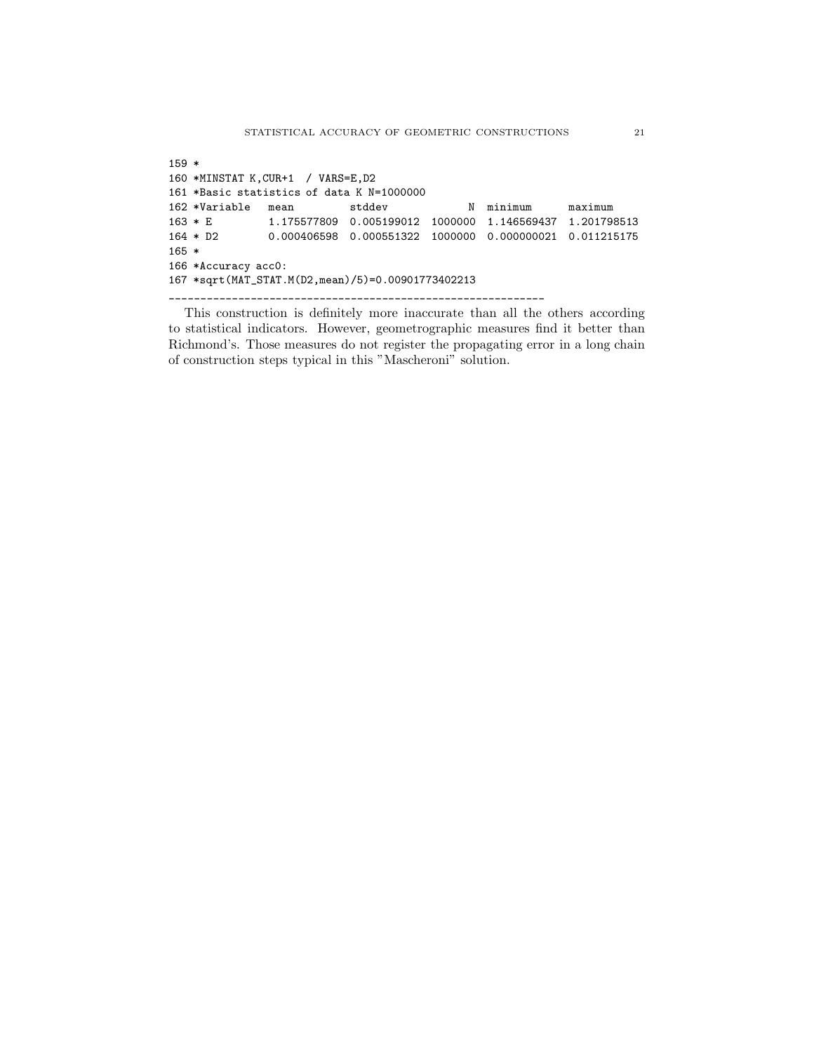159 \* 160 \*MINSTAT K,CUR+1 / VARS=E,D2 161 \*Basic statistics of data K N=1000000 162 \*Variable mean stddev N minimum maximum 163 \* E 1.175577809 0.005199012 1000000 1.146569437 1.201798513 164 \* D2 0.000406598 0.000551322 1000000 0.000000021 0.011215175 165 \* 166 \*Accuracy acc0: 167 \*sqrt(MAT\_STAT.M(D2,mean)/5)=0.00901773402213 \_\_\_\_\_\_\_\_\_\_\_\_\_\_\_\_\_\_\_\_\_\_\_\_\_\_\_\_\_\_\_\_\_\_\_\_\_\_\_\_\_\_\_\_\_\_\_\_\_\_\_\_\_\_\_\_\_\_\_\_

This construction is definitely more inaccurate than all the others according to statistical indicators. However, geometrographic measures find it better than Richmond's. Those measures do not register the propagating error in a long chain of construction steps typical in this "Mascheroni" solution.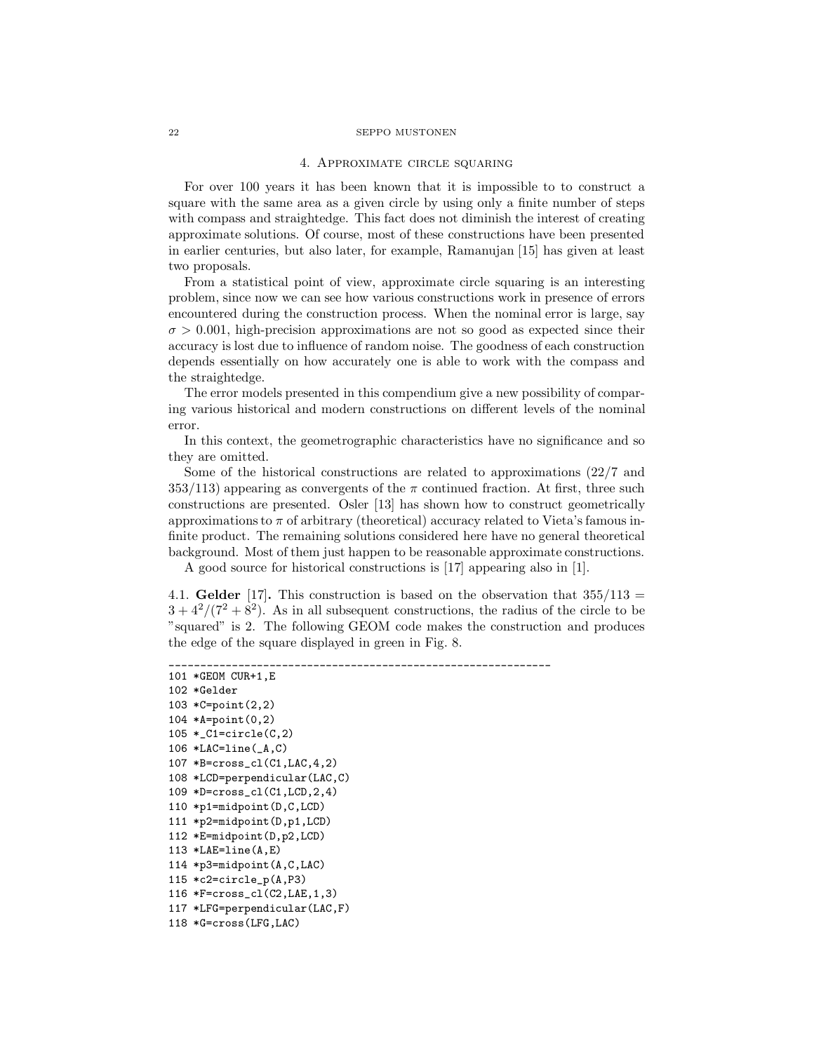### 4. Approximate circle squaring

For over 100 years it has been known that it is impossible to to construct a square with the same area as a given circle by using only a finite number of steps with compass and straightedge. This fact does not diminish the interest of creating approximate solutions. Of course, most of these constructions have been presented in earlier centuries, but also later, for example, Ramanujan [15] has given at least two proposals.

From a statistical point of view, approximate circle squaring is an interesting problem, since now we can see how various constructions work in presence of errors encountered during the construction process. When the nominal error is large, say  $\sigma > 0.001$ , high-precision approximations are not so good as expected since their accuracy is lost due to influence of random noise. The goodness of each construction depends essentially on how accurately one is able to work with the compass and the straightedge.

The error models presented in this compendium give a new possibility of comparing various historical and modern constructions on different levels of the nominal error.

In this context, the geometrographic characteristics have no significance and so they are omitted.

Some of the historical constructions are related to approximations (22/7 and 353/113) appearing as convergents of the  $\pi$  continued fraction. At first, three such constructions are presented. Osler [13] has shown how to construct geometrically approximations to  $\pi$  of arbitrary (theoretical) accuracy related to Vieta's famous infinite product. The remaining solutions considered here have no general theoretical background. Most of them just happen to be reasonable approximate constructions.

A good source for historical constructions is [17] appearing also in [1].

4.1. Gelder [17]. This construction is based on the observation that  $355/113 =$  $3 + 4^2/(7^2 + 8^2)$ . As in all subsequent constructions, the radius of the circle to be "squared" is 2. The following GEOM code makes the construction and produces the edge of the square displayed in green in Fig. 8.

```
_____________________________________________________________
101 *GEOM CUR+1,E
102 *Gelder
103 *C=point(2,2)
104 *A=point(0,2)
105 *C1 =circle(C, 2)106 *LAC=line(_A,C)
107 *B=cross_cl(C1,LAC,4,2)
108 *LCD=perpendicular(LAC,C)
109 *D=cross_cl(C1,LCD,2,4)
110 *p1=midpoint(D,C,LCD)
111 *p2=midpoint(D,p1,LCD)
112 *E=midpoint(D,p2,LCD)
113 *LAE=line(A,E)
114 *p3=midpoint(A,C,LAC)
115 *c2=circle_p(A,P3)
116 *F=cross_cl(C2,LAE,1,3)
117 *LFG=perpendicular(LAC,F)
118 *G=cross(LFG,LAC)
```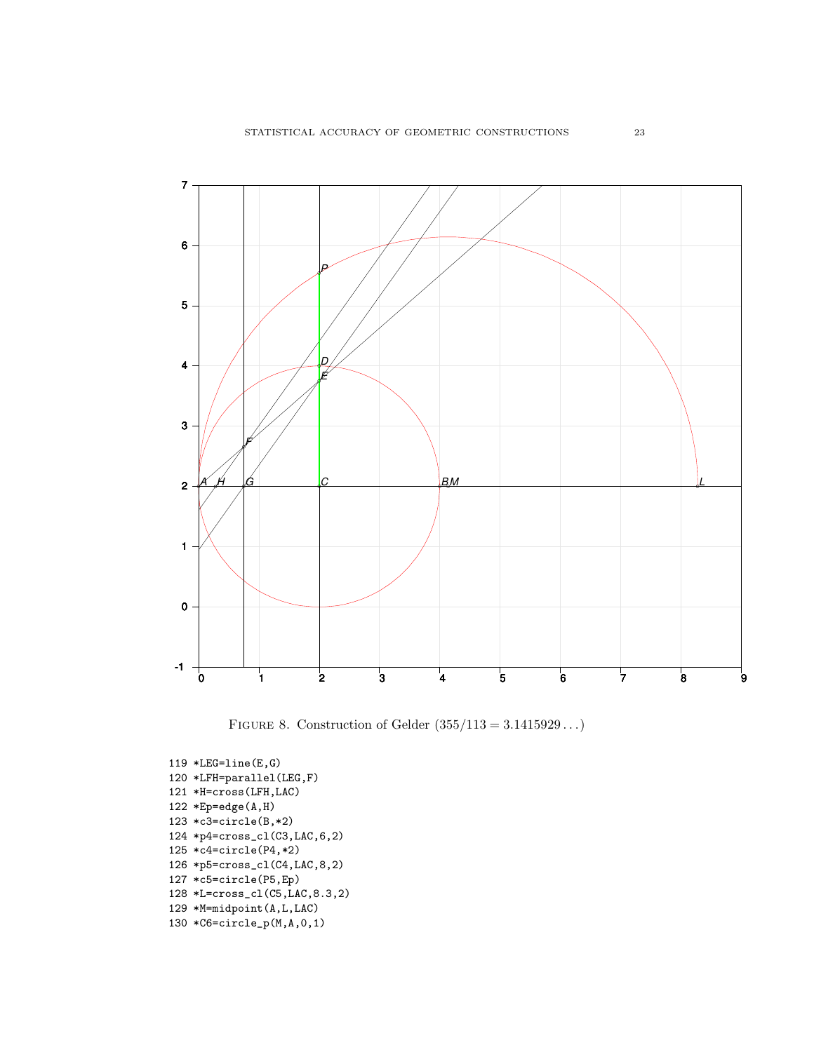

FIGURE 8. Construction of Gelder  $(355/113 = 3.1415929...)$ 

```
119 *LEG=line(E,G)120 *LFH=parallel(LEG,F)
121 *H=cross(LFH,LAC)
122 * Ep = edge(A,H)123 *c3=circle(B,*2)
124 *p4=cross_cl(C3,LAC,6,2)
125 *c4=circle(P4,*2)
126 *p5=cross_cl(C4,LAC,8,2)
127 *c5=circle(P5,Ep)
128 *L=cross_cl(C5,LAC,8.3,2)
129 *M=midpoint(A,L,LAC)
130 *C6=circle_p(M,A,0,1)
```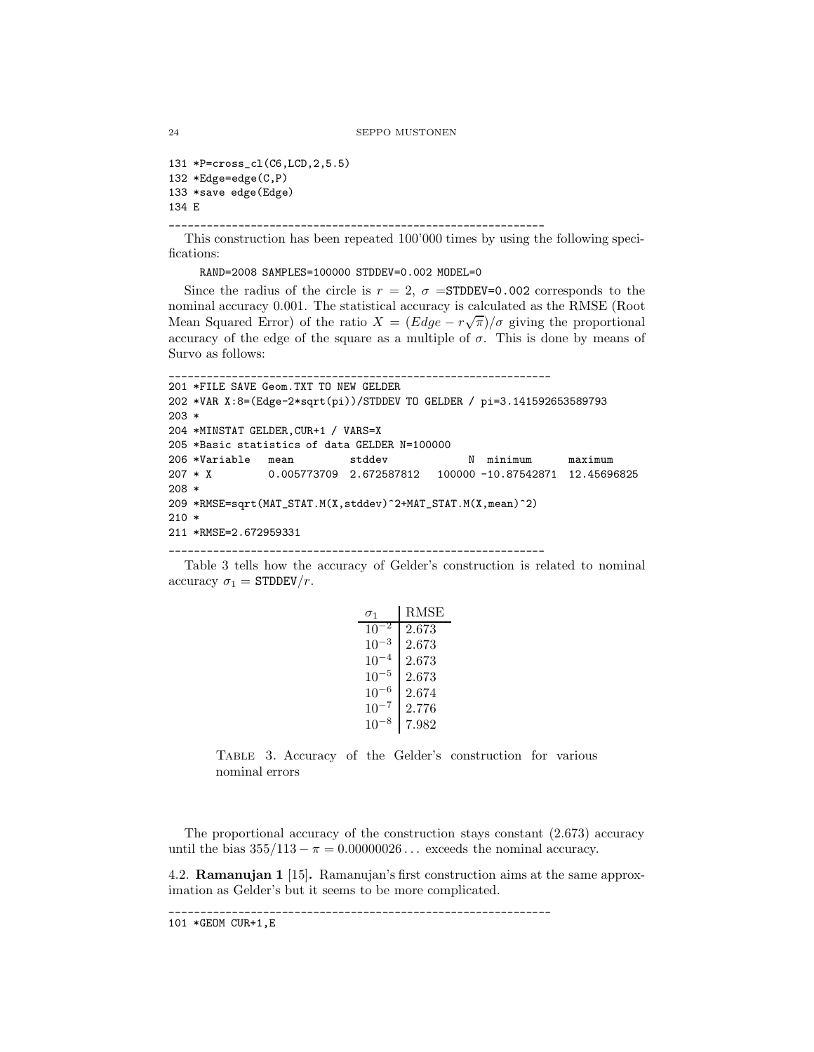```
131 *P=cross_cl(C6,LCD,2,5.5)
132 *Edge=edge(C,P)
133 *save edge(Edge)
134 E
```
\_\_\_\_\_\_\_\_\_\_\_\_\_\_\_\_\_\_\_\_\_\_\_\_\_\_\_\_\_\_\_\_\_\_\_\_\_\_\_\_\_\_\_\_\_\_\_\_\_\_\_\_\_\_\_\_\_\_\_\_

This construction has been repeated 100'000 times by using the following specifications:

RAND=2008 SAMPLES=100000 STDDEV=0.002 MODEL=0

Since the radius of the circle is  $r = 2$ ,  $\sigma =$ STDDEV=0.002 corresponds to the nominal accuracy 0.001. The statistical accuracy is calculated as the RMSE (Root Mean Squared Error) of the ratio  $X = (Edge - r\sqrt{\pi})/\sigma$  giving the proportional accuracy of the edge of the square as a multiple of  $\sigma$ . This is done by means of Survo as follows:

```
_____________________________________________________________
201 *FILE SAVE Geom.TXT TO NEW GELDER
202 *VAR X:8=(Edge-2*sqrt(pi))/STDDEV TO GELDER / pi=3.141592653589793
203 *
204 *MINSTAT GELDER,CUR+1 / VARS=X
205 *Basic statistics of data GELDER N=100000
206 *Variable mean stddev N minimum maximum
207 * X 0.005773709 2.672587812 100000 -10.87542871 12.45696825
208 *
209 *RMSE=sqrt(MAT_STAT.M(X,stddev)^2+MAT_STAT.M(X,mean)^2)
210 *
211 *RMSE=2.672959331
```
\_\_\_\_\_\_\_\_\_\_\_\_\_\_\_\_\_\_\_\_\_\_\_\_\_\_\_\_\_\_\_\_\_\_\_\_\_\_\_\_\_\_\_\_\_\_\_\_\_\_\_\_\_\_\_\_\_\_\_\_

Table 3 tells how the accuracy of Gelder's construction is related to nominal accuracy  $\sigma_1 =$  STDDEV/r.

| $\sigma_1$ | RMSE  |
|------------|-------|
| 10         | 2.673 |
| 10         | 2.673 |
| $10^{-4}$  | 2.673 |
| $10^{-5}$  | 2.673 |
| -6<br>10   | 2.674 |
| 10         | 2.776 |
| 10         | 7.982 |

Table 3. Accuracy of the Gelder's construction for various nominal errors

The proportional accuracy of the construction stays constant (2.673) accuracy until the bias  $355/113 - \pi = 0.00000026...$  exceeds the nominal accuracy.

4.2. Ramanujan 1 [15]. Ramanujan's first construction aims at the same approximation as Gelder's but it seems to be more complicated.

```
_____________________________________________________________
```

```
101 *GEOM CUR+1,E
```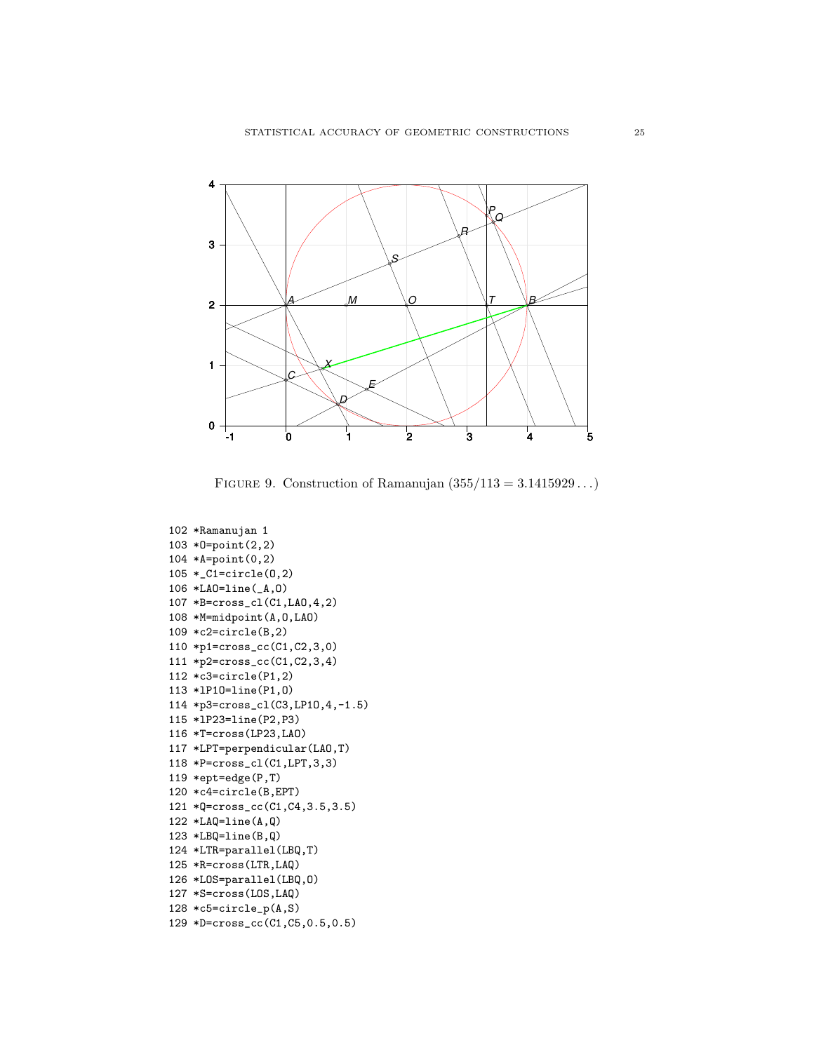

FIGURE 9. Construction of Ramanujan  $(355/113 = 3.1415929...)$ 

```
102 *Ramanujan 1
103 *O=point(2,2)
104 *A=point(0,2)
105 *_C1=circle(O,2)
106 *LAO=line(_A,O)
107 *B=cross_cl(C1,LAO,4,2)
108 *M=midpoint(A,O,LAO)
109 *c2=circle(B,2)
110 *p1=cross_cc(C1,C2,3,0)
111 *p2=cross_cc(C1,C2,3,4)
112 *c3=circle(P1,2)
113 *lP1O=line(P1,O)
114 *p3=cross_cl(C3,LP1O,4,-1.5)
115 *lP23=line(P2,P3)
116 *T=cross(LP23,LAO)
117 *LPT=perpendicular(LAO,T)
118 *P=cross_cl(C1,LPT,3,3)
119 *ept=edge(P,T)
120 *c4=circle(B,EPT)
121 *Q=cross_cc(C1,C4,3.5,3.5)
122 *LAQ=line(A,Q)
123 *LBQ=line(B,Q)
124 *LTR=parallel(LBQ,T)
125 *R=cross(LTR,LAQ)
126 *LOS=parallel(LBQ,O)
127 *S=cross(LOS,LAQ)
128 *c5=circle_p(A,S)
129 *D=cross_cc(C1,C5,0.5,0.5)
```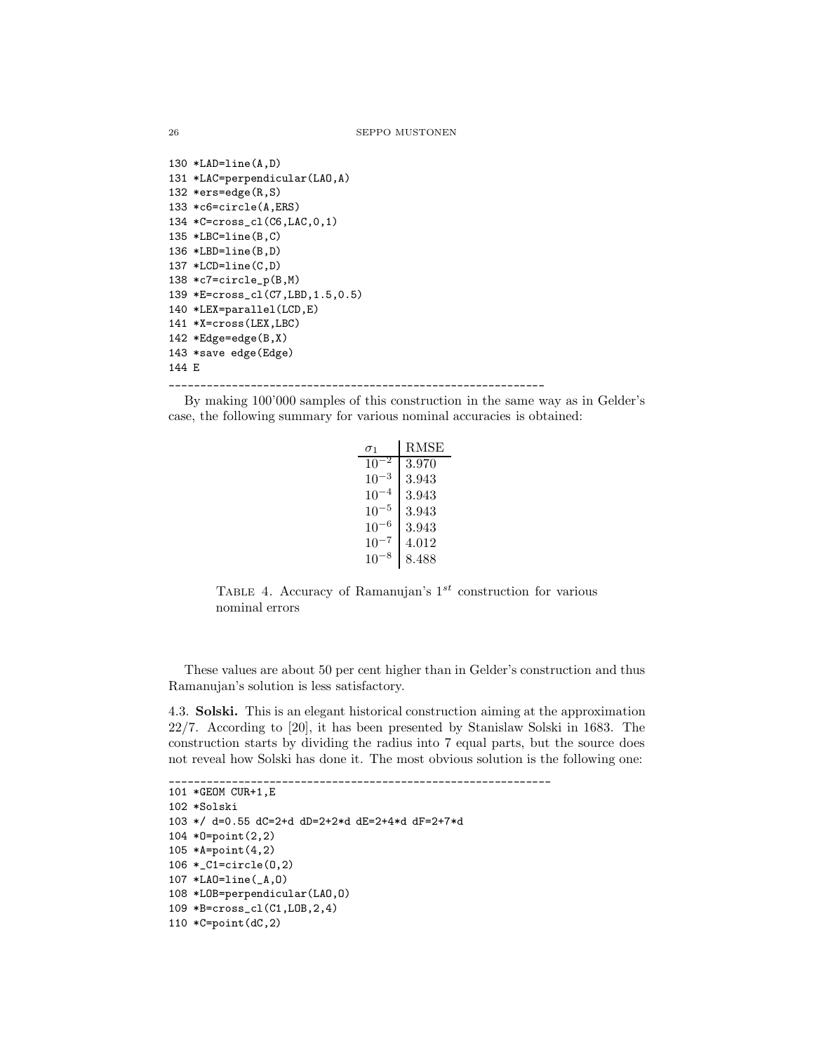```
26 SEPPO MUSTONEN
```

```
130 *LAD=line(A,D)131 *LAC=perpendicular(LAO,A)
132 *ers=edge(R,S)
133 *c6=circle(A,ERS)
134 *C=cross_cl(C6,LAC,0,1)
135 *LBC=line(B,C)
136 *LBD=line(B,D)
137 * LCD = line(C,D)138 *c7=circle_p(B,M)
139 *E=cross_cl(C7,LBD,1.5,0.5)
140 *LEX=parallel(LCD,E)
141 *X=cross(LEX,LBC)
142 *Edge=edge(B,X)
143 *save edge(Edge)
144 E
                        ____________________________________________________________
```
By making 100'000 samples of this construction in the same way as in Gelder's case, the following summary for various nominal accuracies is obtained:

| $\sigma_1$ | <b>RMSE</b> |
|------------|-------------|
| $10^{-2}$  | 3.970       |
| $10^{-3}$  | 3.943       |
| $10^{-4}$  | 3.943       |
| $10^{-5}$  | 3.943       |
| $10^{-6}$  | 3.943       |
| $10^{-7}$  | 4.012       |
| 10         | 8.488       |

TABLE 4. Accuracy of Ramanujan's  $1^{st}$  construction for various nominal errors

These values are about 50 per cent higher than in Gelder's construction and thus Ramanujan's solution is less satisfactory.

4.3. Solski. This is an elegant historical construction aiming at the approximation 22/7. According to [20], it has been presented by Stanislaw Solski in 1683. The construction starts by dividing the radius into 7 equal parts, but the source does not reveal how Solski has done it. The most obvious solution is the following one:

\_\_\_\_\_\_\_\_\_\_\_\_\_\_\_\_\_\_\_\_\_\_\_\_\_\_\_\_\_\_\_\_\_\_\_\_\_\_\_\_\_\_\_\_\_\_\_\_\_\_\_\_\_\_\_\_\_\_\_\_\_

```
101 *GEOM CUR+1,E
102 *Solski
103 */ d=0.55 dC=2+d dD=2+2*d dE=2+4*d dF=2+7*d
104 *O=point(2,2)
105 *A=point(4,2)
106 *_C1=circle(O,2)
107 *LAO=line(_A,O)
108 *LOB=perpendicular(LAO,O)
109 *B=cross_cl(C1,LOB,2,4)
110 *C=point(dC,2)
```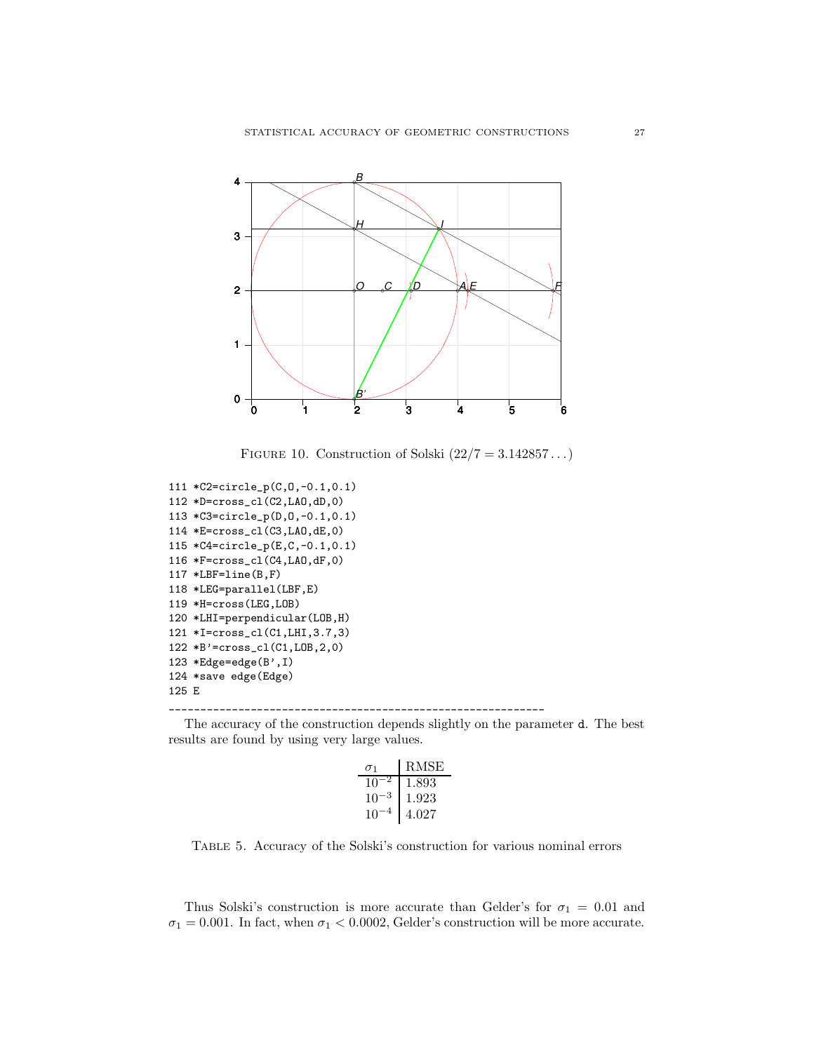

FIGURE 10. Construction of Solski  $(22/7 = 3.142857...)$ 

```
111 *C2=circle_p(C,O,-0.1,0.1)
112 *D=cross_cl(C2,LAO,dD,0)
113 *C3=circle_p(D,O,-0.1,0.1)
114 *E=cross_cl(C3,LAO,dE,0)
115 *C4=circle_p(E,C,-0.1,0.1)
116 *F=cross_cl(C4,LAO,dF,0)
117 *LBF=line(B,F)
118 *LEG=parallel(LBF,E)
119 *H=cross(LEG,LOB)
120 *LHI=perpendicular(LOB,H)
121 *I=cross_cl(C1,LHI,3.7,3)
122 *B'=cross_cl(C1,LOB,2,0)
123 *Edge=edge(B',I)
124 *save edge(Edge)
125 E
```
\_\_\_\_\_\_\_\_\_\_\_\_\_\_\_\_\_\_\_\_\_\_\_\_\_\_\_\_\_\_\_\_\_\_\_\_\_\_\_\_\_\_\_\_\_\_\_\_\_\_\_\_\_\_\_\_\_\_\_\_

The accuracy of the construction depends slightly on the parameter d. The best results are found by using very large values.

| $\sigma_1$ | RMSE  |
|------------|-------|
| 10         | 1.893 |
| $10^{-}$   | 1.923 |
| 10         | 4.027 |

Table 5. Accuracy of the Solski's construction for various nominal errors

Thus Solski's construction is more accurate than Gelder's for  $\sigma_1 = 0.01$  and  $\sigma_1 = 0.001$ . In fact, when  $\sigma_1 < 0.0002$ , Gelder's construction will be more accurate.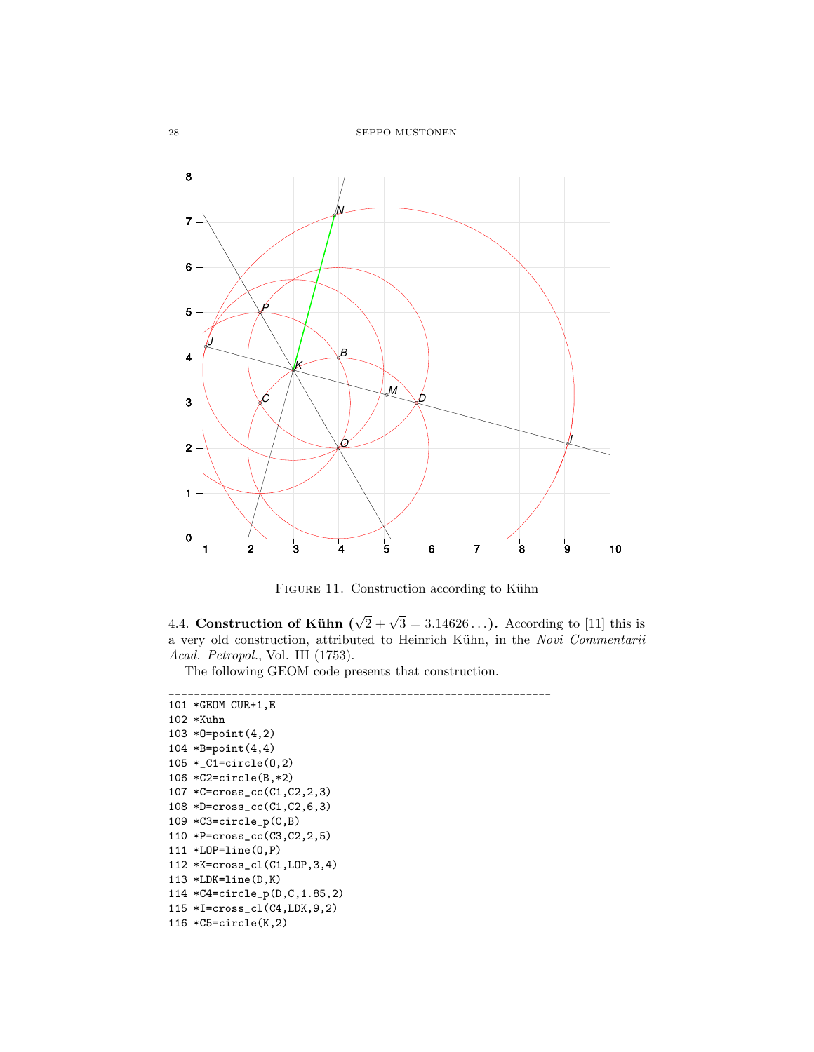

FIGURE 11. Construction according to Kühn

4.4. Construction of Kühn  $(\sqrt{2} + \sqrt{3} = 3.14626...)$ . According to [11] this is a very old construction, attributed to Heinrich Kühn, in the Novi Commentarii Acad. Petropol., Vol. III (1753).

The following GEOM code presents that construction.

```
_____________________________________________________________
101 *GEOM CUR+1,E
102 *Kuhn
103 *O=point(4,2)
104 *B=point(4,4)
105 *_C1=circle(O,2)
106 *C2=circle(B,*2)
107 *C=cross_cc(C1,C2,2,3)
108 *D=cross_cc(C1,C2,6,3)
109 *C3=circle_p(C,B)
110 *P=cross_cc(C3,C2,2,5)
111 *LOP=line(O,P)
112 *K=cross_cl(C1,LOP,3,4)
113 *LDK=line(D,K)
114 *C4=circle_p(D,C,1.85,2)
115 *I=cross_cl(C4,LDK,9,2)
116 *C5=circle(K,2)
```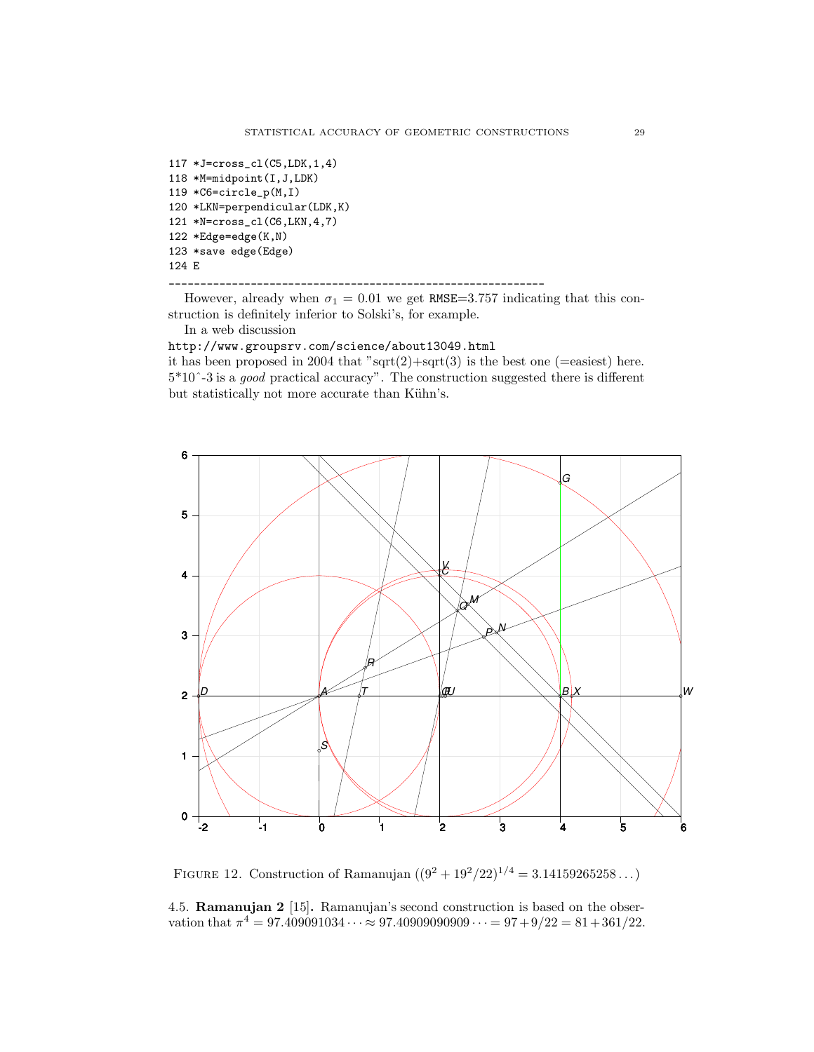117 \*J=cross\_cl(C5,LDK,1,4) 118 \*M=midpoint(I,J,LDK) 119 \*C6=circle\_p(M,I) 120 \*LKN=perpendicular(LDK,K) 121 \*N=cross\_cl(C6,LKN,4,7) 122 \*Edge=edge(K,N) 123 \*save edge(Edge) 124 E

However, already when  $\sigma_1 = 0.01$  we get RMSE=3.757 indicating that this construction is definitely inferior to Solski's, for example.

In a web discussion

<http://www.groupsrv.com/science/about13049.html>

\_\_\_\_\_\_\_\_\_\_\_\_\_\_\_\_\_\_\_\_\_\_\_\_\_\_\_\_\_\_\_\_\_\_\_\_\_\_\_\_\_\_\_\_\_\_\_\_\_\_\_\_\_\_\_\_\_\_\_\_

it has been proposed in 2004 that " $sqrt(2)+sqrt(3)$  is the best one (=easiest) here. 5\*10ˆ-3 is a good practical accuracy". The construction suggested there is different but statistically not more accurate than Kühn's.



FIGURE 12. Construction of Ramanujan  $((9^2 + 19^2/22)^{1/4} = 3.14159265258...)$ 

4.5. Ramanujan 2 [15]. Ramanujan's second construction is based on the observation that  $\pi^4 = 97.409091034 \cdots \approx 97.40909090909 \cdots = 97 + 9/22 = 81 + 361/22$ .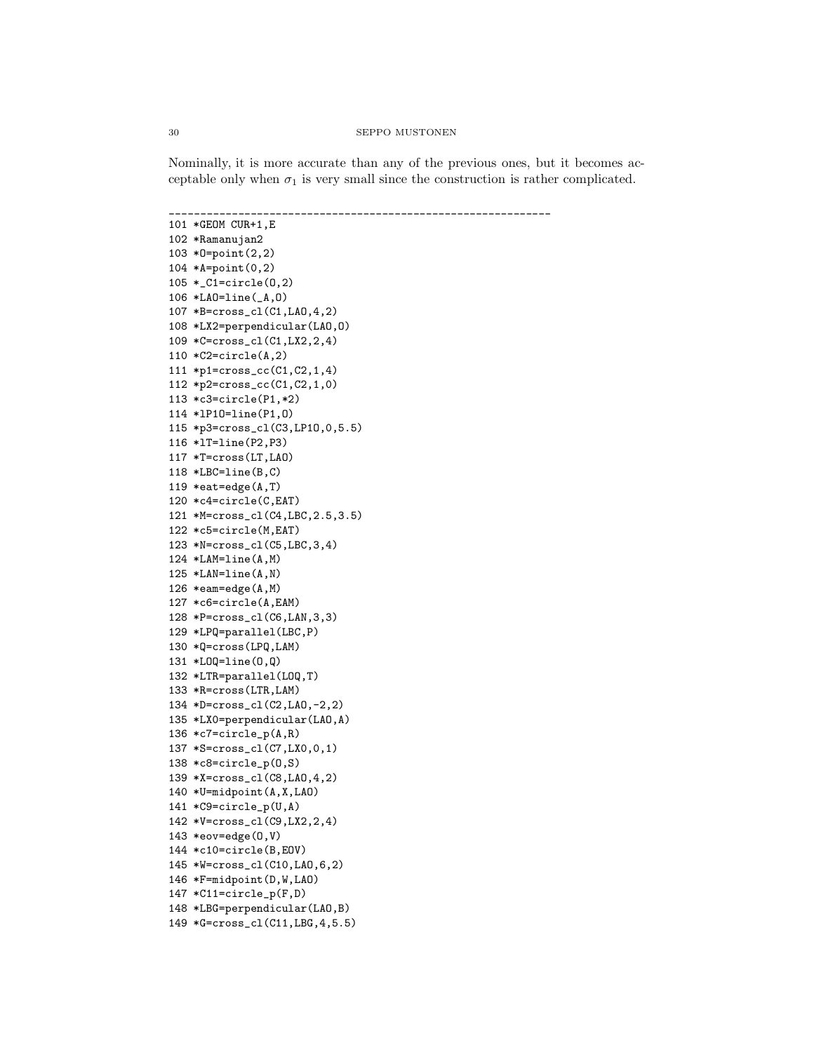Nominally, it is more accurate than any of the previous ones, but it becomes acceptable only when  $\sigma_1$  is very small since the construction is rather complicated.

```
_____________________________________________________________
101 *GEOM CUR+1,E
102 *Ramanujan2
103 *O=point(2,2)
104 *A=point(0,2)
105 *_C1=circle(O,2)
106 *LAO=line(_A,O)
107 *B=cross_cl(C1,LAO,4,2)
108 *LX2=perpendicular(LAO,O)
109 *C=cross_cl(C1,LX2,2,4)
110 *C2=circle(A,2)
111 *p1=cross_cc(C1,C2,1,4)
112 *p2=cross_cc(C1,C2,1,0)
113 *c3=circle(P1,*2)
114 *lP1O=line(P1,O)
115 *p3=cross_cl(C3,LP1O,0,5.5)
116 *lT=line(P2,P3)
117 *T=cross(LT,LAO)
118 *LBC=line(B,C)
119 *eat=edge(A,T)
120 *c4=circle(C,EAT)
121 *M=cross_cl(C4,LBC,2.5,3.5)
122 *c5=circle(M,EAT)
123 *N=cross_cl(C5,LBC,3,4)
124 *LAM=line(A,M)
125 *LAN=line(A,N)
126 *eam=edge(A,M)
127 *c6=circle(A,EAM)
128 *P=cross_cl(C6,LAN,3,3)
129 *LPQ=parallel(LBC,P)
130 *Q=cross(LPQ,LAM)
131 *LOQ=line(O,Q)
132 *LTR=parallel(LOQ,T)
133 *R=cross(LTR,LAM)
134 *D=cross_cl(C2,LAO,-2,2)
135 *LX0=perpendicular(LAO,A)
136 *c7=circle_p(A,R)
137 *S=cross_cl(C7,LX0,0,1)
138 *c8=circle_p(O,S)
139 *X=cross_cl(C8,LAO,4,2)
140 *U=midpoint(A,X,LAO)
141 *C9=circle_p(U,A)
142 *V=cross_cl(C9,LX2,2,4)
143 *eov=edge(O,V)
144 *c10=circle(B,EOV)
145 *W=cross_cl(C10,LAO,6,2)
146 *F=midpoint(D,W,LAO)
147 *C11=circle_p(F,D)
148 *LBG=perpendicular(LAO,B)
149 *G=cross_cl(C11,LBG,4,5.5)
```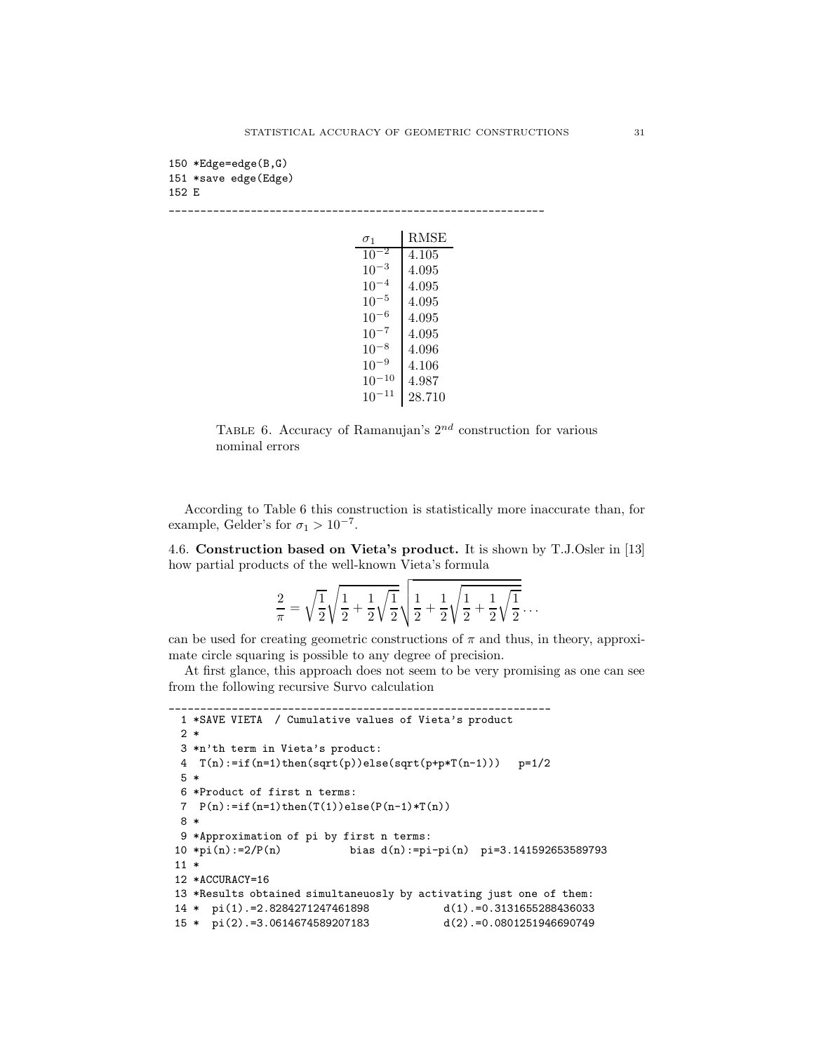```
150 *Edge=edge(B,G)
151 *save edge(Edge)
152 E
```
\_\_\_\_\_\_\_\_\_\_\_\_\_\_\_\_\_\_\_\_\_\_\_\_\_\_\_\_\_\_\_\_\_\_\_\_\_\_\_\_\_\_\_\_\_\_\_\_\_\_\_\_\_\_\_\_\_\_\_\_  $\overline{R}$ 

|                    | K.MSE  |
|--------------------|--------|
| 10                 | 4.105  |
| $10^{-}$           | 4.095  |
| -4<br>$10^{-}$     | 4.095  |
| -5<br>$10^{-}$     | 4.095  |
| -6<br>$10^{-}$     | 4.095  |
| $10^{-}$           | 4.095  |
| 8<br>$10^{-}$      | 4.096  |
| - 9<br>$10^{-}$    | 4.106  |
| -10<br>10          | 4.987  |
| $^{\rm -11}$<br>10 | 28.710 |

TABLE 6. Accuracy of Ramanujan's  $2^{nd}$  construction for various nominal errors

According to Table 6 this construction is statistically more inaccurate than, for example, Gelder's for  $\sigma_1 > 10^{-7}$ .

4.6. Construction based on Vieta's product. It is shown by T.J.Osler in [13] how partial products of the well-known Vieta's formula

$$
\frac{2}{\pi} = \sqrt{\frac{1}{2}} \sqrt{\frac{1}{2} + \frac{1}{2}} \sqrt{\frac{1}{2}} \sqrt{\frac{1}{2} + \frac{1}{2}} \sqrt{\frac{1}{2} + \frac{1}{2}} \sqrt{\frac{1}{2}} \dots
$$

can be used for creating geometric constructions of  $\pi$  and thus, in theory, approximate circle squaring is possible to any degree of precision.

At first glance, this approach does not seem to be very promising as one can see from the following recursive Survo calculation

\_\_\_\_\_\_\_\_\_\_\_\_\_\_\_\_\_\_\_\_\_\_\_\_\_\_\_\_\_\_\_\_\_\_\_\_\_\_\_\_\_\_\_\_\_\_\_\_\_\_\_\_\_\_\_\_\_\_\_\_\_

```
1 *SAVE VIETA / Cumulative values of Vieta's product
2 *
3 *n'th term in Vieta's product:
4 T(n):=if(n=1)then(sqrt(p))else(sqrt(p+p*T(n-1))) p=1/2
5 *
6 *Product of first n terms:
7 P(n) := if(n=1) then(T(1)) else(P(n-1)*T(n))8 *
9 *Approximation of pi by first n terms:
10 *pi(n):=2/P(n) bias d(n):=pi-pi(n) pi=3.141592653589793
11 *
12 *ACCURACY=16
13 *Results obtained simultaneuosly by activating just one of them:
14 * pi(1).=2.8284271247461898 d(1).=0.3131655288436033
15 * pi(2).=3.0614674589207183 d(2).=0.0801251946690749
```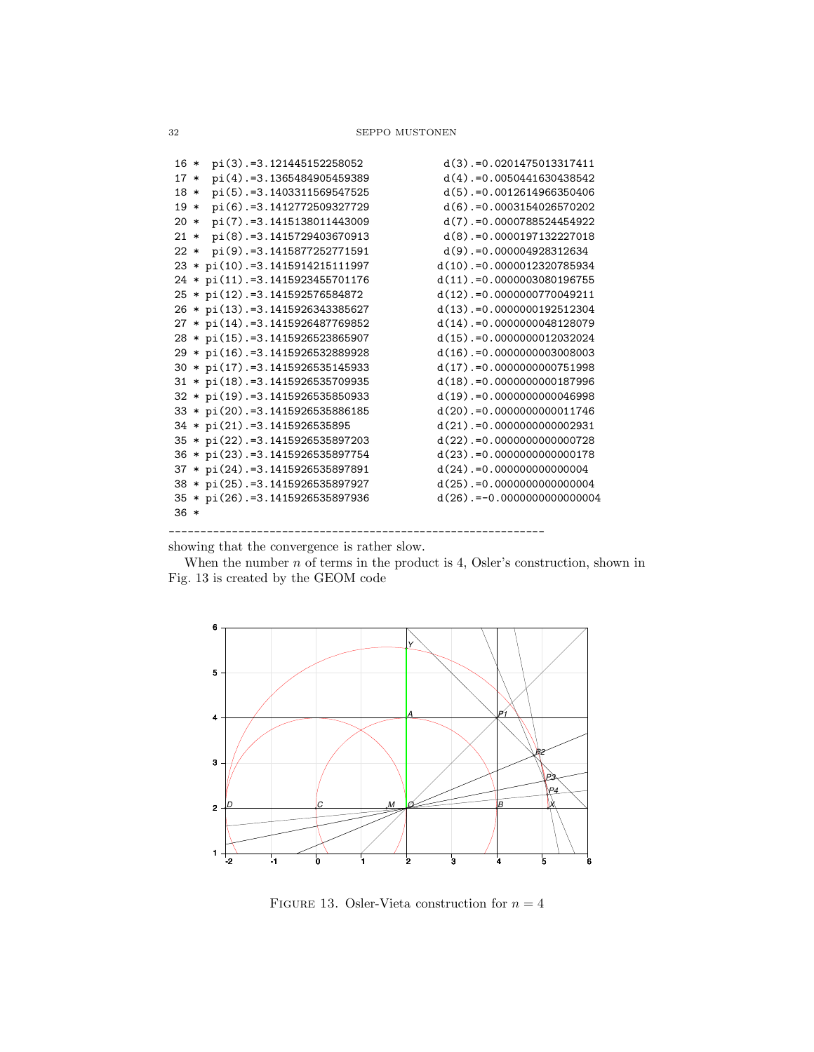| $16 *$ | pi(3).=3.121445152258052           | $d(3)$ . = 0.0201475013317411   |
|--------|------------------------------------|---------------------------------|
| $17 *$ | pi(4).=3.1365484905459389          | $d(4)$ .=0.0050441630438542     |
| $18 *$ | pi(5).=3.1403311569547525          | $d(5)$ . = 0.0012614966350406   |
| $19*$  | pi(6).=3.1412772509327729          | $d(6)$ .=0.0003154026570202     |
| $20*$  | pi(7).=3.1415138011443009          | $d(7)$ .=0.0000788524454922     |
| $21 *$ | pi(8).=3.1415729403670913          | $d(8)$ .=0.0000197132227018     |
| $22 *$ | pi(9).=3.1415877252771591          | $d(9)$ .=0.000004928312634      |
|        | 23 * pi(10).=3.1415914215111997    | $d(10)$ .=0.0000012320785934    |
|        | 24 * pi(11). = 3.1415923455701176  | $d(11)$ .=0.0000003080196755    |
|        | 25 * pi(12).=3.141592576584872     | $d(12)$ . = 0.0000000770049211  |
|        | 26 * pi(13).=3.1415926343385627    | $d(13)$ .=0.0000000192512304    |
|        | 27 * pi(14).=3.1415926487769852    | $d(14)$ .=0.0000000048128079    |
|        | 28 * pi(15). = 3.1415926523865907  | $d(15)$ . = 0.0000000012032024  |
|        | 29 * pi(16).=3.1415926532889928    | $d(16)$ .=0.0000000003008003    |
|        | $30 * pi(17) = 3.1415926535145933$ | $d(17)$ .=0.0000000000751998    |
|        | 31 * pi(18).=3.1415926535709935    | $d(18)$ . = 0.0000000000187996  |
|        | 32 * pi(19). = 3.1415926535850933  | $d(19)$ .=0.0000000000046998    |
|        | 33 * pi(20).=3.1415926535886185    | $d(20)$ . = 0.0000000000011746  |
|        | 34 * pi(21).=3.1415926535895       | $d(21)$ .=0.0000000000002931    |
|        | 35 * pi(22). = 3.1415926535897203  | $d(22)$ . = 0.0000000000000728  |
|        | 36 * pi(23). = 3.1415926535897754  | $d(23)$ . = 0.0000000000000178  |
|        | 37 * pi(24). = 3.1415926535897891  | $d(24)$ . = 0.000000000000004   |
|        | 38 * pi(25). = 3.1415926535897927  | $d(25)$ . = 0.0000000000000004  |
|        | 35 * pi(26).=3.1415926535897936    | $d(26)$ . = -0.0000000000000004 |
| $36*$  |                                    |                                 |
|        |                                    |                                 |

showing that the convergence is rather slow.

\_\_\_\_\_\_\_\_\_\_\_\_\_\_\_\_\_\_\_\_\_\_\_\_\_\_\_\_\_\_\_\_\_\_\_\_\_\_\_\_\_\_\_\_\_\_\_\_\_\_\_\_\_\_\_\_\_\_\_\_

When the number  $n$  of terms in the product is 4, Osler's construction, shown in Fig. 13 is created by the GEOM code



FIGURE 13. Osler-Vieta construction for  $n = 4$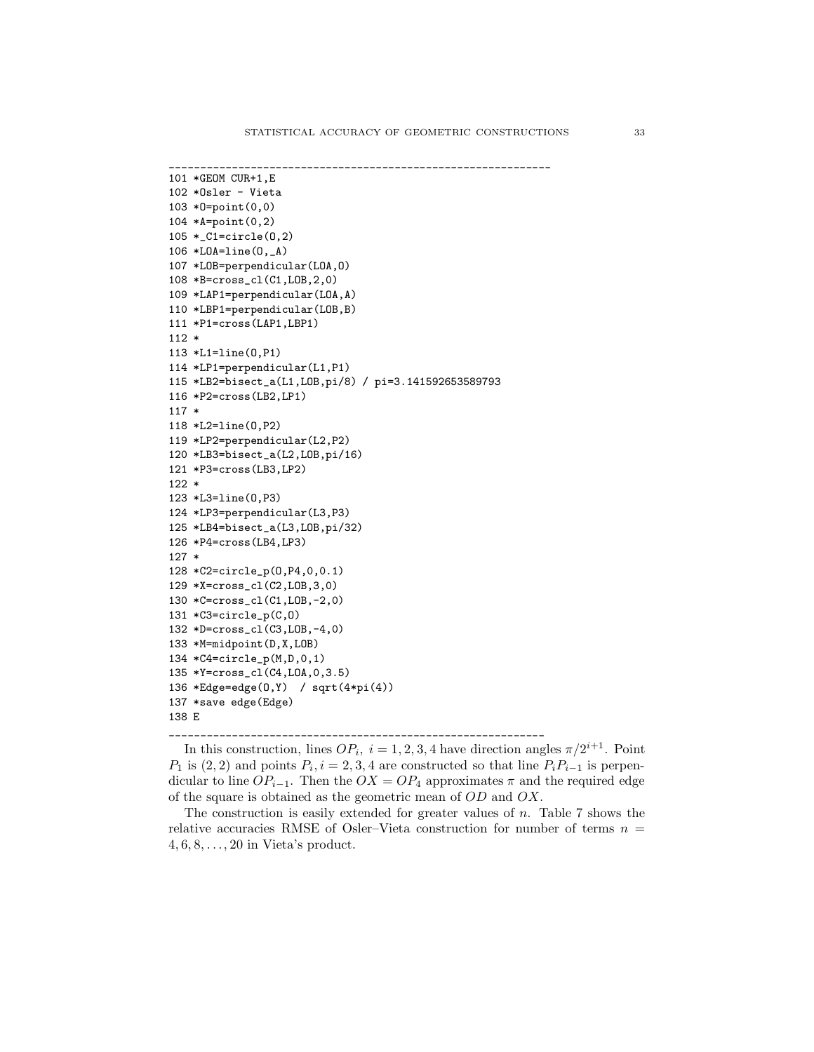```
_____________________________________________________________
101 *GEOM CUR+1,E
102 *Osler - Vieta
103 *O=point(0,0)
104 *A=point(0,2)
105 *_C1=circle(O,2)
106 *LOA=line(O,_A)
107 *LOB=perpendicular(LOA,O)
108 *B=cross_cl(C1,LOB,2,0)
109 *LAP1=perpendicular(LOA,A)
110 *LBP1=perpendicular(LOB,B)
111 *P1=cross(LAP1,LBP1)
112 *
113 *L1=line(O,P1)
114 *LP1=perpendicular(L1,P1)
115 *LB2=bisect_a(L1,LOB,pi/8) / pi=3.141592653589793
116 *P2=cross(LB2,LP1)
117 *
118 *L2=line(O,P2)
119 *LP2=perpendicular(L2,P2)
120 *LB3=bisect_a(L2,LOB,pi/16)
121 *P3=cross(LB3,LP2)
122 *
123 *L3=line(O,P3)
124 *LP3=perpendicular(L3,P3)
125 *LB4=bisect_a(L3,LOB,pi/32)
126 *P4=cross(LB4,LP3)
127 *
128 *C2=circle_p(O,P4,0,0.1)
129 *X=cross_cl(C2,LOB,3,0)
130 *C=cross_cl(C1,LOB,-2,0)
131 *C3=circle_p(C,O)
132 *D=cross_cl(C3,LOB,-4,0)
133 *M=midpoint(D,X,LOB)
134 *C4=circle_p(M,D,0,1)
135 *Y=cross_cl(C4,LOA,0,3.5)
136 *Edge=edge(O,Y) / sqrt(4*pi(4))
137 *save edge(Edge)
138 E
```
In this construction, lines  $OP_i$ ,  $i = 1, 2, 3, 4$  have direction angles  $\pi/2^{i+1}$ . Point  $P_1$  is  $(2, 2)$  and points  $P_i$ ,  $i = 2, 3, 4$  are constructed so that line  $P_i P_{i-1}$  is perpendicular to line  $OP_{i-1}$ . Then the  $OX = OP_4$  approximates  $\pi$  and the required edge of the square is obtained as the geometric mean of OD and OX.

\_\_\_\_\_\_\_\_\_\_\_\_\_\_\_\_\_\_\_\_\_\_\_\_\_\_\_\_\_\_\_\_\_\_\_\_\_\_\_\_\_\_\_\_\_\_\_\_\_\_\_\_\_\_\_\_\_\_\_\_

The construction is easily extended for greater values of n. Table 7 shows the relative accuracies RMSE of Osler–Vieta construction for number of terms  $n =$  $4, 6, 8, \ldots, 20$  in Vieta's product.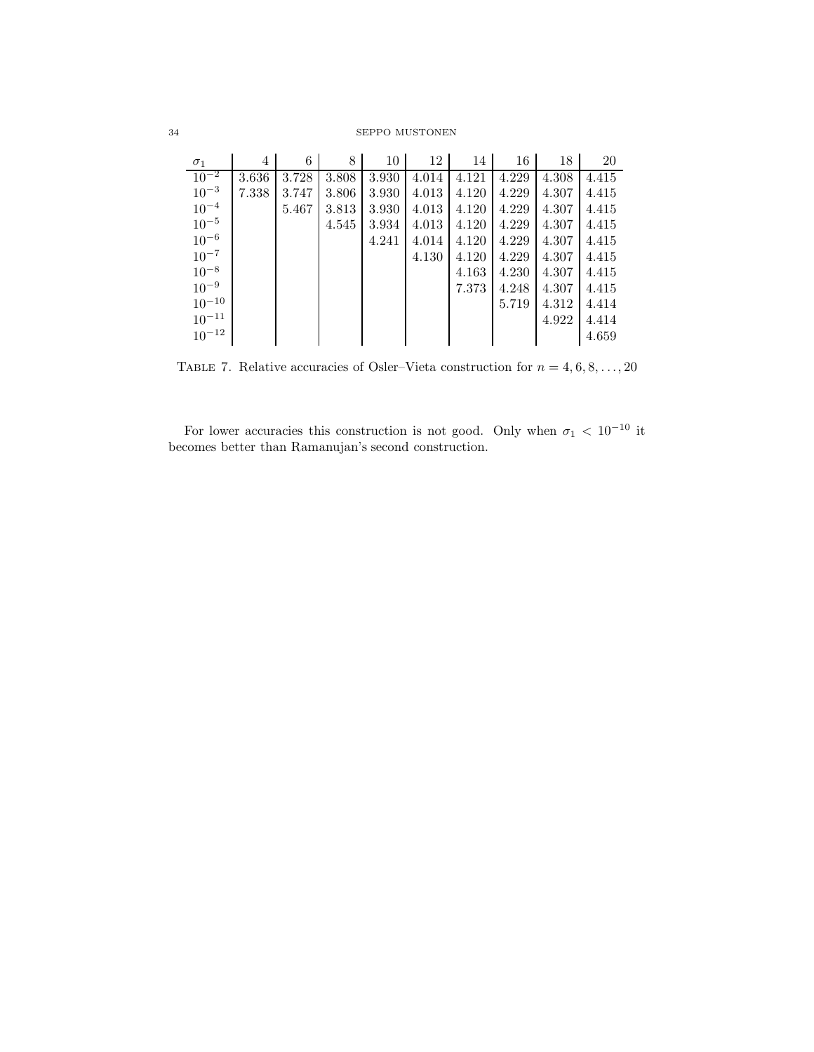| $\sigma_1$ | $\overline{4}$ | 6     | 8     | $10-1$ | 12    | 14 l  | 16    | 18    | 20    |
|------------|----------------|-------|-------|--------|-------|-------|-------|-------|-------|
| $10^{-2}$  | 3.636          | 3.728 | 3.808 | 3.930  | 4.014 | 4.121 | 4.229 | 4.308 | 4.415 |
| $10^{-3}$  | 7.338          | 3.747 | 3.806 | 3.930  | 4.013 | 4.120 | 4.229 | 4.307 | 4.415 |
| $10^{-4}$  |                | 5.467 | 3.813 | 3.930  | 4.013 | 4.120 | 4.229 | 4.307 | 4.415 |
| $10^{-5}$  |                |       | 4.545 | 3.934  | 4.013 | 4.120 | 4.229 | 4.307 | 4.415 |
| $10^{-6}$  |                |       |       | 4.241  | 4.014 | 4.120 | 4.229 | 4.307 | 4.415 |
| $10^{-7}$  |                |       |       |        | 4.130 | 4.120 | 4.229 | 4.307 | 4.415 |
| $10^{-8}$  |                |       |       |        |       | 4.163 | 4.230 | 4.307 | 4.415 |
| $10^{-9}$  |                |       |       |        |       | 7.373 | 4.248 | 4.307 | 4.415 |
| $10^{-10}$ |                |       |       |        |       |       | 5.719 | 4.312 | 4.414 |
| $10^{-11}$ |                |       |       |        |       |       |       | 4.922 | 4.414 |
| $10^{-12}$ |                |       |       |        |       |       |       |       | 4.659 |

TABLE 7. Relative accuracies of Osler–Vieta construction for  $n = 4, 6, 8, ..., 20$ 

For lower accuracies this construction is not good. Only when  $\sigma_1 < 10^{-10}$  it becomes better than Ramanujan's second construction.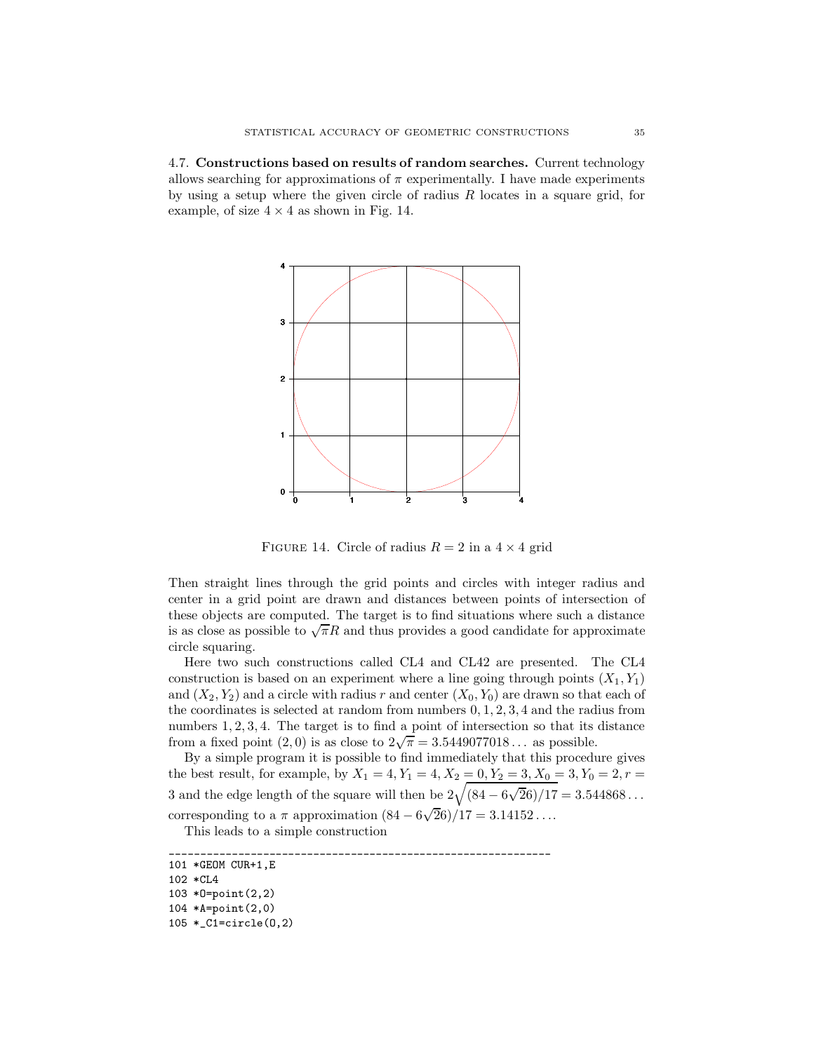4.7. Constructions based on results of random searches. Current technology allows searching for approximations of  $\pi$  experimentally. I have made experiments by using a setup where the given circle of radius  $R$  locates in a square grid, for example, of size  $4 \times 4$  as shown in Fig. 14.



FIGURE 14. Circle of radius  $R = 2$  in a  $4 \times 4$  grid

Then straight lines through the grid points and circles with integer radius and center in a grid point are drawn and distances between points of intersection of these objects are computed. The target is to find situations where such a distance is as close as possible to  $\sqrt{\pi}R$  and thus provides a good candidate for approximate circle squaring.

Here two such constructions called CL4 and CL42 are presented. The CL4 construction is based on an experiment where a line going through points  $(X_1, Y_1)$ and  $(X_2, Y_2)$  and a circle with radius r and center  $(X_0, Y_0)$  are drawn so that each of the coordinates is selected at random from numbers 0, 1, 2, 3, 4 and the radius from numbers 1, 2, 3, 4. The target is to find a point of intersection so that its distance from a fixed point  $(2,0)$  is as close to  $2\sqrt{\pi} = 3.5449077018...$  as possible.

By a simple program it is possible to find immediately that this procedure gives the best result, for example, by  $X_1 = 4, Y_1 = 4, X_2 = 0, Y_2 = 3, X_0 = 3, Y_0 = 2, r = 1$ 3 and the edge length of the square will then be  $2\sqrt{(84 - 6\sqrt{26})/17} = 3.544868...$ corresponding to a  $\pi$  approximation  $(84 - 6\sqrt{26})/17 = 3.14152...$ 

This leads to a simple construction

\_\_\_\_\_\_\_\_\_\_\_\_\_\_\_\_\_\_\_\_\_\_\_\_\_\_\_\_\_\_\_\_\_\_\_\_\_\_\_\_\_\_\_\_\_\_\_\_\_\_\_\_\_\_\_\_\_\_\_\_\_ 101 \*GEOM CUR+1,E

<sup>102 \*</sup>CL4 103 \*O=point(2,2) 104 \*A=point(2,0)

<sup>105 \*</sup>\_C1=circle(O,2)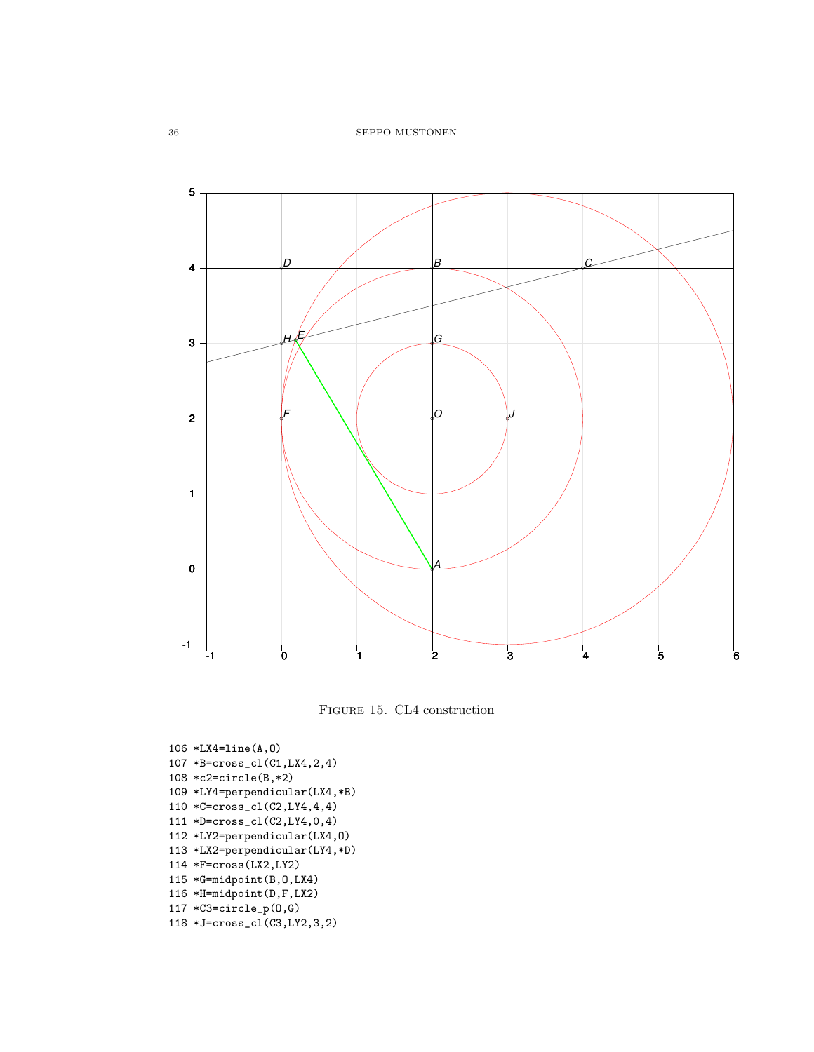



106 \*LX4=line(A,O) 107 \*B=cross\_cl(C1,LX4,2,4) 108 \*c2=circle(B,\*2) 109 \*LY4=perpendicular(LX4,\*B) 110 \*C=cross\_cl(C2,LY4,4,4) 111 \*D=cross\_cl(C2,LY4,0,4) 112 \*LY2=perpendicular(LX4,O) 113 \*LX2=perpendicular(LY4,\*D) 114 \*F=cross(LX2,LY2) 115 \*G=midpoint(B,O,LX4) 116 \*H=midpoint(D,F,LX2) 117 \*C3=circle\_p(O,G) 118 \*J=cross\_cl(C3,LY2,3,2)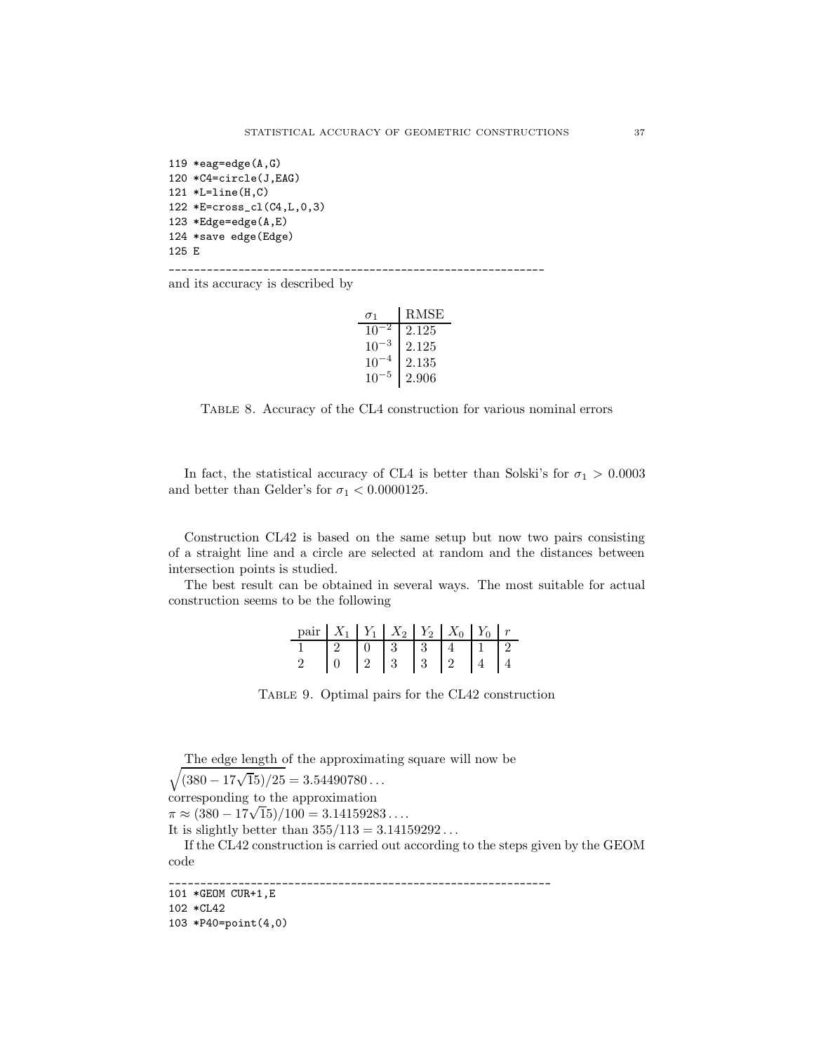```
119 *eag=edge(A,G)
120 *C4=circle(J,EAG)
121 *L=line(H,C)
122 *E=cross_cl(C4,L,0,3)
123 *Edge=edge(A,E)
124 *save edge(Edge)
125 E
```
and its accuracy is described by

|          | RMSE  |
|----------|-------|
| 10       | 2.125 |
| $10^{-}$ | 2.125 |
| 10       | 2.135 |
| 10       | 2.906 |

\_\_\_\_\_\_\_\_\_\_\_\_\_\_\_\_\_\_\_\_\_\_\_\_\_\_\_\_\_\_\_\_\_\_\_\_\_\_\_\_\_\_\_\_\_\_\_\_\_\_\_\_\_\_\_\_\_\_\_\_

Table 8. Accuracy of the CL4 construction for various nominal errors

In fact, the statistical accuracy of CL4 is better than Solski's for  $\sigma_1 > 0.0003$ and better than Gelder's for  $\sigma_1 < 0.0000125$ .

Construction CL42 is based on the same setup but now two pairs consisting of a straight line and a circle are selected at random and the distances between intersection points is studied.

The best result can be obtained in several ways. The most suitable for actual construction seems to be the following

| pair $X_1$ $Y_1$ $X_2$ $Y_2$ $X_0$ $Y_0$ |  |  | $\boldsymbol{r}$ |
|------------------------------------------|--|--|------------------|
|                                          |  |  |                  |
|                                          |  |  |                  |

Table 9. Optimal pairs for the CL42 construction

\_\_\_\_\_\_\_\_\_\_\_\_\_\_\_\_\_\_\_\_\_\_\_\_\_\_\_\_\_\_\_\_\_\_\_\_\_\_\_\_\_\_\_\_\_\_\_\_\_\_\_\_\_\_\_\_\_\_\_\_\_

The edge length of the approximating square will now be

 $\sqrt{(380 - 17\sqrt{15})/25} = 3.54490780...$ corresponding to the approximation  $\pi \approx (380 - 17\sqrt{15})/100 = 3.14159283...$ It is slightly better than  $355/113 = 3.14159292...$ If the CL42 construction is carried out according to the steps given by the GEOM code

```
101 *GEOM CUR+1,E
```

```
102 *CL42
```

```
103 *P40=point(4,0)
```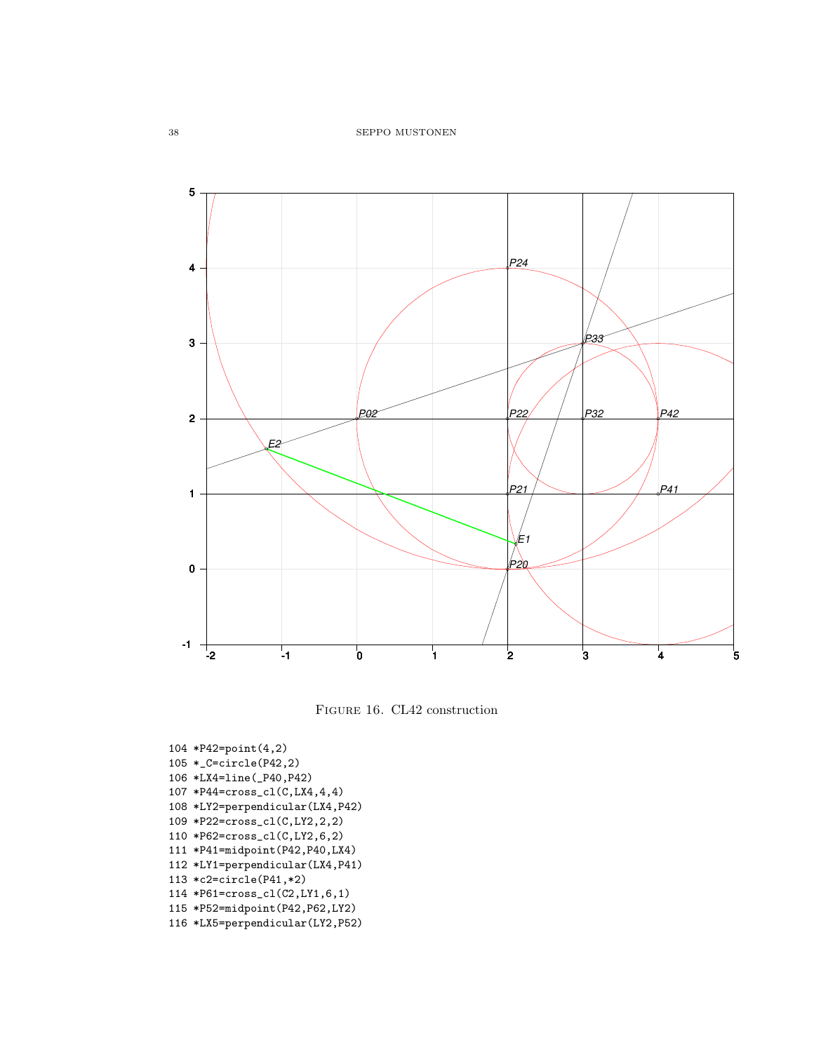

Figure 16. CL42 construction

104 \*P42=point(4,2) 105 \*\_C=circle(P42,2) 106 \*LX4=line(\_P40,P42) 107 \*P44=cross\_cl(C,LX4,4,4) 108 \*LY2=perpendicular(LX4,P42) 109 \*P22=cross\_cl(C,LY2,2,2) 110 \*P62=cross\_cl(C,LY2,6,2) 111 \*P41=midpoint(P42,P40,LX4) 112 \*LY1=perpendicular(LX4,P41) 113 \*c2=circle(P41,\*2) 114 \*P61=cross\_cl(C2,LY1,6,1) 115 \*P52=midpoint(P42,P62,LY2) 116 \*LX5=perpendicular(LY2,P52)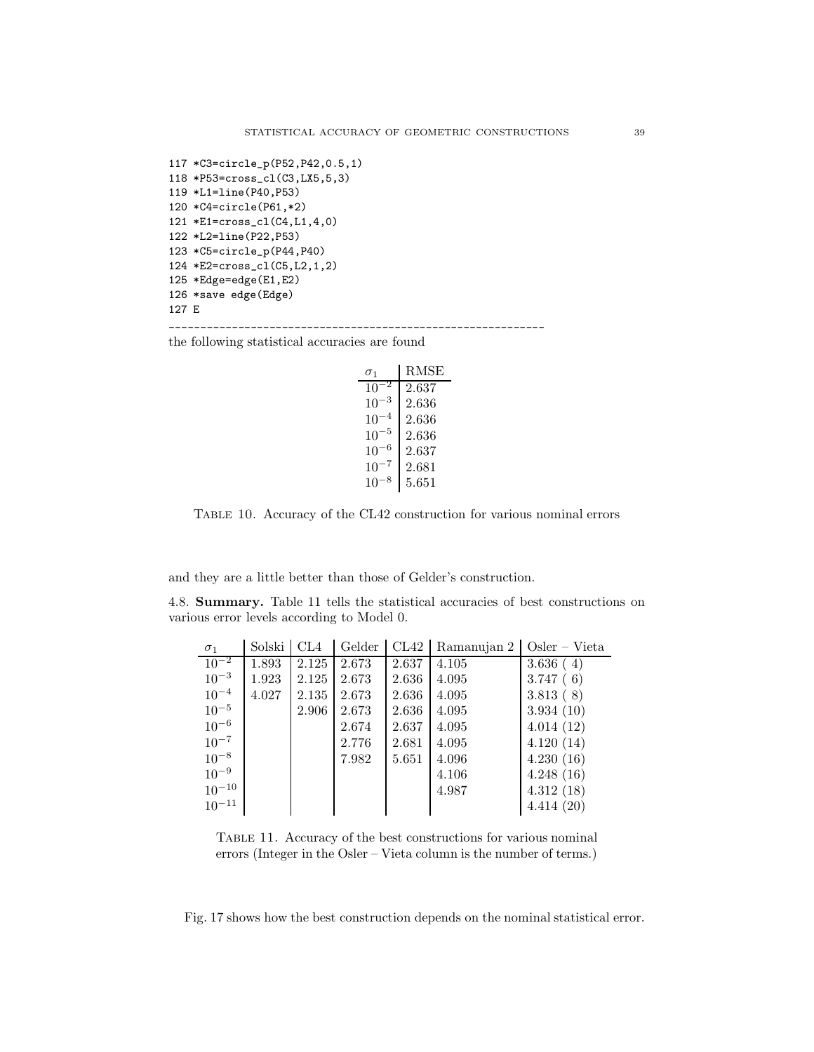```
117 *C3=circle_p(P52,P42,0.5,1)
118 *P53=cross_cl(C3,LX5,5,3)
119 *L1=line(P40,P53)
120 *C4=circle(P61,*2)
121 *E1=cross_cl(C4,L1,4,0)
122 *L2=line(P22,P53)
123 *C5=circle_p(P44,P40)
124 *E2=cross_cl(C5,L2,1,2)
125 *Edge=edge(E1,E2)
126 *save edge(Edge)
127 E
```
the following statistical accuracies are found

| $\sigma_1$ | RMSE  |
|------------|-------|
| $10^{-2}$  | 2.637 |
| $10^{-3}$  | 2.636 |
| $10^{-4}$  | 2.636 |
| $10^{-5}$  | 2.636 |
| $10^{-6}$  | 2.637 |
| $10^{-7}$  | 2.681 |
| 10         | 5.651 |

\_\_\_\_\_\_\_\_\_\_\_\_\_\_\_\_\_\_\_\_\_\_\_\_\_\_\_\_\_\_\_\_\_\_\_\_\_\_\_\_\_\_\_\_\_\_\_\_\_\_\_\_\_\_\_\_\_\_\_\_

Table 10. Accuracy of the CL42 construction for various nominal errors

and they are a little better than those of Gelder's construction.

4.8. Summary. Table 11 tells the statistical accuracies of best constructions on various error levels according to Model 0.

| $\sigma_1$ | Solski | CL4   | Gelder | CL42  | Ramanujan 2 | $Oster - Vieta$ |
|------------|--------|-------|--------|-------|-------------|-----------------|
| $10^{-2}$  | 1.893  | 2.125 | 2.673  | 2.637 | 4.105       | 3.636(4)        |
| $10^{-3}$  | 1.923  | 2.125 | 2.673  | 2.636 | 4.095       | 3.747(6)        |
| $10^{-4}$  | 4.027  | 2.135 | 2.673  | 2.636 | 4.095       | 3.813(8)        |
| $10^{-5}$  |        | 2.906 | 2.673  | 2.636 | 4.095       | 3.934(10)       |
| $10^{-6}$  |        |       | 2.674  | 2.637 | 4.095       | 4.014(12)       |
| $10^{-7}$  |        |       | 2.776  | 2.681 | 4.095       | 4.120(14)       |
| $10^{-8}$  |        |       | 7.982  | 5.651 | 4.096       | 4.230(16)       |
| $10^{-9}$  |        |       |        |       | 4.106       | 4.248(16)       |
| $10^{-10}$ |        |       |        |       | 4.987       | 4.312(18)       |
| $10^{-11}$ |        |       |        |       |             | 4.414(20)       |

Table 11. Accuracy of the best constructions for various nominal errors (Integer in the Osler – Vieta column is the number of terms.)

Fig. 17 shows how the best construction depends on the nominal statistical error.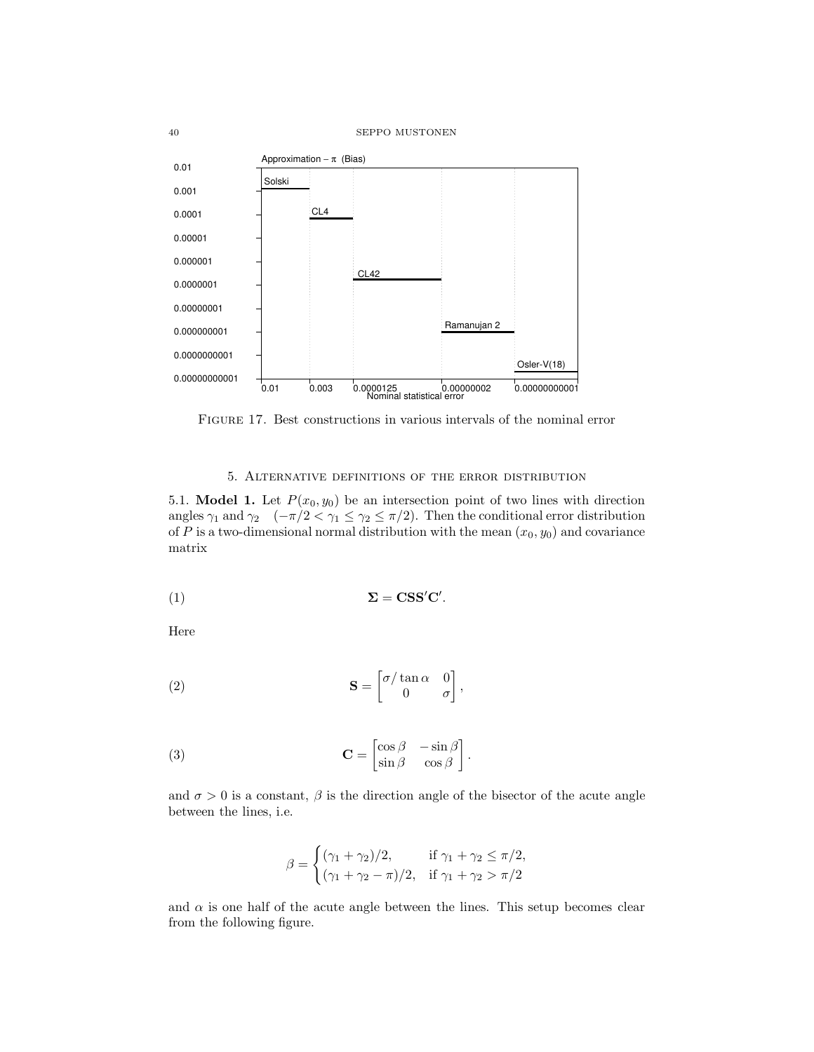

Figure 17. Best constructions in various intervals of the nominal error

## 5. Alternative definitions of the error distribution

5.1. **Model 1.** Let  $P(x_0, y_0)$  be an intersection point of two lines with direction angles  $\gamma_1$  and  $\gamma_2$  ( $-\pi/2 < \gamma_1 \leq \gamma_2 \leq \pi/2$ ). Then the conditional error distribution of  $P$  is a two-dimensional normal distribution with the mean  $(x_0, y_0)$  and covariance matrix

$$
\Sigma = \mathbf{CSS'C'}.
$$

Here

(2) 
$$
\mathbf{S} = \begin{bmatrix} \sigma/\tan \alpha & 0 \\ 0 & \sigma \end{bmatrix},
$$

(3) 
$$
\mathbf{C} = \begin{bmatrix} \cos \beta & -\sin \beta \\ \sin \beta & \cos \beta \end{bmatrix}.
$$

and  $\sigma > 0$  is a constant,  $\beta$  is the direction angle of the bisector of the acute angle between the lines, i.e.

$$
\beta = \begin{cases}\n(\gamma_1 + \gamma_2)/2, & \text{if } \gamma_1 + \gamma_2 \le \pi/2, \\
(\gamma_1 + \gamma_2 - \pi)/2, & \text{if } \gamma_1 + \gamma_2 > \pi/2\n\end{cases}
$$

and  $\alpha$  is one half of the acute angle between the lines. This setup becomes clear from the following figure.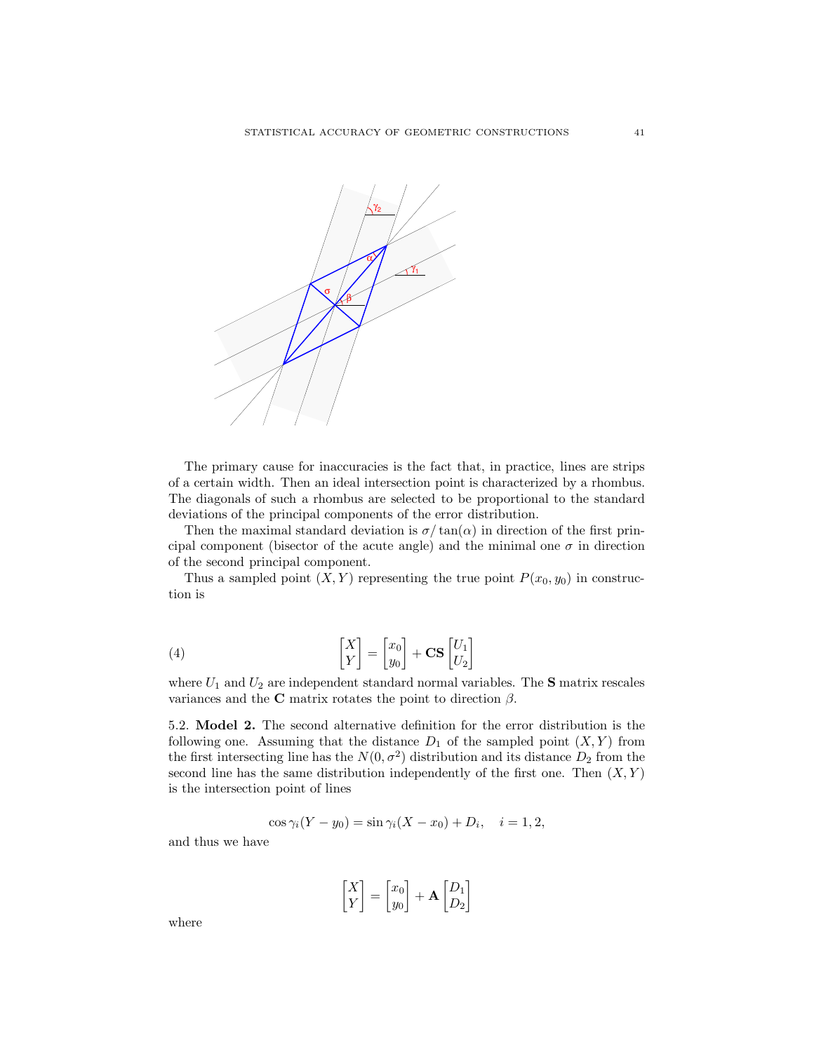

The primary cause for inaccuracies is the fact that, in practice, lines are strips of a certain width. Then an ideal intersection point is characterized by a rhombus. The diagonals of such a rhombus are selected to be proportional to the standard deviations of the principal components of the error distribution.

Then the maximal standard deviation is  $\sigma/\tan(\alpha)$  in direction of the first principal component (bisector of the acute angle) and the minimal one  $\sigma$  in direction of the second principal component.

Thus a sampled point  $(X, Y)$  representing the true point  $P(x_0, y_0)$  in construction is

(4) 
$$
\begin{bmatrix} X \ Y \end{bmatrix} = \begin{bmatrix} x_0 \ y_0 \end{bmatrix} + \mathbf{CS} \begin{bmatrix} U_1 \ U_2 \end{bmatrix}
$$

where  $U_1$  and  $U_2$  are independent standard normal variables. The **S** matrix rescales variances and the C matrix rotates the point to direction  $\beta$ .

5.2. Model 2. The second alternative definition for the error distribution is the following one. Assuming that the distance  $D_1$  of the sampled point  $(X, Y)$  from the first intersecting line has the  $N(0, \sigma^2)$  distribution and its distance  $D_2$  from the second line has the same distribution independently of the first one. Then  $(X, Y)$ is the intersection point of lines

$$
\cos \gamma_i (Y - y_0) = \sin \gamma_i (X - x_0) + D_i, \quad i = 1, 2,
$$

and thus we have

$$
\begin{bmatrix} X \\ Y \end{bmatrix} = \begin{bmatrix} x_0 \\ y_0 \end{bmatrix} + \mathbf{A} \begin{bmatrix} D_1 \\ D_2 \end{bmatrix}
$$

where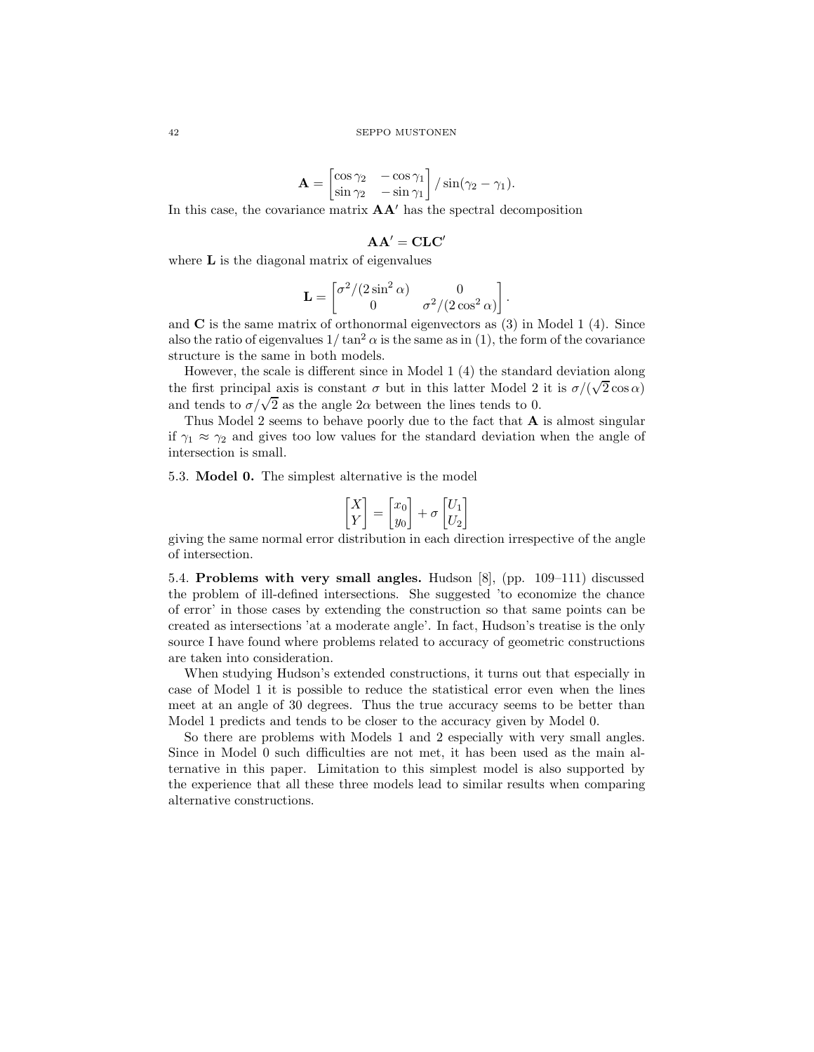$$
\mathbf{A} = \begin{bmatrix} \cos \gamma_2 & -\cos \gamma_1 \\ \sin \gamma_2 & -\sin \gamma_1 \end{bmatrix} / \sin(\gamma_2 - \gamma_1).
$$

In this case, the covariance matrix  $AA'$  has the spectral decomposition

# $AA' = CLC'$

where  $L$  is the diagonal matrix of eigenvalues

$$
\mathbf{L} = \begin{bmatrix} \sigma^2/(2\sin^2\alpha) & 0 \\ 0 & \sigma^2/(2\cos^2\alpha) \end{bmatrix}.
$$

and  $C$  is the same matrix of orthonormal eigenvectors as  $(3)$  in Model 1  $(4)$ . Since also the ratio of eigenvalues  $1/\tan^2 \alpha$  is the same as in (1), the form of the covariance structure is the same in both models.

However, the scale is different since in Model 1 (4) the standard deviation along the first principal axis is constant  $\sigma$  but in this latter Model 2 it is  $\sigma/(\sqrt{2}\cos\alpha)$ and tends to  $\sigma/\sqrt{2}$  as the angle  $2\alpha$  between the lines tends to 0.

Thus Model 2 seems to behave poorly due to the fact that  $\bf{A}$  is almost singular if  $\gamma_1 \approx \gamma_2$  and gives too low values for the standard deviation when the angle of intersection is small.

5.3. Model 0. The simplest alternative is the model

$$
\begin{bmatrix} X \\ Y \end{bmatrix} = \begin{bmatrix} x_0 \\ y_0 \end{bmatrix} + \sigma \begin{bmatrix} U_1 \\ U_2 \end{bmatrix}
$$

giving the same normal error distribution in each direction irrespective of the angle of intersection.

5.4. Problems with very small angles. Hudson [8], (pp. 109–111) discussed the problem of ill-defined intersections. She suggested 'to economize the chance of error' in those cases by extending the construction so that same points can be created as intersections 'at a moderate angle'. In fact, Hudson's treatise is the only source I have found where problems related to accuracy of geometric constructions are taken into consideration.

When studying Hudson's extended constructions, it turns out that especially in case of Model 1 it is possible to reduce the statistical error even when the lines meet at an angle of 30 degrees. Thus the true accuracy seems to be better than Model 1 predicts and tends to be closer to the accuracy given by Model 0.

So there are problems with Models 1 and 2 especially with very small angles. Since in Model 0 such difficulties are not met, it has been used as the main alternative in this paper. Limitation to this simplest model is also supported by the experience that all these three models lead to similar results when comparing alternative constructions.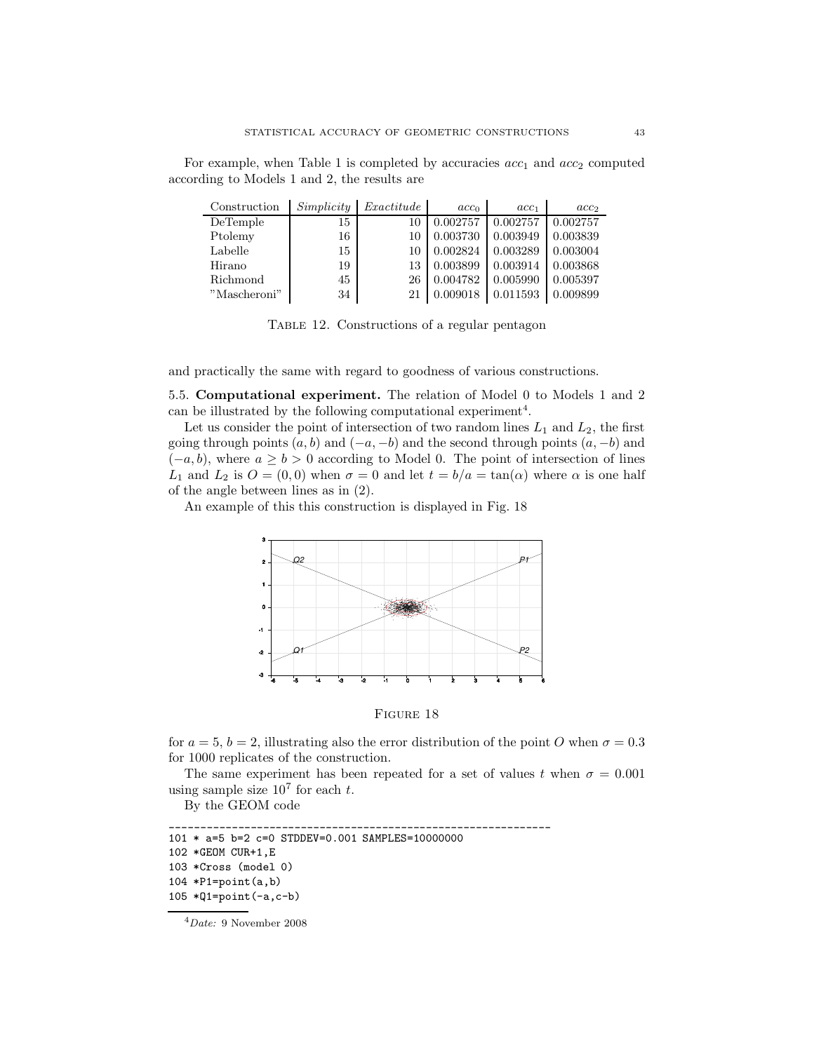For example, when Table 1 is completed by accuracies  $acc_1$  and  $acc_2$  computed according to Models 1 and 2, the results are

| Construction | Simplify | Exactitude | acc <sub>0</sub> | $acc_1$  | acc <sub>2</sub> |
|--------------|----------|------------|------------------|----------|------------------|
| DeTemple     | 15       | 10         | 0.002757         | 0.002757 | 0.002757         |
| Ptolemy      | 16       | 10         | 0.003730         | 0.003949 | 0.003839         |
| Labelle      | 15       | 10         | 0.002824         | 0.003289 | 0.003004         |
| Hirano       | 19       | 13         | 0.003899         | 0.003914 | 0.003868         |
| Richmond     | 45       | 26         | 0.004782         | 0.005990 | 0.005397         |
| "Mascheroni" | 34       | 21         | 0.009018         | 0.011593 | 0.009899         |

Table 12. Constructions of a regular pentagon

and practically the same with regard to goodness of various constructions.

5.5. Computational experiment. The relation of Model 0 to Models 1 and 2 can be illustrated by the following computational experiment<sup>4</sup>.

Let us consider the point of intersection of two random lines  $L_1$  and  $L_2$ , the first going through points  $(a, b)$  and  $(-a, -b)$  and the second through points  $(a, -b)$  and  $(-a, b)$ , where  $a \ge b > 0$  according to Model 0. The point of intersection of lines L<sub>1</sub> and L<sub>2</sub> is  $O = (0, 0)$  when  $\sigma = 0$  and let  $t = b/a = \tan(\alpha)$  where  $\alpha$  is one half of the angle between lines as in (2).

An example of this this construction is displayed in Fig. 18



FIGURE 18

for  $a = 5$ ,  $b = 2$ , illustrating also the error distribution of the point O when  $\sigma = 0.3$ for 1000 replicates of the construction.

The same experiment has been repeated for a set of values t when  $\sigma = 0.001$ using sample size  $10^7$  for each t.

By the GEOM code

```
_____________________________________________________________
101 * a=5 b=2 c=0 STDDEV=0.001 SAMPLES=10000000
102 *GEOM CUR+1,E
103 *Cross (model 0)
104 *P1=point(a,b)
105 *Q1=point(-a,c-b)
```
<sup>4</sup>Date: 9 November 2008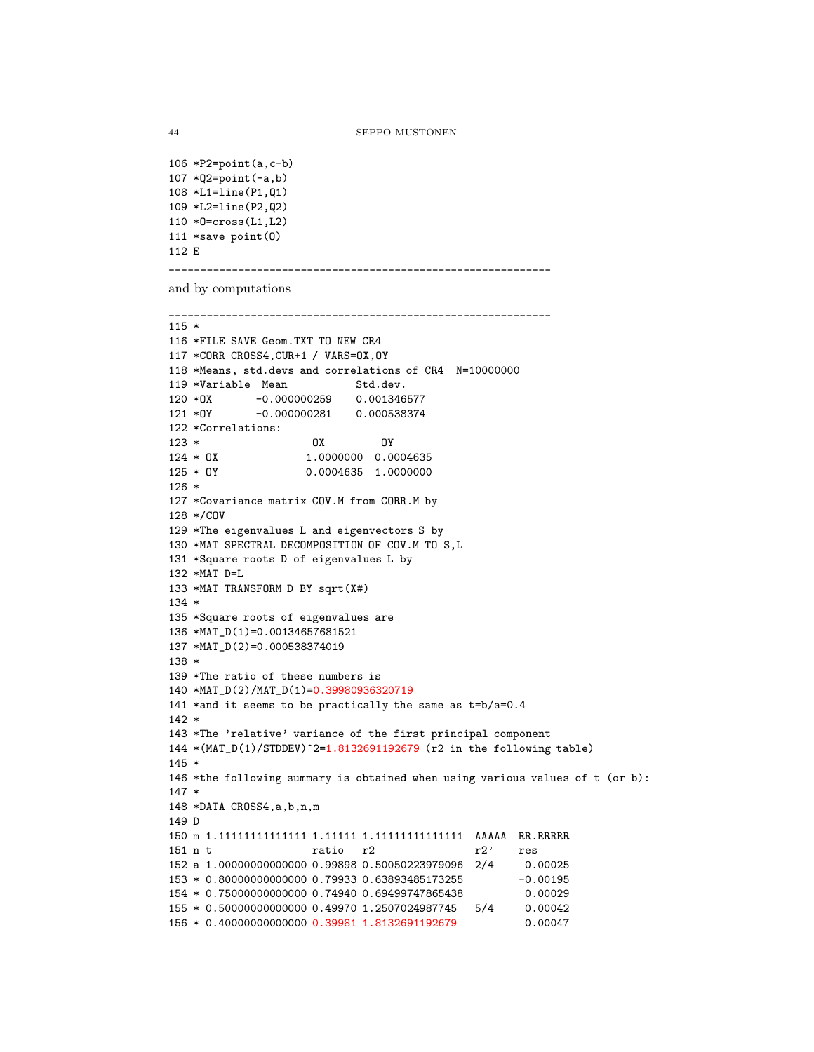```
106 *P2=point(a,c-b)
107 *Q2 = point(-a,b)108 *L1=line(P1,Q1)
109 *L2=line(P2,Q2)
110 *O=cross(L1,L2)
111 *save point(O)
112 E
```
\_\_\_\_\_\_\_\_\_\_\_\_\_\_\_\_\_\_\_\_\_\_\_\_\_\_\_\_\_\_\_\_\_\_\_\_\_\_\_\_\_\_\_\_\_\_\_\_\_\_\_\_\_\_\_\_\_\_\_\_\_

and by computations

```
_____________________________________________________________
115 *
116 *FILE SAVE Geom.TXT TO NEW CR4
117 *CORR CROSS4,CUR+1 / VARS=OX,OY
118 *Means, std.devs and correlations of CR4 N=10000000
119 *Variable Mean Std.dev.
120 *OX -0.000000259 0.001346577
121 *OY -0.000000281 0.000538374
122 *Correlations:
123 * OX OY
124 * OX 1.0000000 0.0004635
125 * OY 0.0004635 1.0000000
126 *
127 *Covariance matrix COV.M from CORR.M by
128 */COV
129 *The eigenvalues L and eigenvectors S by
130 *MAT SPECTRAL DECOMPOSITION OF COV.M TO S,L
131 *Square roots D of eigenvalues L by
132 *MAT D=L
133 *MAT TRANSFORM D BY sqrt(X#)
134 *
135 *Square roots of eigenvalues are
136 *MAT_D(1)=0.00134657681521
137 *MAT_D(2)=0.000538374019
138 *
139 *The ratio of these numbers is
140 *MAT_D(2)/MAT_D(1)=0.39980936320719
141 *and it seems to be practically the same as t=b/a=0.4
142 *
143 *The 'relative' variance of the first principal component
144 *(MAT_D(1)/STDDEV)^2=1.8132691192679 (r2 in the following table)
145 *
146 *the following summary is obtained when using various values of t (or b):
147 *
148 *DATA CROSS4,a,b,n,m
149 D
150 m 1.11111111111111 1.11111 1.11111111111111 AAAAA RR.RRRRR
151 n t r ratio r2 r res
152 a 1.00000000000000 0.99898 0.50050223979096 2/4 0.00025
153 * 0.80000000000000 0.79933 0.63893485173255 -0.00195
154 * 0.75000000000000 0.74940 0.69499747865438 0.00029
155 * 0.50000000000000 0.49970 1.2507024987745 5/4 0.00042
156 * 0.40000000000000 0.39981 1.8132691192679 0.00047
```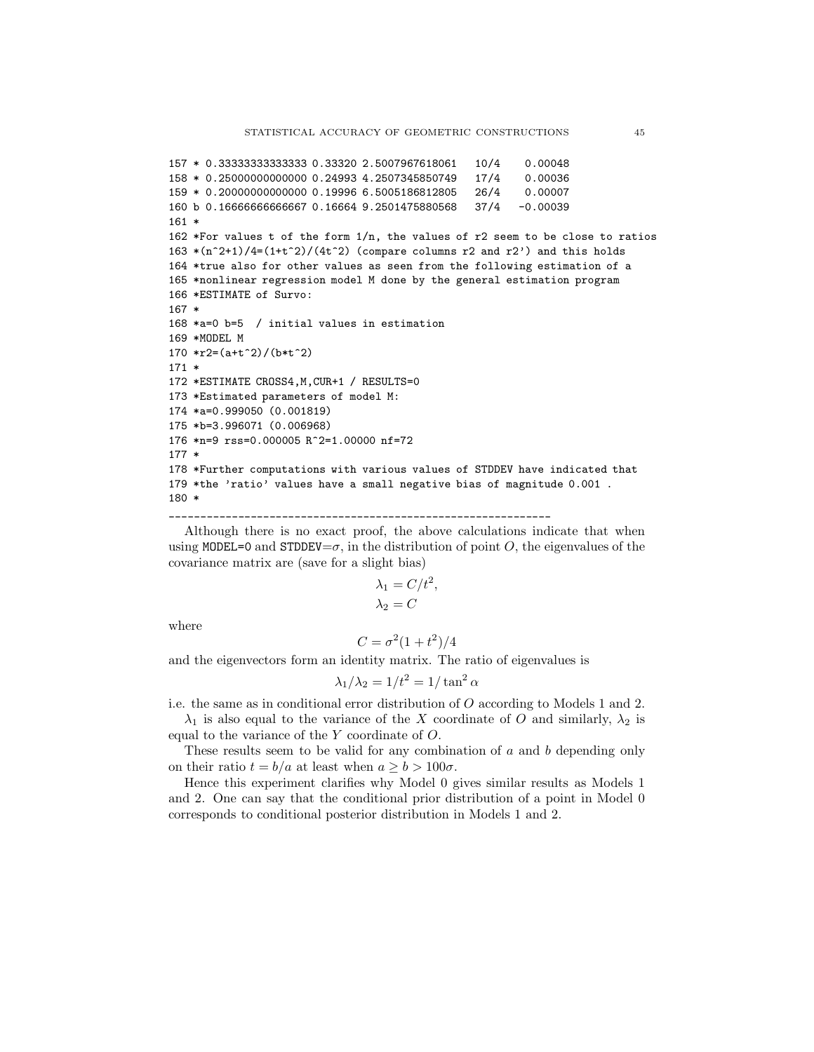```
157 * 0.33333333333333 0.33320 2.5007967618061 10/4 0.00048
158 * 0.25000000000000 0.24993 4.2507345850749 17/4 0.00036
159 * 0.20000000000000 0.19996 6.5005186812805 26/4 0.00007
160 b 0.16666666666667 0.16664 9.2501475880568 37/4 -0.00039
161 *
162 *For values t of the form 1/n, the values of r2 seem to be close to ratios
163 *(n^2+1)/4=(1+t^2)/(4t^2) (compare columns r2 and r2') and this holds
164 *true also for other values as seen from the following estimation of a
165 *nonlinear regression model M done by the general estimation program
166 *ESTIMATE of Survo:
167 *
168 *a=0 b=5 / initial values in estimation
169 *MODEL M
170 *r2=(a+t^2)/(b*t^2)
171 *
172 *ESTIMATE CROSS4,M,CUR+1 / RESULTS=0
173 *Estimated parameters of model M:
174 *a=0.999050 (0.001819)
175 *b=3.996071 (0.006968)
176 *n=9 rss=0.000005 R^2=1.00000 nf=72
177 *
178 *Further computations with various values of STDDEV have indicated that
179 *the 'ratio' values have a small negative bias of magnitude 0.001 .
180 *
```
Although there is no exact proof, the above calculations indicate that when using MODEL=0 and STDDEV= $\sigma$ , in the distribution of point O, the eigenvalues of the covariance matrix are (save for a slight bias)

$$
\lambda_1 = C/t^2,
$$
  

$$
\lambda_2 = C
$$

where

$$
C = \sigma^2(1+t^2)/4
$$

and the eigenvectors form an identity matrix. The ratio of eigenvalues is

\_\_\_\_\_\_\_\_\_\_\_\_\_\_\_\_\_\_\_\_\_\_\_\_\_\_\_\_\_\_\_\_\_\_\_\_\_\_\_\_\_\_\_\_\_\_\_\_\_\_\_\_\_\_\_\_\_\_\_\_\_

$$
\lambda_1/\lambda_2 = 1/t^2 = 1/\tan^2 \alpha
$$

i.e. the same as in conditional error distribution of O according to Models 1 and 2.

 $\lambda_1$  is also equal to the variance of the X coordinate of O and similarly,  $\lambda_2$  is equal to the variance of the Y coordinate of O.

These results seem to be valid for any combination of  $a$  and  $b$  depending only on their ratio  $t = b/a$  at least when  $a \geq b > 100\sigma$ .

Hence this experiment clarifies why Model 0 gives similar results as Models 1 and 2. One can say that the conditional prior distribution of a point in Model 0 corresponds to conditional posterior distribution in Models 1 and 2.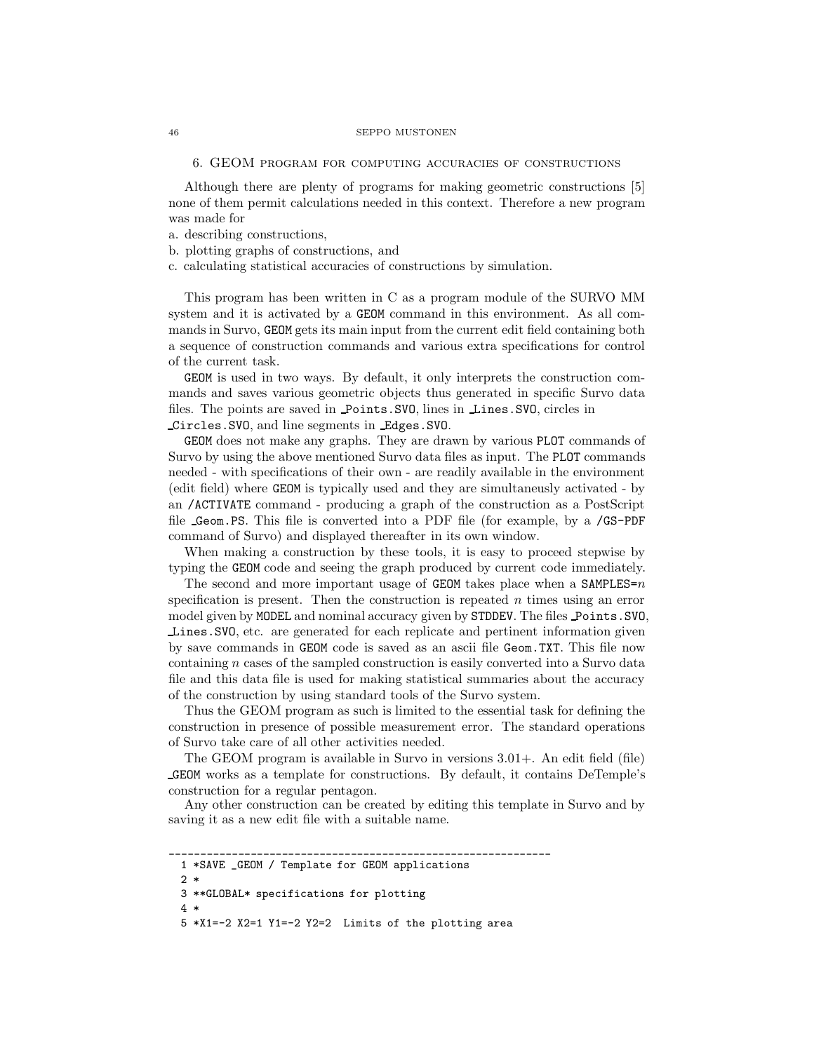6. GEOM program for computing accuracies of constructions

Although there are plenty of programs for making geometric constructions [5] none of them permit calculations needed in this context. Therefore a new program was made for

- a. describing constructions,
- b. plotting graphs of constructions, and
- c. calculating statistical accuracies of constructions by simulation.

This program has been written in C as a program module of the SURVO MM system and it is activated by a GEOM command in this environment. As all commands in Survo, GEOM gets its main input from the current edit field containing both a sequence of construction commands and various extra specifications for control of the current task.

GEOM is used in two ways. By default, it only interprets the construction commands and saves various geometric objects thus generated in specific Survo data files. The points are saved in Points.SVO, lines in Lines.SVO, circles in Circles.SVO, and line segments in Edges.SVO.

GEOM does not make any graphs. They are drawn by various PLOT commands of Survo by using the above mentioned Survo data files as input. The PLOT commands needed - with specifications of their own - are readily available in the environment (edit field) where GEOM is typically used and they are simultaneusly activated - by an /ACTIVATE command - producing a graph of the construction as a PostScript file Geom.PS. This file is converted into a PDF file (for example, by a /GS-PDF command of Survo) and displayed thereafter in its own window.

When making a construction by these tools, it is easy to proceed stepwise by typing the GEOM code and seeing the graph produced by current code immediately.

The second and more important usage of GEOM takes place when a SAMPLES= $n$ specification is present. Then the construction is repeated  $n$  times using an error model given by MODEL and nominal accuracy given by STDDEV. The files Points. SVO. Lines.SVO, etc. are generated for each replicate and pertinent information given by save commands in GEOM code is saved as an ascii file Geom.TXT. This file now containing  $n$  cases of the sampled construction is easily converted into a Survo data file and this data file is used for making statistical summaries about the accuracy of the construction by using standard tools of the Survo system.

Thus the GEOM program as such is limited to the essential task for defining the construction in presence of possible measurement error. The standard operations of Survo take care of all other activities needed.

The GEOM program is available in Survo in versions 3.01+. An edit field (file) GEOM works as a template for constructions. By default, it contains DeTemple's construction for a regular pentagon.

Any other construction can be created by editing this template in Survo and by saving it as a new edit file with a suitable name.

5 \*X1=-2 X2=1 Y1=-2 Y2=2 Limits of the plotting area

\_\_\_\_\_\_\_\_\_\_\_\_\_\_\_\_\_\_\_\_\_\_\_\_\_\_\_\_\_\_\_\_\_\_\_\_\_\_\_\_\_\_\_\_\_\_\_\_\_\_\_\_\_\_\_\_\_\_\_\_\_ 1 \*SAVE \_GEOM / Template for GEOM applications

<sup>2 \*</sup>

<sup>3 \*\*</sup>GLOBAL\* specifications for plotting

<sup>4 \*</sup>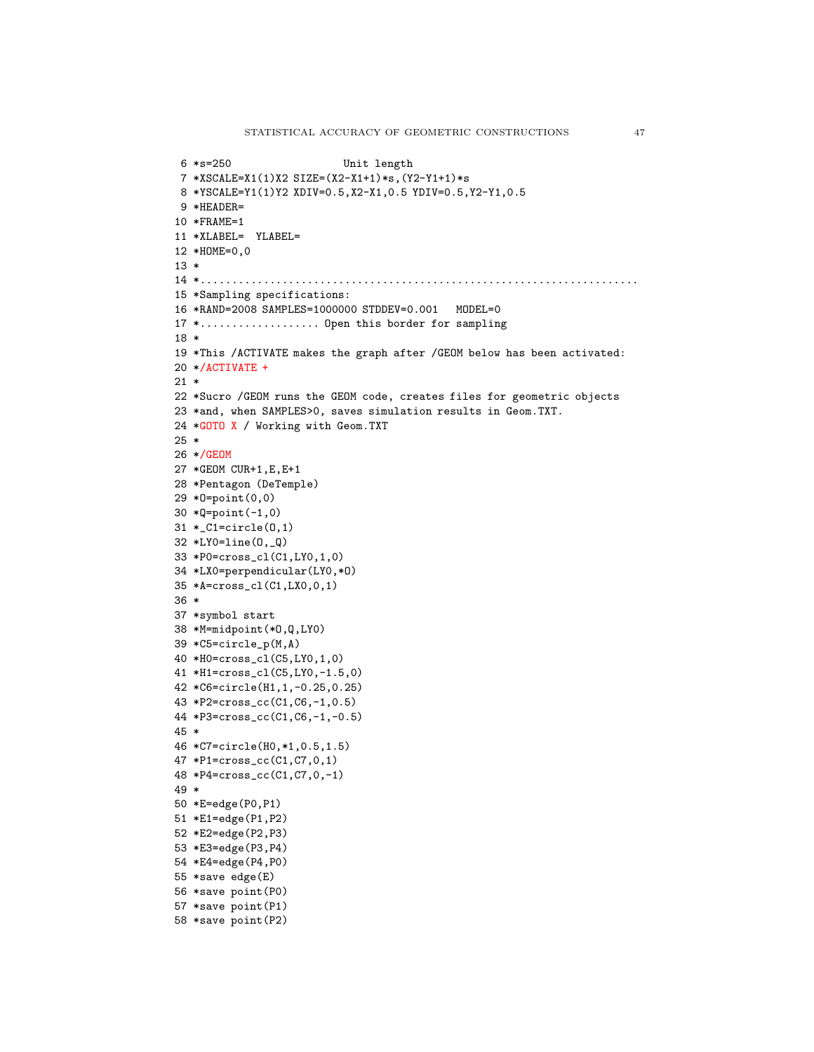```
6 *s=250 Unit length
7 *XSCALE=X1(1)X2 SIZE=(X2-X1+1)*s,(Y2-Y1+1)*s
8 *YSCALE=Y1(1)Y2 XDIV=0.5,X2-X1,0.5 YDIV=0.5,Y2-Y1,0.5
9 *HEADER=
10 *FRAME=1
11 *XLABEL= YLABEL=
12 *HOME=0,0
13 *
14 *......................................................................
15 *Sampling specifications:
16 *RAND=2008 SAMPLES=1000000 STDDEV=0.001 MODEL=0
17 *................... Open this border for sampling
18 *
19 *This /ACTIVATE makes the graph after /GEOM below has been activated:
20 */ACTIVATE +
21 *
22 *Sucro /GEOM runs the GEOM code, creates files for geometric objects
23 *and, when SAMPLES>0, saves simulation results in Geom.TXT.
24 *GOTO X / Working with Geom.TXT
25 *
26 */GEOM
27 *GEOM CUR+1,E,E+1
28 *Pentagon (DeTemple)
29 *O=point(0,0)
30 *Q=point(-1,0)
31 *_C1=circle(O,1)
32 *LY0=line(O,_Q)
33 *P0=cross_cl(C1,LY0,1,0)
34 *LX0=perpendicular(LY0,*O)
35 *A=cross_cl(C1,LX0,0,1)
36 *
37 *symbol start
38 *M=midpoint(*O,Q,LY0)
39 *C5=circle_p(M,A)
40 *H0=cross_cl(C5,LY0,1,0)
41 *H1=cross_cl(C5,LY0,-1.5,0)
42 *C6=circle(H1,1,-0.25,0.25)
43 *P2=cross_cc(C1,C6,-1,0.5)
44 *P3=cross_cc(C1,C6,-1,-0.5)
45 *
46 *C7=circle(H0,*1,0.5,1.5)
47 *P1=cross_cc(C1,C7,0,1)
48 *P4=cross_cc(C1,C7,0,-1)
49 *
50 *E=edge(P0,P1)
51 *E1=edge(P1,P2)
52 *E2=edge(P2,P3)
53 *E3=edge(P3,P4)
54 *E4=edge(P4,P0)
55 *save edge(E)
56 *save point(P0)
57 *save point(P1)
58 *save point(P2)
```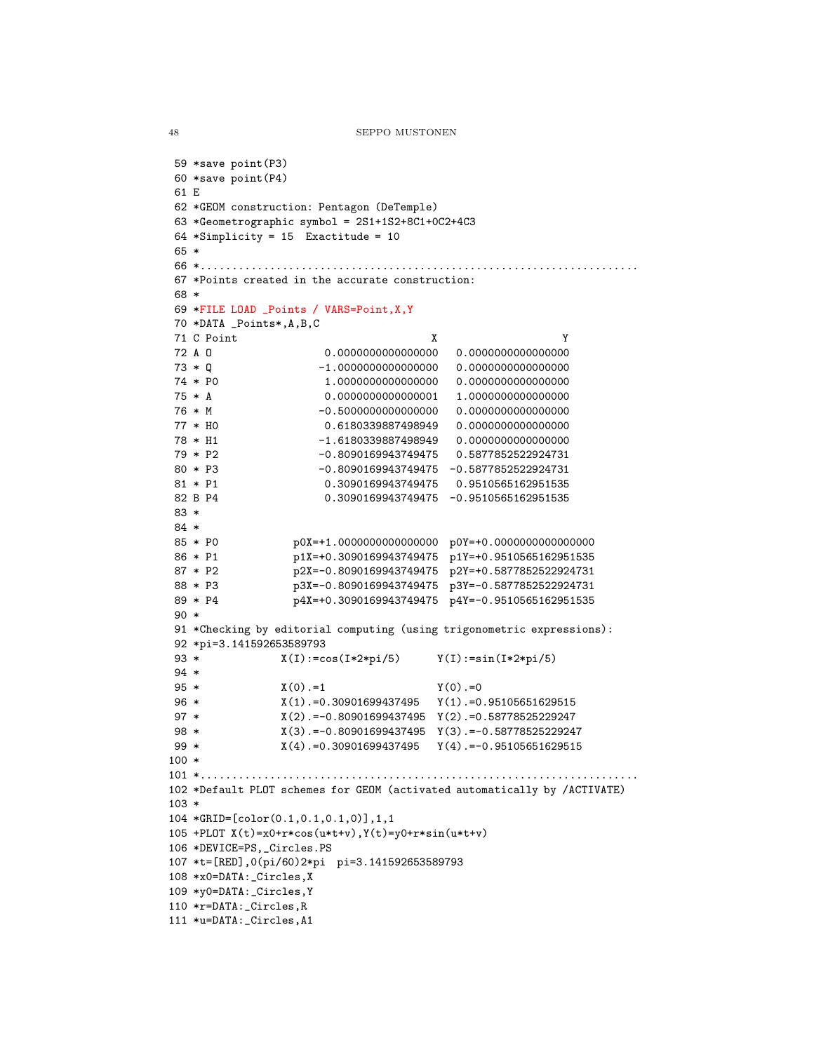```
48 SEPPO MUSTONEN
```

```
59 *save point(P3)
60 *save point(P4)
61 E
62 *GEOM construction: Pentagon (DeTemple)
63 *Geometrographic symbol = 2S1+1S2+8C1+0C2+4C3
64 *Simplicity = 15 Exactitude = 10
65 *
66 *......................................................................
67 *Points created in the accurate construction:
68 *
69 *FILE LOAD _Points / VARS=Point,X,Y
70 *DATA _Points*,A,B,C
71 C Point X Y
72 A O 0.0000000000000000 0.0000000000000000
73 * Q -1.0000000000000000 0.0000000000000000
74 * P0 1.0000000000000000 0.0000000000000000
75 * A 0.0000000000000001 1.0000000000000000
                    76 * M -0.5000000000000000 0.0000000000000000
77 * H0 0.6180339887498949 0.0000000000000000
78 * H1 -1.6180339887498949 0.0000000000000000
79 * P2 -0.8090169943749475 0.5877852522924731
80 * P3 -0.8090169943749475 -0.5877852522924731
81 * P1 0.3090169943749475 0.9510565162951535
82 B P4 0.3090169943749475 -0.9510565162951535
83 *
84 *
85 * P0 p0X=+1.0000000000000000 p0Y=+0.0000000000000000
86 * P1 p1X=+0.3090169943749475 p1Y=+0.9510565162951535
87 * P2 p2X=-0.8090169943749475 p2Y=+0.5877852522924731
88 * P3 p3X=-0.8090169943749475 p3Y=-0.5877852522924731<br>89 * P4 p4X=+0.3090169943749475 p4Y=-0.9510565162951535
                 p4X=+0.3090169943749475 p4Y=-0.9510565162951535
90 *
91 *Checking by editorial computing (using trigonometric expressions):
92 *pi=3.141592653589793
93 * X(I):=cos(I*2*pi/5) Y(I):=sin(I*2*pi/5)
94 *
95 * X(0) = 1 Y(0) = 096 * X(1).=0.30901699437495 Y(1).=0.95105651629515
97 * X(2).=-0.80901699437495 Y(2).=0.58778525229247
98 * X(3).=-0.80901699437495 Y(3).=-0.58778525229247
99 * X(4).=0.30901699437495 Y(4).=-0.95105651629515
100 *
101 *......................................................................
102 *Default PLOT schemes for GEOM (activated automatically by /ACTIVATE)
103 *
104 *GRID=[color(0.1,0.1,0.1,0)],1,1
105 +PLOT X(t)=x0+r*cos(u*t+v),Y(t)=y0+r*sin(u*t+v)
106 *DEVICE=PS,_Circles.PS
107 *t=[RED],0(pi/60)2*pi pi=3.141592653589793
108 *x0=DATA:_Circles,X
109 *y0=DATA:_Circles,Y
110 *r=DATA:_Circles,R
111 *u=DATA:_Circles,A1
```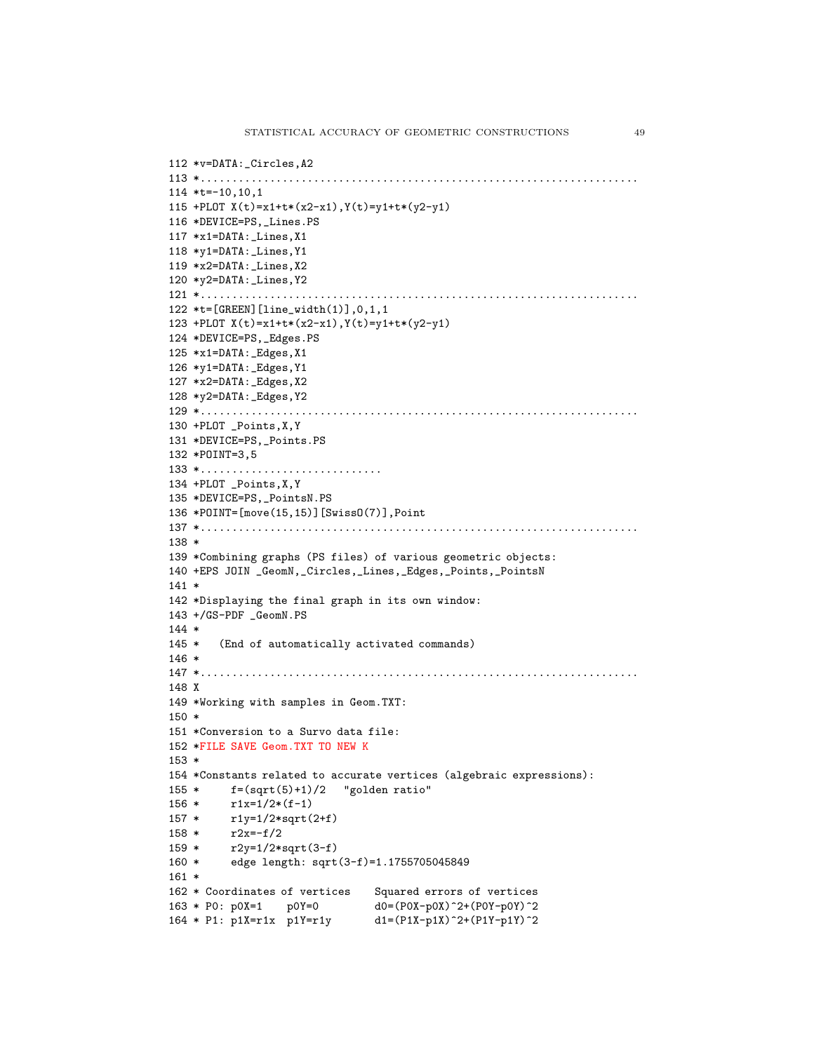```
112 *v=DATA:_Circles,A2
113 *......................................................................
114 *t=-10,10,1
115 +PLOT X(t)=x1+t*(x2-x1), Y(t)=y1+t*(y2-y1)116 *DEVICE=PS,_Lines.PS
117 *x1=DATA:_Lines,X1
118 *y1=DATA:_Lines,Y1
119 *x2=DATA:_Lines,X2
120 *y2=DATA:_Lines,Y2
121 *......................................................................
122 *t=[GREEN][line_width(1)],0,1,1
123 +PLOT X(t)=x1+t*(x2-x1),Y(t)=y1+t*(y2-y1)
124 *DEVICE=PS,_Edges.PS
125 *x1=DATA:_Edges,X1
126 *y1=DATA:_Edges,Y1
127 *x2=DATA:_Edges,X2
128 *y2=DATA:_Edges,Y2
129 *......................................................................
130 +PLOT _Points,X,Y
131 *DEVICE=PS,_Points.PS
132 *POINT=3,5
133 *.............................
134 +PLOT _Points,X,Y
135 *DEVICE=PS,_PointsN.PS
136 *POINT=[move(15,15)][SwissO(7)],Point
137 *......................................................................
138 *
139 *Combining graphs (PS files) of various geometric objects:
140 +EPS JOIN _GeomN,_Circles,_Lines,_Edges,_Points,_PointsN
141 *
142 *Displaying the final graph in its own window:
143 +/GS-PDF _GeomN.PS
144 *
145 * (End of automatically activated commands)
146 *
147 *......................................................................
148 X
149 *Working with samples in Geom.TXT:
150 *
151 *Conversion to a Survo data file:
152 *FILE SAVE Geom.TXT TO NEW K
153 *
154 *Constants related to accurate vertices (algebraic expressions):
155 * f=(sqrt(5)+1)/2 "golden ratio"
156 * r1x=1/2*(f-1)
157 * r1y=1/2*sqrt(2+f)
158 * r2x=-f/2
159 * r2y=1/2*sqrt(3-f)
160 * edge length: sqrt(3-f)=1.1755705045849
161 *
162 * Coordinates of vertices Squared errors of vertices
163 * P0: p0X=1 p0Y=0 d0=(P0X-p0X)^2+(P0Y-p0Y)^2
164 * P1: p1X=r1x p1Y=r1y d1=(P1X-p1X)^2+(P1Y-p1Y)^2
```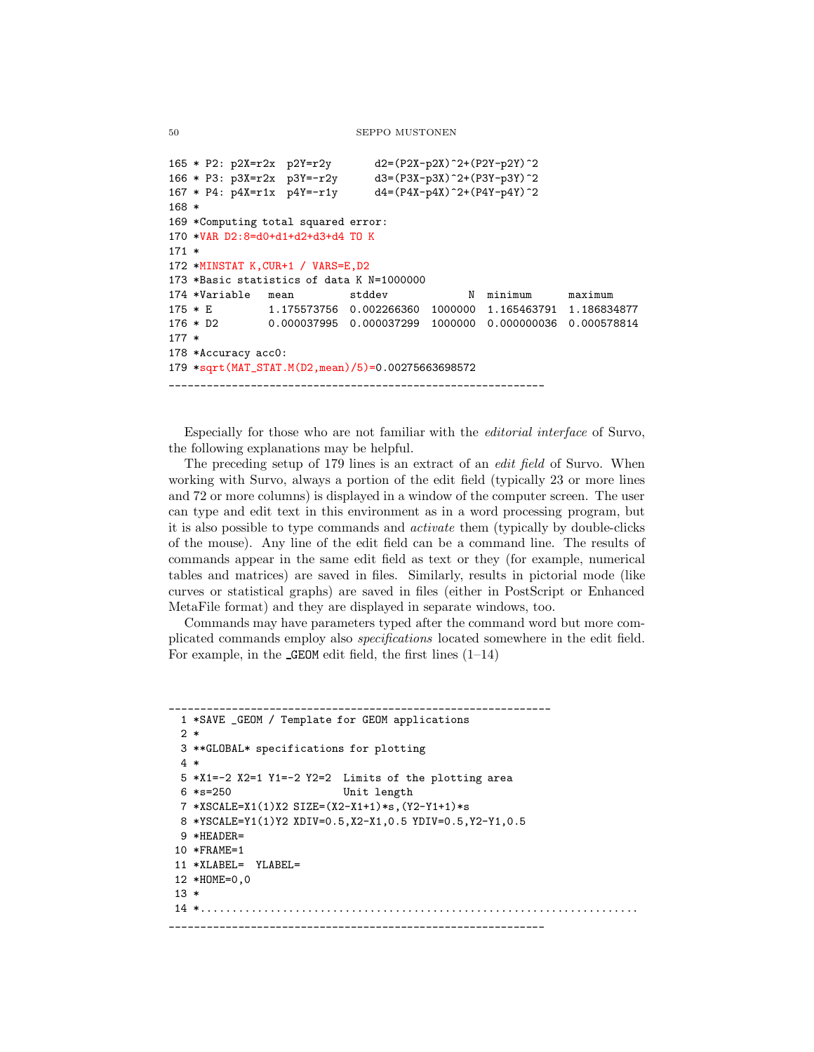```
165 * P2: p2X=r2x p2Y=r2y d2=(P2X-p2X)^2+(P2Y-p2Y)^2
166 * P3: p3X=r2x p3Y=-r2y d3=(P3X-p3X)^2+(P3Y-p3Y)^2
167 * P4: p4X=r1x p4Y=-r1y d4=(P4X-p4X)^2+(P4Y-p4Y)^2
168 *
169 *Computing total squared error:
170 *VAR D2:8=d0+d1+d2+d3+d4 TO K
171 *
172 *MINSTAT K,CUR+1 / VARS=E,D2
173 *Basic statistics of data K N=1000000
174 *Variable mean stddev N minimum maximum
175 * E 1.175573756 0.002266360 1000000 1.165463791 1.186834877
176 * D2 0.000037995 0.000037299 1000000 0.000000036 0.000578814
177 *
178 *Accuracy acc0:
179 *sqrt(MAT_STAT.M(D2,mean)/5)=0.00275663698572
____________________________________________________________
```
Especially for those who are not familiar with the editorial interface of Survo, the following explanations may be helpful.

The preceding setup of 179 lines is an extract of an edit field of Survo. When working with Survo, always a portion of the edit field (typically 23 or more lines and 72 or more columns) is displayed in a window of the computer screen. The user can type and edit text in this environment as in a word processing program, but it is also possible to type commands and activate them (typically by double-clicks of the mouse). Any line of the edit field can be a command line. The results of commands appear in the same edit field as text or they (for example, numerical tables and matrices) are saved in files. Similarly, results in pictorial mode (like curves or statistical graphs) are saved in files (either in PostScript or Enhanced MetaFile format) and they are displayed in separate windows, too.

Commands may have parameters typed after the command word but more complicated commands employ also specifications located somewhere in the edit field. For example, in the  $GEDM$  edit field, the first lines  $(1-14)$ 

```
_____________________________________________________________
 1 *SAVE _GEOM / Template for GEOM applications
 2 *
 3 **GLOBAL* specifications for plotting
 4 *
 5 *X1=-2 X2=1 Y1=-2 Y2=2 Limits of the plotting area
 6 *s=250 Unit length
 7 *XSCALE=X1(1)X2 SIZE=(X2-X1+1)*s,(Y2-Y1+1)*s
 8 *YSCALE=Y1(1)Y2 XDIV=0.5,X2-X1,0.5 YDIV=0.5,Y2-Y1,0.5
 9 *HEADER=
10 *FRAME=1
11 *XLABEL= YLABEL=
12 *HOME=0,0
13 *
14 *......................................................................
____________________________________________________________
```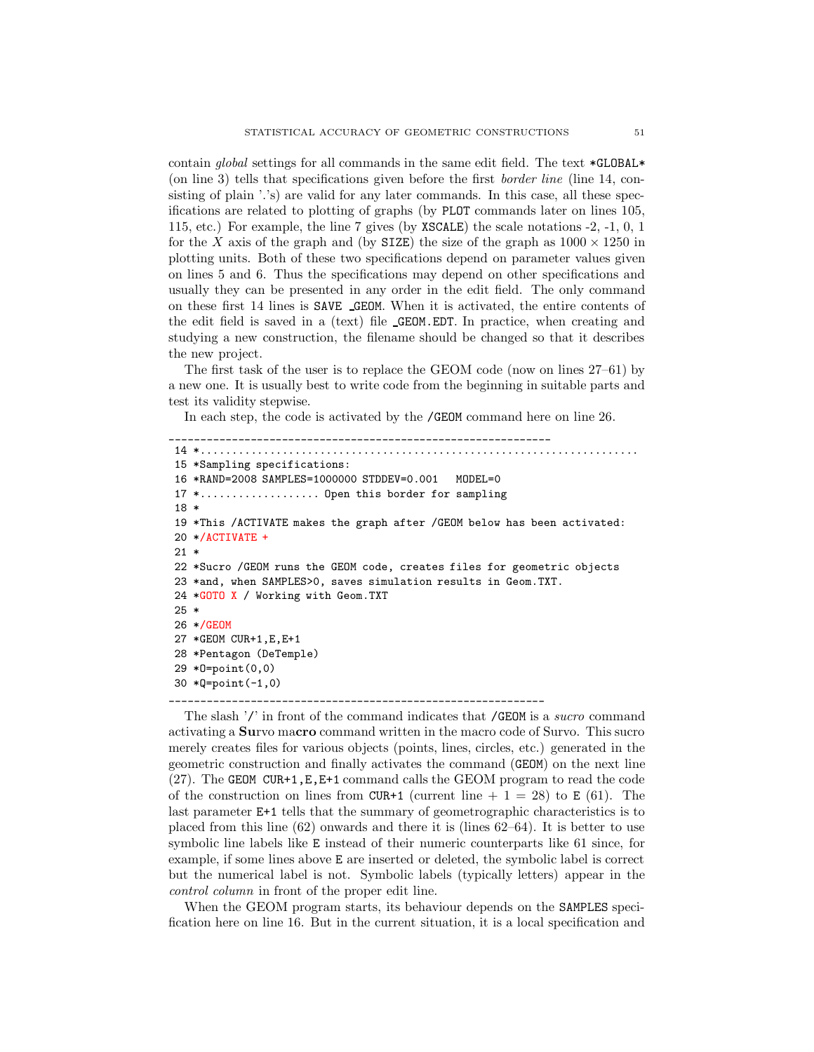contain global settings for all commands in the same edit field. The text \*GLOBAL\* (on line 3) tells that specifications given before the first border line (line 14, consisting of plain '.'s) are valid for any later commands. In this case, all these specifications are related to plotting of graphs (by PLOT commands later on lines 105, 115, etc.) For example, the line 7 gives (by XSCALE) the scale notations -2, -1, 0, 1 for the X axis of the graph and (by SIZE) the size of the graph as  $1000 \times 1250$  in plotting units. Both of these two specifications depend on parameter values given on lines 5 and 6. Thus the specifications may depend on other specifications and usually they can be presented in any order in the edit field. The only command on these first 14 lines is SAVE GEOM. When it is activated, the entire contents of the edit field is saved in a (text) file GEOM.EDT. In practice, when creating and studying a new construction, the filename should be changed so that it describes the new project.

The first task of the user is to replace the GEOM code (now on lines 27–61) by a new one. It is usually best to write code from the beginning in suitable parts and test its validity stepwise.

In each step, the code is activated by the /GEOM command here on line 26.

```
_____________________________________________________________
14 *......................................................................
15 *Sampling specifications:
16 *RAND=2008 SAMPLES=1000000 STDDEV=0.001 MODEL=0
17 *................... Open this border for sampling
18 *
19 *This /ACTIVATE makes the graph after /GEOM below has been activated:
20 */ACTIVATE +
21 *
22 *Sucro /GEOM runs the GEOM code, creates files for geometric objects
23 *and, when SAMPLES>0, saves simulation results in Geom.TXT.
24 *GOTO X / Working with Geom.TXT
25 *
26 */GEOM
27 *GEOM CUR+1,E,E+1
28 *Pentagon (DeTemple)
29 *O=point(0,0)
30 *Q=point(-1,0)
```
The slash '/' in front of the command indicates that /GEOM is a sucro command activating a Survo macro command written in the macro code of Survo. This sucro merely creates files for various objects (points, lines, circles, etc.) generated in the geometric construction and finally activates the command (GEOM) on the next line (27). The GEOM CUR+1,  $E$ ,  $E+1$  command calls the GEOM program to read the code of the construction on lines from CUR+1 (current line  $+ 1 = 28$ ) to E (61). The last parameter E+1 tells that the summary of geometrographic characteristics is to placed from this line (62) onwards and there it is (lines 62–64). It is better to use symbolic line labels like E instead of their numeric counterparts like 61 since, for example, if some lines above E are inserted or deleted, the symbolic label is correct but the numerical label is not. Symbolic labels (typically letters) appear in the control column in front of the proper edit line.

\_\_\_\_\_\_\_\_\_\_\_\_\_\_\_\_\_\_\_\_\_\_\_\_\_\_\_\_\_\_\_\_\_\_\_\_\_\_\_\_\_\_\_\_\_\_\_\_\_\_\_\_\_\_\_\_\_\_\_\_

When the GEOM program starts, its behaviour depends on the SAMPLES specification here on line 16. But in the current situation, it is a local specification and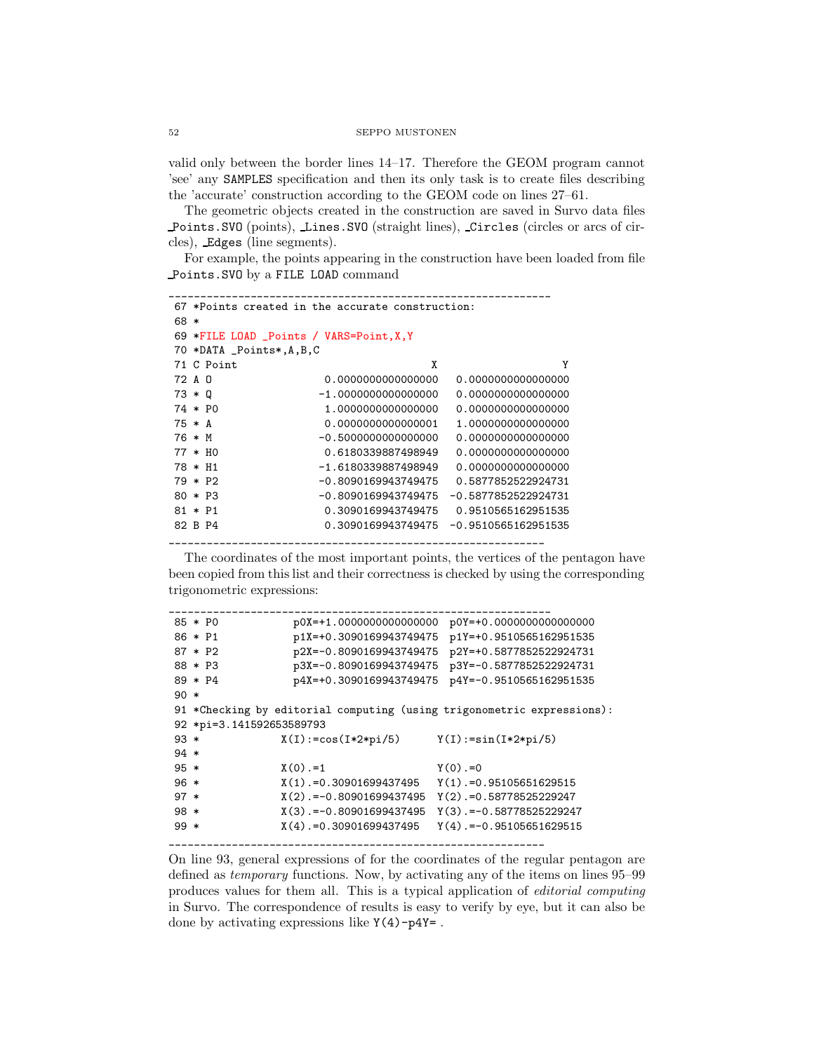valid only between the border lines 14–17. Therefore the GEOM program cannot 'see' any SAMPLES specification and then its only task is to create files describing the 'accurate' construction according to the GEOM code on lines 27–61.

The geometric objects created in the construction are saved in Survo data files Points.SVO (points), Lines.SVO (straight lines), Circles (circles or arcs of circles), Edges (line segments).

For example, the points appearing in the construction have been loaded from file Points.SVO by a FILE LOAD command

```
_____________________________________________________________
67 *Points created in the accurate construction:
68 *
69 *FILE LOAD _Points / VARS=Point,X,Y
70 *DATA _Points*,A,B,C
71 C Point X Y
72 A O 0.0000000000000000 0.0000000000000000
73 * Q -1.0000000000000000 0.0000000000000000
74 * P0 1.0000000000000000 0.0000000000000000
75 * A 0.0000000000000001 1.0000000000000000
76 * M -0.5000000000000000 0.0000000000000000
77 * H0 0.6180339887498949 0.0000000000000000
78 * H1 -1.6180339887498949 0.0000000000000000
79 * P2 -0.8090169943749475 0.5877852522924731
80 * P3 -0.8090169943749475 -0.5877852522924731
81 * P1 0.3090169943749475 0.9510565162951535
82 B P4 0.3090169943749475 -0.9510565162951535
      ____________________________________________________________
```
The coordinates of the most important points, the vertices of the pentagon have been copied from this list and their correctness is checked by using the corresponding trigonometric expressions:

```
_____________________________________________________________
85 * P0 p0X=+1.0000000000000000 p0Y=+0.0000000000000000
86 * P1 p1X=+0.3090169943749475 p1Y=+0.9510565162951535
87 * P2 p2X=-0.8090169943749475 p2Y=+0.5877852522924731
88 * P3 p3X=-0.8090169943749475 p3Y=-0.5877852522924731
89 * P4 p4X=+0.3090169943749475 p4Y=-0.9510565162951535
90 *
91 *Checking by editorial computing (using trigonometric expressions):
92 *pi=3.141592653589793
93 * X(I):=cos(I*2*pi/5) Y(I):=sin(I*2*pi/5)
94 *
95 * X(0) = 1 Y(0) = 096 * X(1).=0.30901699437495 Y(1).=0.95105651629515
97 * X(2).=-0.80901699437495 Y(2).=0.58778525229247
98 * X(3).=-0.80901699437495 Y(3).=-0.58778525229247
99 * X(4).=0.30901699437495 Y(4).=-0.95105651629515
____________________________________________________________
```
On line 93, general expressions of for the coordinates of the regular pentagon are defined as temporary functions. Now, by activating any of the items on lines 95–99 produces values for them all. This is a typical application of editorial computing in Survo. The correspondence of results is easy to verify by eye, but it can also be done by activating expressions like Y(4)-p4Y= .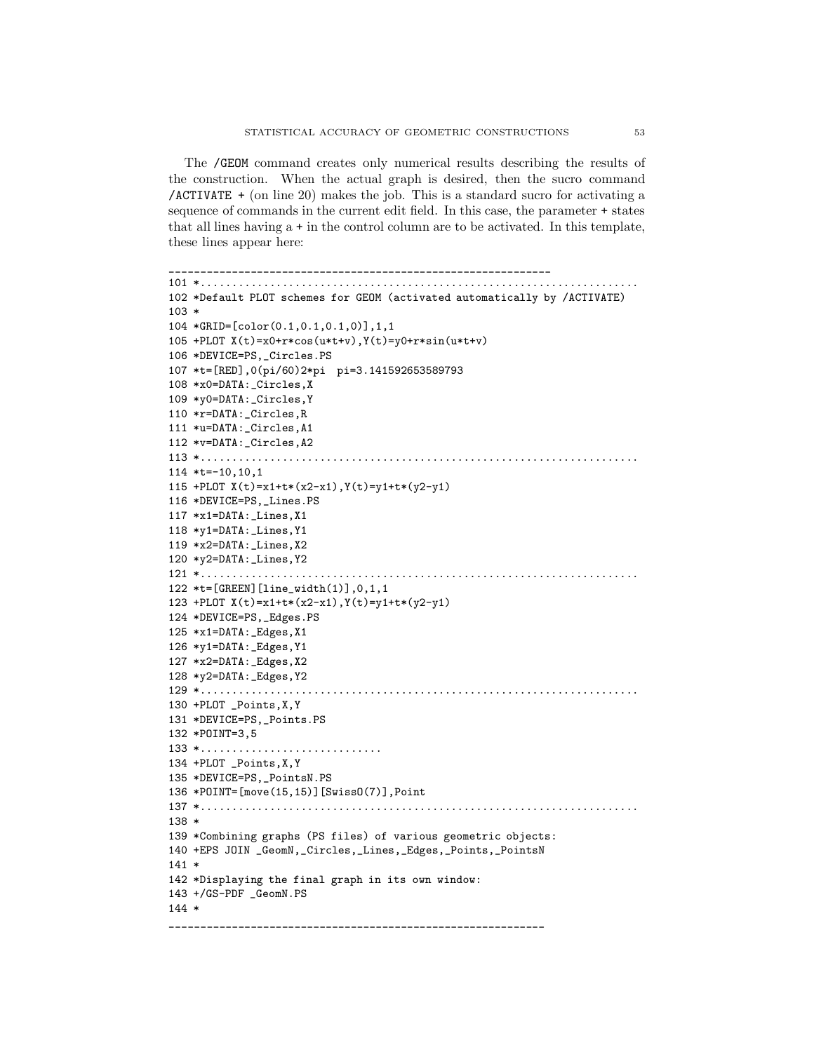The /GEOM command creates only numerical results describing the results of the construction. When the actual graph is desired, then the sucro command /ACTIVATE + (on line 20) makes the job. This is a standard sucro for activating a sequence of commands in the current edit field. In this case, the parameter + states that all lines having a + in the control column are to be activated. In this template, these lines appear here:

```
_____________________________________________________________
101 *......................................................................
102 *Default PLOT schemes for GEOM (activated automatically by /ACTIVATE)
103 *
104 *GRID=[color(0.1,0.1,0.1,0)],1,1
105 +PLOT X(t)=x0+r*cos(u*t+v),Y(t)=y0+r*sin(u*t+v)
106 *DEVICE=PS,_Circles.PS
107 *t=[RED],0(pi/60)2*pi pi=3.141592653589793
108 *x0=DATA:_Circles,X
109 *y0=DATA:_Circles,Y
110 *r=DATA:_Circles,R
111 *u=DATA:_Circles,A1
112 *v=DATA:_Circles,A2
113 *......................................................................
114 *t=-10,10,1
115 +PLOT X(t)=x1+t*(x2-x1),Y(t)=y1+t*(y2-y1)
116 *DEVICE=PS,_Lines.PS
117 *x1=DATA:_Lines,X1
118 *y1=DATA:_Lines,Y1
119 *x2=DATA:_Lines,X2
120 *y2=DATA:_Lines,Y2
121 *......................................................................
122 *t=[GREEN][line_width(1)],0,1,1
123 +PLOT X(t) = x1 + t*(x2-x1), Y(t) = y1 + t*(y2-y1)124 *DEVICE=PS,_Edges.PS
125 *x1=DATA:_Edges,X1
126 *y1=DATA:_Edges,Y1
127 *x2=DATA:_Edges,X2
128 *y2=DATA:_Edges,Y2
129 *......................................................................
130 +PLOT _Points,X,Y
131 *DEVICE=PS, Points.PS
132 *POINT=3,5
133 *.............................
134 +PLOT _Points,X,Y
135 *DEVICE=PS,_PointsN.PS
136 *POINT=[move(15,15)][SwissO(7)],Point
137 *......................................................................
138 *
139 *Combining graphs (PS files) of various geometric objects:
140 +EPS JOIN _GeomN,_Circles,_Lines,_Edges,_Points,_PointsN
141 *
142 *Displaying the final graph in its own window:
143 +/GS-PDF _GeomN.PS
144 *
  ____________________________________________________________
```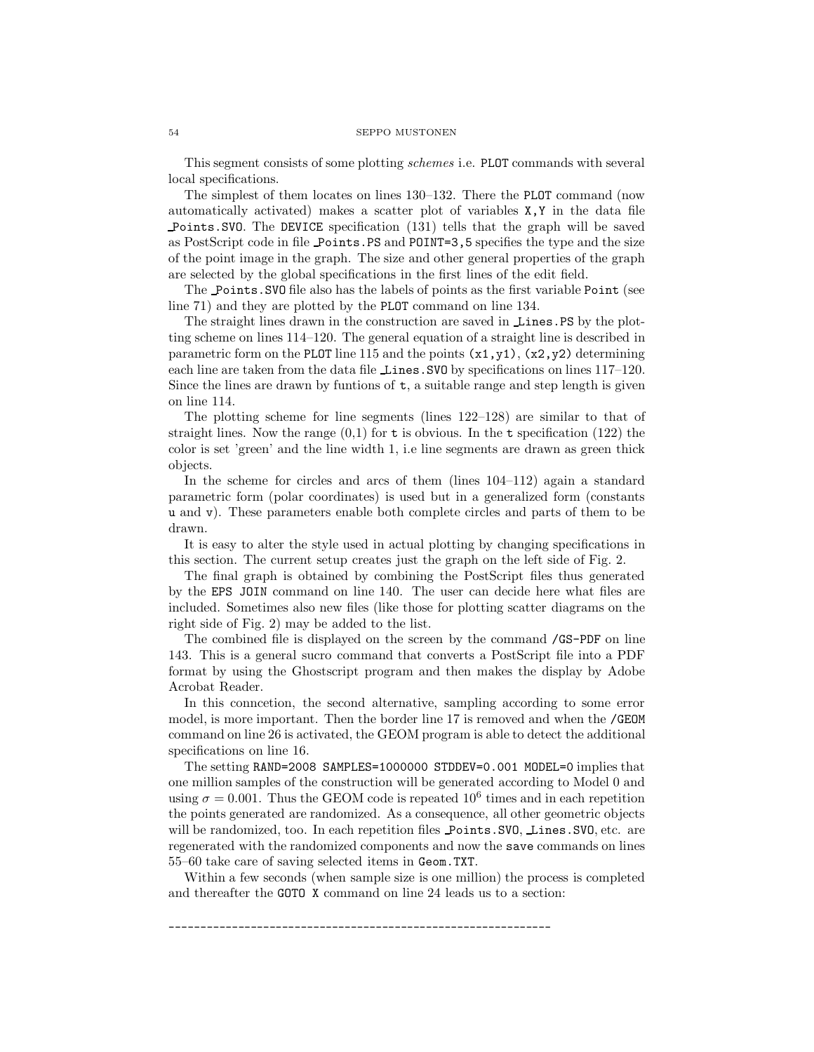This segment consists of some plotting schemes i.e. PLOT commands with several local specifications.

The simplest of them locates on lines 130–132. There the PLOT command (now automatically activated) makes a scatter plot of variables X,Y in the data file Points.SVO. The DEVICE specification (131) tells that the graph will be saved as PostScript code in file Points.PS and POINT=3,5 specifies the type and the size of the point image in the graph. The size and other general properties of the graph are selected by the global specifications in the first lines of the edit field.

The Points.SVO file also has the labels of points as the first variable Point (see line 71) and they are plotted by the PLOT command on line 134.

The straight lines drawn in the construction are saved in Lines.PS by the plotting scheme on lines 114–120. The general equation of a straight line is described in parametric form on the PLOT line 115 and the points  $(x1, y1)$ ,  $(x2, y2)$  determining each line are taken from the data file Lines.SVO by specifications on lines 117–120. Since the lines are drawn by funtions of  $t$ , a suitable range and step length is given on line 114.

The plotting scheme for line segments (lines 122–128) are similar to that of straight lines. Now the range  $(0,1)$  for t is obvious. In the t specification (122) the color is set 'green' and the line width 1, i.e line segments are drawn as green thick objects.

In the scheme for circles and arcs of them (lines 104–112) again a standard parametric form (polar coordinates) is used but in a generalized form (constants u and v). These parameters enable both complete circles and parts of them to be drawn.

It is easy to alter the style used in actual plotting by changing specifications in this section. The current setup creates just the graph on the left side of Fig. 2.

The final graph is obtained by combining the PostScript files thus generated by the EPS JOIN command on line 140. The user can decide here what files are included. Sometimes also new files (like those for plotting scatter diagrams on the right side of Fig. 2) may be added to the list.

The combined file is displayed on the screen by the command /GS-PDF on line 143. This is a general sucro command that converts a PostScript file into a PDF format by using the Ghostscript program and then makes the display by Adobe Acrobat Reader.

In this conncetion, the second alternative, sampling according to some error model, is more important. Then the border line 17 is removed and when the /GEOM command on line 26 is activated, the GEOM program is able to detect the additional specifications on line 16.

The setting RAND=2008 SAMPLES=1000000 STDDEV=0.001 MODEL=0 implies that one million samples of the construction will be generated according to Model 0 and using  $\sigma = 0.001$ . Thus the GEOM code is repeated  $10^6$  times and in each repetition the points generated are randomized. As a consequence, all other geometric objects will be randomized, too. In each repetition files Points.SVO, Lines.SVO, etc. are regenerated with the randomized components and now the save commands on lines 55–60 take care of saving selected items in Geom.TXT.

Within a few seconds (when sample size is one million) the process is completed and thereafter the GOTO X command on line 24 leads us to a section:

\_\_\_\_\_\_\_\_\_\_\_\_\_\_\_\_\_\_\_\_\_\_\_\_\_\_\_\_\_\_\_\_\_\_\_\_\_\_\_\_\_\_\_\_\_\_\_\_\_\_\_\_\_\_\_\_\_\_\_\_\_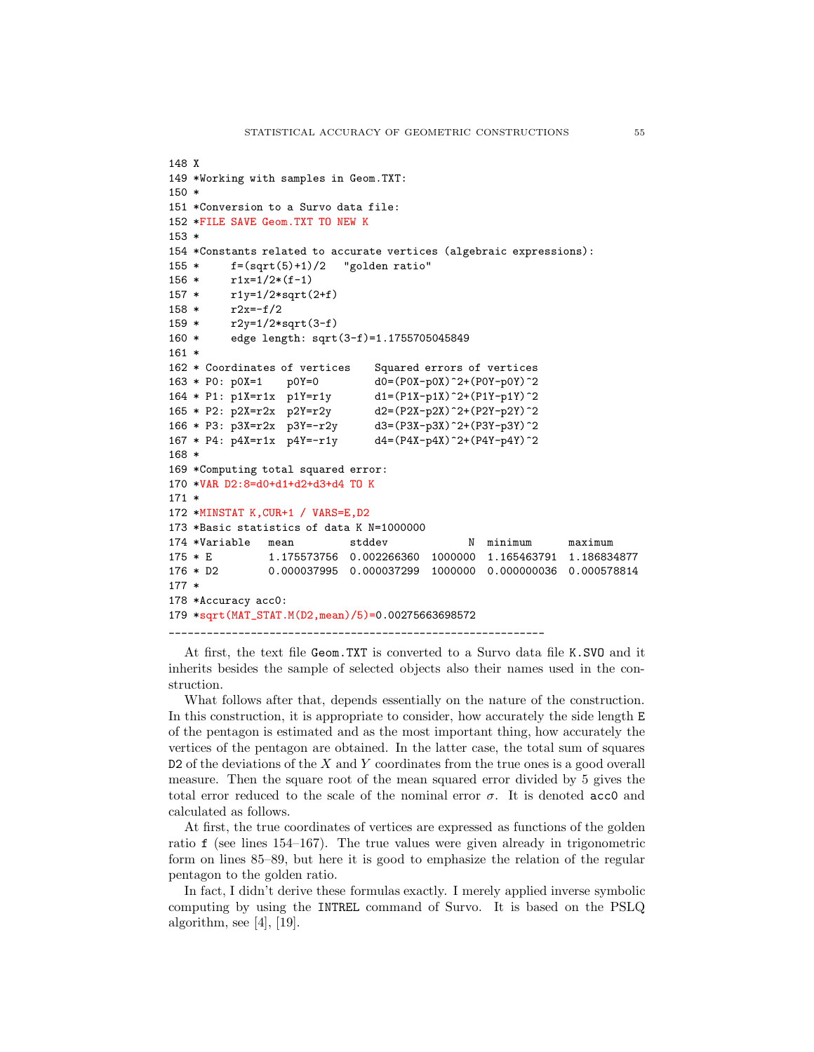```
148 X
149 *Working with samples in Geom.TXT:
150 *
151 *Conversion to a Survo data file:
152 *FILE SAVE Geom.TXT TO NEW K
153 *
154 *Constants related to accurate vertices (algebraic expressions):
155 * f=(sqrt(5)+1)/2 "golden ratio"
156 * r1x=1/2*(f-1)157 * r1y=1/2*sqrt(2+f)
158 * r2x=-f/2
159 * r2y=1/2*sqrt(3-f)
160 * edge length: sqrt(3-f)=1.1755705045849
161 *
162 * Coordinates of vertices Squared errors of vertices
163 * P0: p0X=1 p0Y=0 d0=(P0X-p0X)^2+(P0Y-p0Y)^2
164 * P1: p1X=r1x p1Y=r1y d1=(P1X-p1X)^2+(P1Y-p1Y)^2
165 * P2: p2X=r2x p2Y=r2y d2=(P2X-p2X)^2+(P2Y-p2Y)^2
166 * P3: p3X=r2x p3Y=-r2y d3=(P3X-p3X)^2+(P3Y-p3Y)^2
167 * P4: p4X= r1x p4Y=-r1y d4=(P4X-p4X)^2+(P4Y-p4Y)^2168 *
169 *Computing total squared error:
170 *VAR D2:8=d0+d1+d2+d3+d4 TO K
171 *
172 *MINSTAT K,CUR+1 / VARS=E,D2
173 *Basic statistics of data K N=1000000
174 *Variable mean stddev N minimum maximum
175 * E 1.175573756 0.002266360 1000000 1.165463791 1.186834877
176 * D2 0.000037995 0.000037299 1000000 0.000000036 0.000578814
177 *
178 *Accuracy acc0:
179 *sqrt(MAT_STAT.M(D2,mean)/5)=0.00275663698572
____________________________________________________________
```
At first, the text file Geom.TXT is converted to a Survo data file K.SVO and it inherits besides the sample of selected objects also their names used in the construction.

What follows after that, depends essentially on the nature of the construction. In this construction, it is appropriate to consider, how accurately the side length E of the pentagon is estimated and as the most important thing, how accurately the vertices of the pentagon are obtained. In the latter case, the total sum of squares  $D2$  of the deviations of the X and Y coordinates from the true ones is a good overall measure. Then the square root of the mean squared error divided by 5 gives the total error reduced to the scale of the nominal error  $\sigma$ . It is denoted acc0 and calculated as follows.

At first, the true coordinates of vertices are expressed as functions of the golden ratio f (see lines 154–167). The true values were given already in trigonometric form on lines 85–89, but here it is good to emphasize the relation of the regular pentagon to the golden ratio.

In fact, I didn't derive these formulas exactly. I merely applied inverse symbolic computing by using the INTREL command of Survo. It is based on the PSLQ algorithm, see [4], [19].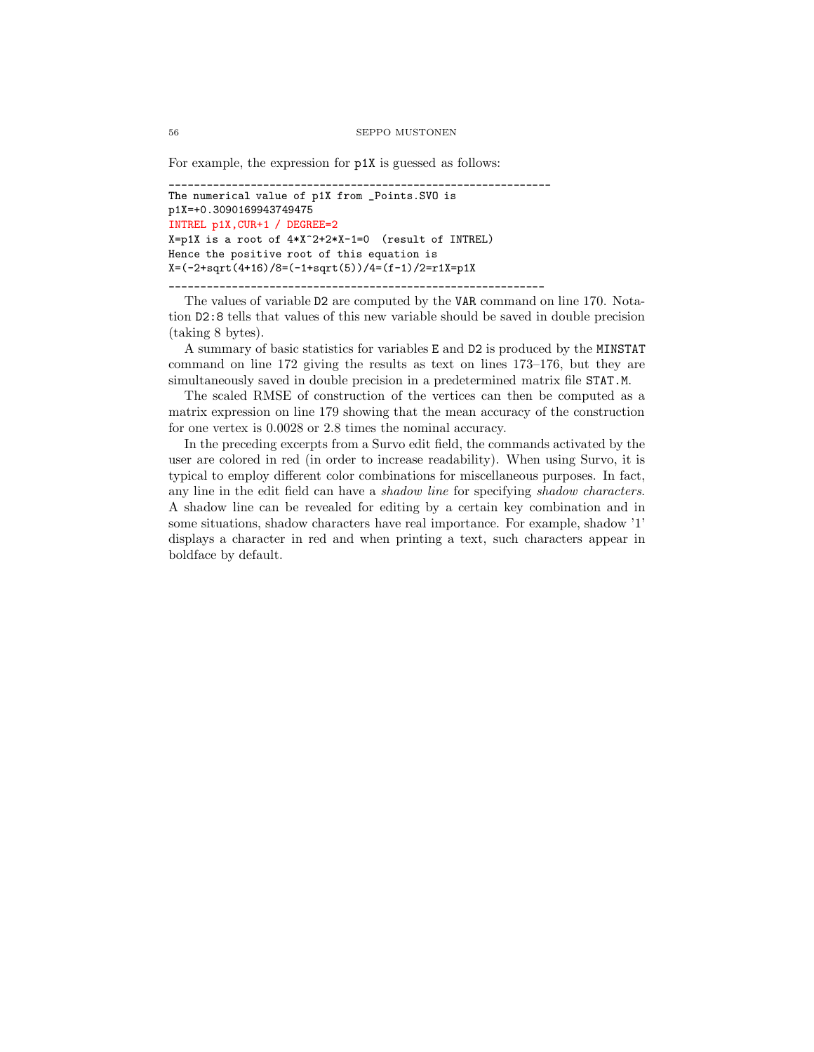For example, the expression for p1X is guessed as follows:

```
_____________________________________________________________
The numerical value of p1X from _Points.SVO is
p1X=+0.3090169943749475
INTREL p1X,CUR+1 / DEGREE=2
X=p1X is a root of 4*X^2+2*X-1=0 (result of INTREL)
Hence the positive root of this equation is
X=(-2+sqrt(4+16)/8=(-1+sqrt(5))/4=(f-1)/2=r1X=p1X
      ____________________________________________________________
```
The values of variable D2 are computed by the VAR command on line 170. Notation D2:8 tells that values of this new variable should be saved in double precision (taking 8 bytes).

A summary of basic statistics for variables E and D2 is produced by the MINSTAT command on line 172 giving the results as text on lines 173–176, but they are simultaneously saved in double precision in a predetermined matrix file STAT.M.

The scaled RMSE of construction of the vertices can then be computed as a matrix expression on line 179 showing that the mean accuracy of the construction for one vertex is 0.0028 or 2.8 times the nominal accuracy.

In the preceding excerpts from a Survo edit field, the commands activated by the user are colored in red (in order to increase readability). When using Survo, it is typical to employ different color combinations for miscellaneous purposes. In fact, any line in the edit field can have a shadow line for specifying shadow characters. A shadow line can be revealed for editing by a certain key combination and in some situations, shadow characters have real importance. For example, shadow '1' displays a character in red and when printing a text, such characters appear in boldface by default.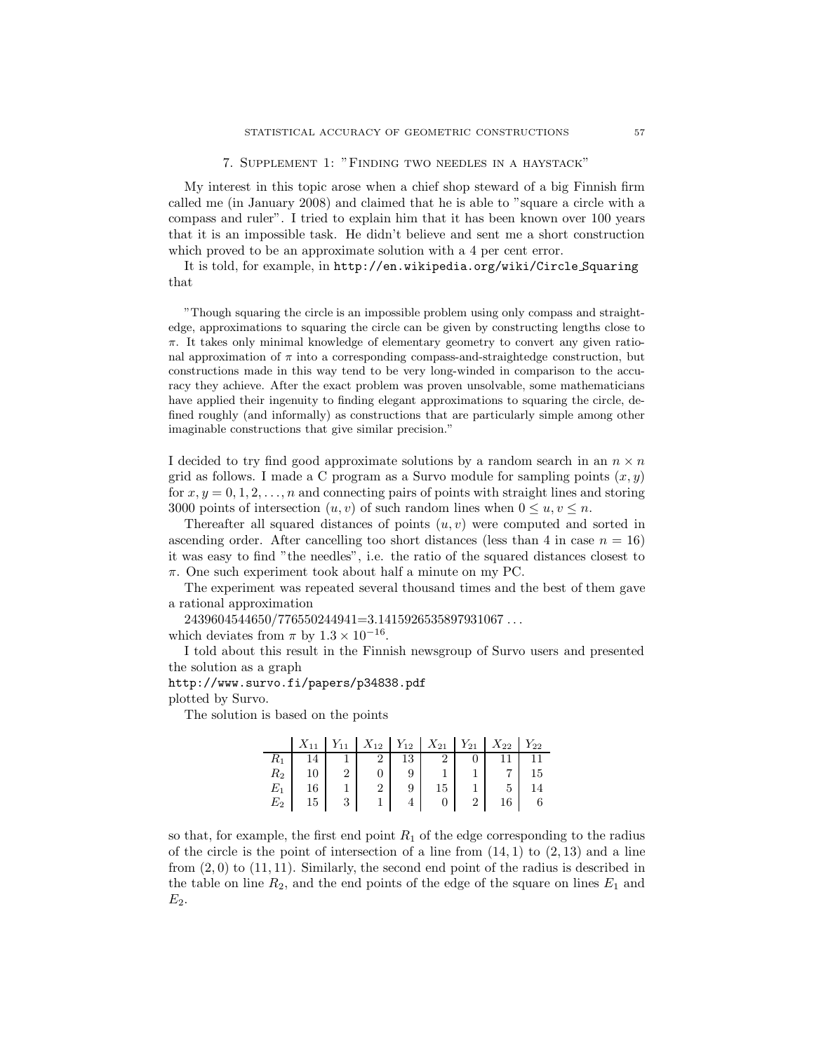7. Supplement 1: "Finding two needles in a haystack"

My interest in this topic arose when a chief shop steward of a big Finnish firm called me (in January 2008) and claimed that he is able to "square a circle with a compass and ruler". I tried to explain him that it has been known over 100 years that it is an impossible task. He didn't believe and sent me a short construction which proved to be an approximate solution with a 4 per cent error.

It is told, for example, in [http://en.wikipedia.org/wiki/Circle](http://en.wikipedia.org/wiki/Circle_Squaring) Squaring that

"Though squaring the circle is an impossible problem using only compass and straightedge, approximations to squaring the circle can be given by constructing lengths close to  $\pi$ . It takes only minimal knowledge of elementary geometry to convert any given rational approximation of  $\pi$  into a corresponding compass-and-straightedge construction, but constructions made in this way tend to be very long-winded in comparison to the accuracy they achieve. After the exact problem was proven unsolvable, some mathematicians have applied their ingenuity to finding elegant approximations to squaring the circle, defined roughly (and informally) as constructions that are particularly simple among other imaginable constructions that give similar precision."

I decided to try find good approximate solutions by a random search in an  $n \times n$ grid as follows. I made a C program as a Survo module for sampling points  $(x, y)$ for  $x, y = 0, 1, 2, \ldots, n$  and connecting pairs of points with straight lines and storing 3000 points of intersection  $(u, v)$  of such random lines when  $0 \le u, v \le n$ .

Thereafter all squared distances of points  $(u, v)$  were computed and sorted in ascending order. After cancelling too short distances (less than 4 in case  $n = 16$ ) it was easy to find "the needles", i.e. the ratio of the squared distances closest to π. One such experiment took about half a minute on my PC.

The experiment was repeated several thousand times and the best of them gave a rational approximation

2439604544650/776550244941=3.1415926535897931067 . . .

which deviates from  $\pi$  by  $1.3 \times 10^{-16}$ .

I told about this result in the Finnish newsgroup of Survo users and presented the solution as a graph

<http://www.survo.fi/papers/p34838.pdf>

plotted by Survo.

The solution is based on the points

|       |   |          |    | $X_{11}$   $Y_{11}$   $X_{12}$   $Y_{12}$   $X_{21}$   $Y_{21}$   $X_{22}$   $Y_{22}$ |                |  |
|-------|---|----------|----|---------------------------------------------------------------------------------------|----------------|--|
|       |   | $\sim$ 2 | 13 | $\overline{2}$                                                                        |                |  |
| $R_2$ |   |          |    |                                                                                       |                |  |
| $E_1$ |   |          |    |                                                                                       |                |  |
| $E_2$ | 3 |          |    |                                                                                       | $\overline{2}$ |  |

so that, for example, the first end point  $R_1$  of the edge corresponding to the radius of the circle is the point of intersection of a line from  $(14, 1)$  to  $(2, 13)$  and a line from  $(2,0)$  to  $(11,11)$ . Similarly, the second end point of the radius is described in the table on line  $R_2$ , and the end points of the edge of the square on lines  $E_1$  and  $E_2$ .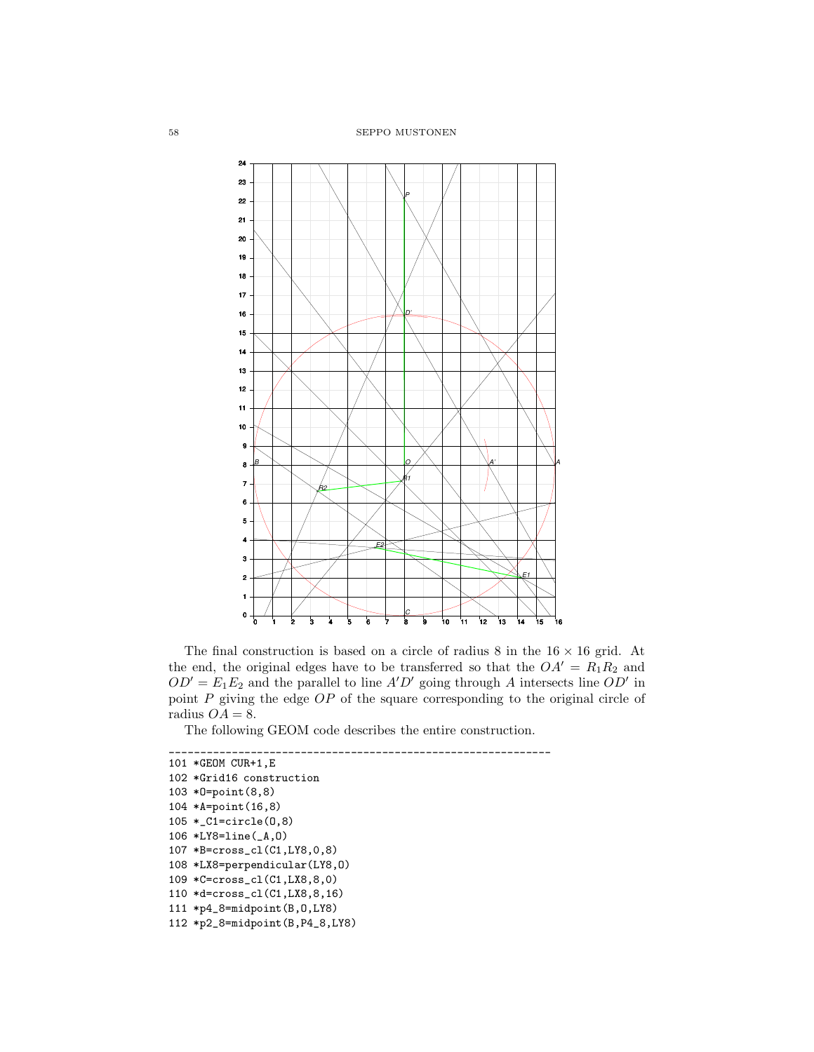

The final construction is based on a circle of radius 8 in the  $16 \times 16$  grid. At the end, the original edges have to be transferred so that the  $OA' = R_1R_2$  and  $OD' = E_1E_2$  and the parallel to line A'D' going through A intersects line  $OD'$  in point  $P$  giving the edge  $OP$  of the square corresponding to the original circle of radius  $OA = 8$ .

The following GEOM code describes the entire construction.

```
_____________________________________________________________
101 *GEOM CUR+1,E
102 *Grid16 construction
103 *O=point(8,8)
104 *A=point(16,8)
105 *_C1=circle(O,8)
106 *LY8=line(_A,O)
107 *B=cross_cl(C1,LY8,0,8)
108 *LX8=perpendicular(LY8,O)
109 *C=cross_cl(C1,LX8,8,0)
110 *d=cross_cl(C1,LX8,8,16)
111 *p4_8=midpoint(B,O,LY8)
112 *p2_8=midpoint(B,P4_8,LY8)
```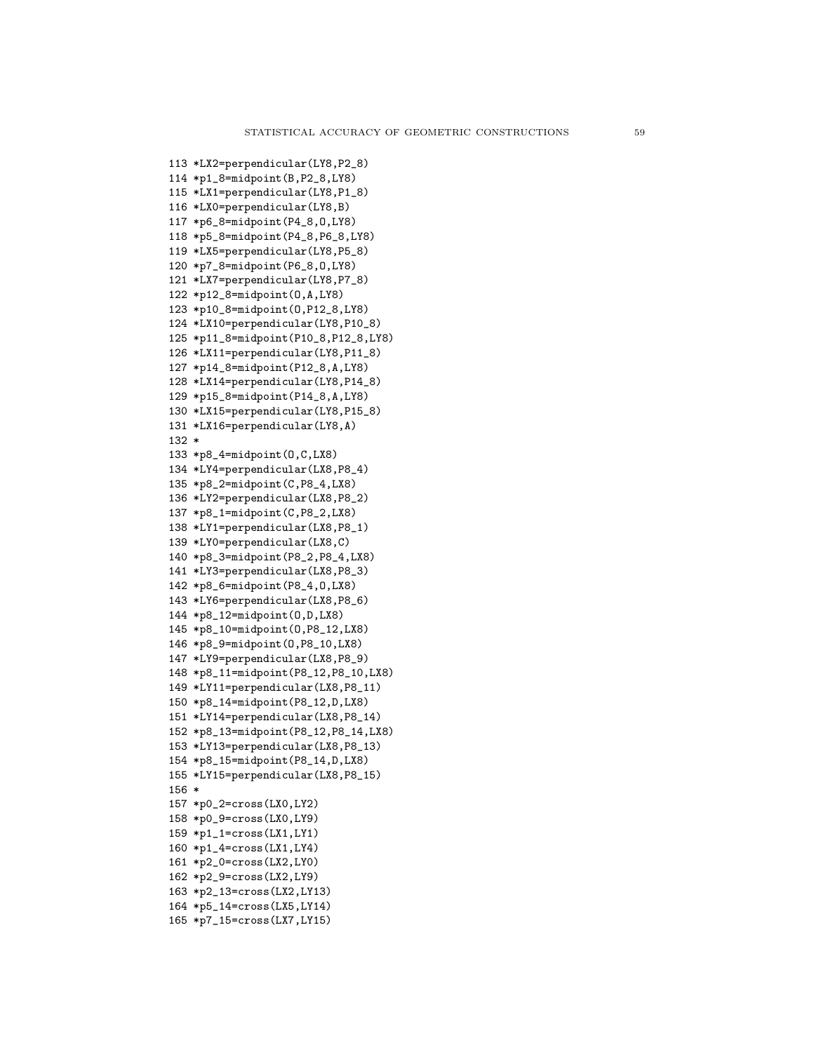113 \*LX2=perpendicular(LY8,P2\_8) 114 \*p1\_8=midpoint(B,P2\_8,LY8) 115 \*LX1=perpendicular(LY8,P1\_8) 116 \*LX0=perpendicular(LY8,B) 117 \*p6\_8=midpoint(P4\_8,O,LY8) 118 \*p5\_8=midpoint(P4\_8,P6\_8,LY8) 119 \*LX5=perpendicular(LY8,P5\_8) 120 \*p7\_8=midpoint(P6\_8,O,LY8) 121 \*LX7=perpendicular(LY8,P7\_8) 122 \*p12\_8=midpoint(O,A,LY8) 123 \*p10\_8=midpoint(O,P12\_8,LY8) 124 \*LX10=perpendicular(LY8,P10\_8) 125 \*p11\_8=midpoint(P10\_8,P12\_8,LY8) 126 \*LX11=perpendicular(LY8,P11\_8) 127 \*p14\_8=midpoint(P12\_8,A,LY8) 128 \*LX14=perpendicular(LY8,P14\_8) 129 \*p15\_8=midpoint(P14\_8,A,LY8) 130 \*LX15=perpendicular(LY8,P15\_8) 131 \*LX16=perpendicular(LY8,A) 132 \* 133 \*p8\_4=midpoint(O,C,LX8) 134 \*LY4=perpendicular(LX8,P8\_4) 135 \*p8\_2=midpoint(C,P8\_4,LX8) 136 \*LY2=perpendicular(LX8,P8\_2) 137 \*p8\_1=midpoint(C,P8\_2,LX8) 138 \*LY1=perpendicular(LX8,P8\_1) 139 \*LY0=perpendicular(LX8,C) 140 \*p8\_3=midpoint(P8\_2,P8\_4,LX8) 141 \*LY3=perpendicular(LX8,P8\_3) 142 \*p8\_6=midpoint(P8\_4,O,LX8) 143 \*LY6=perpendicular(LX8,P8\_6) 144 \*p8\_12=midpoint(O,D,LX8) 145 \*p8\_10=midpoint(O,P8\_12,LX8) 146 \*p8\_9=midpoint(O,P8\_10,LX8) 147 \*LY9=perpendicular(LX8,P8\_9) 148 \*p8\_11=midpoint(P8\_12,P8\_10,LX8) 149 \*LY11=perpendicular(LX8,P8\_11) 150 \*p8\_14=midpoint(P8\_12,D,LX8) 151 \*LY14=perpendicular(LX8,P8\_14) 152 \*p8\_13=midpoint(P8\_12,P8\_14,LX8) 153 \*LY13=perpendicular(LX8,P8\_13) 154 \*p8\_15=midpoint(P8\_14,D,LX8) 155 \*LY15=perpendicular(LX8,P8\_15) 156 \* 157 \*p0\_2=cross(LX0,LY2) 158 \*p0\_9=cross(LX0,LY9) 159 \*p1\_1=cross(LX1,LY1) 160 \*p1\_4=cross(LX1,LY4) 161 \*p2\_0=cross(LX2,LY0) 162 \*p2\_9=cross(LX2,LY9) 163 \*p2\_13=cross(LX2,LY13) 164 \*p5\_14=cross(LX5,LY14) 165 \*p7\_15=cross(LX7,LY15)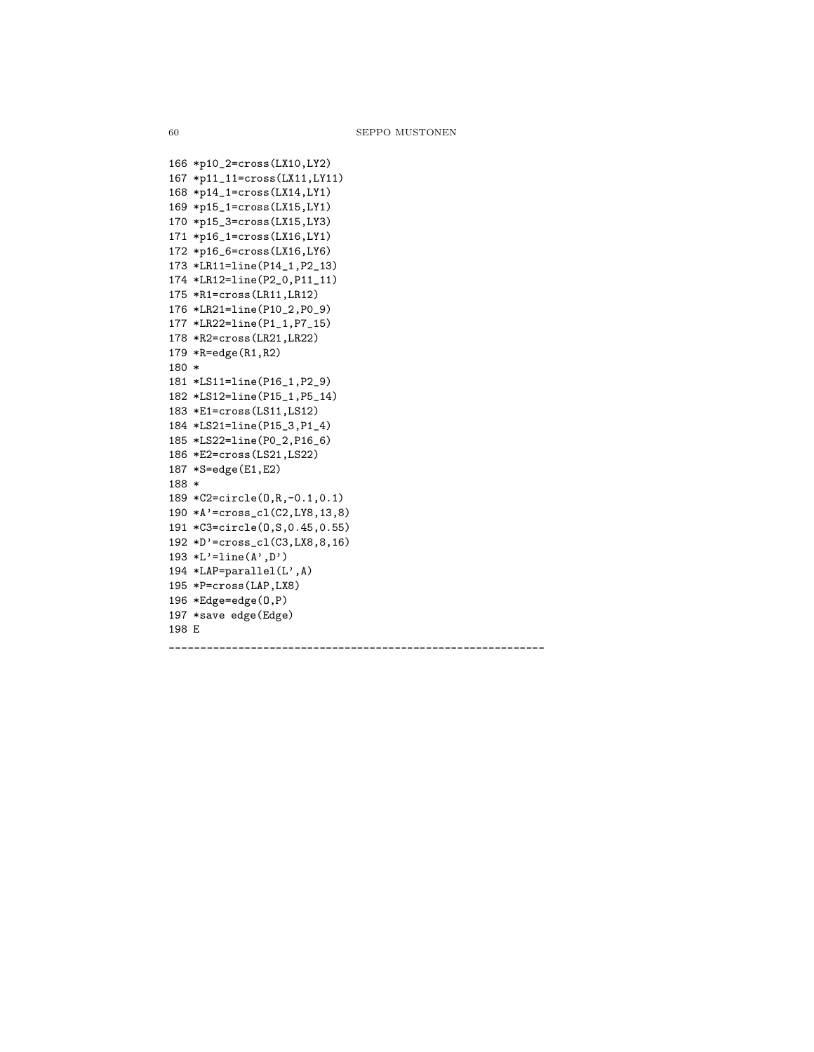```
166 *p10_2=cross(LX10,LY2)
167 *p11_11=cross(LX11,LY11)
168 *p14_1=cross(LX14,LY1)
169 *p15_1=cross(LX15,LY1)
170 *p15_3=cross(LX15,LY3)
171 *p16_1=cross(LX16,LY1)
172 *p16_6=cross(LX16,LY6)
173 *LR11=line(P14_1,P2_13)
174 *LR12=line(P2_0,P11_11)
175 *R1=cross(LR11,LR12)
176 *LR21=line(P10_2,P0_9)
177 *LR22=line(P1_1,P7_15)
178 *R2=cross(LR21,LR22)
179 *R=edge(R1,R2)
180 *
181 *LS11=line(P16_1,P2_9)
182 *LS12=line(P15_1,P5_14)
183 *E1=cross(LS11,LS12)
184 *LS21=line(P15_3,P1_4)
185 *LS22=line(P0_2,P16_6)
186 *E2=cross(LS21,LS22)
187 *S=edge(E1,E2)
188 *
189 *C2=circle(O,R,-0.1,0.1)
190 *A'=cross_cl(C2,LY8,13,8)
191 *C3=circle(O,S,0.45,0.55)
192 *D'=cross_cl(C3,LX8,8,16)
193 *L'=\text{line}(A', D')194 *LAP=parallel(L',A)
195 *P=cross(LAP,LX8)
196 *Edge=edge(O,P)
197 *save edge(Edge)
198 E
____________________________________________________________
```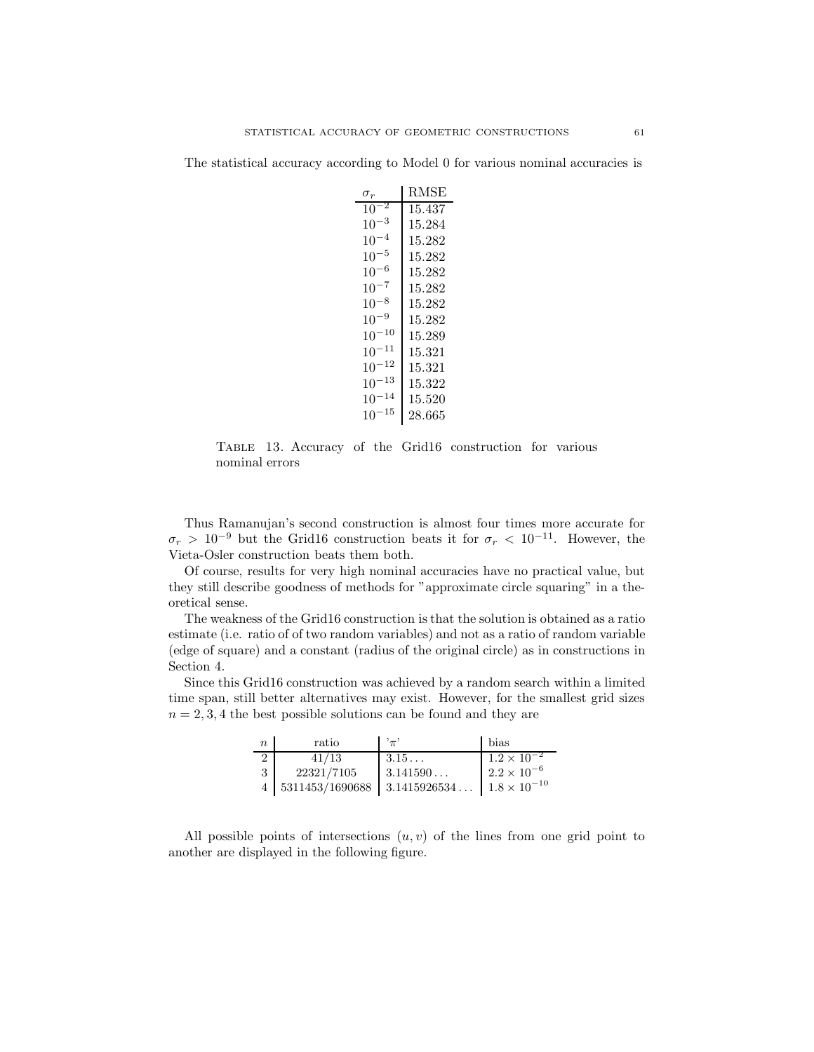The statistical accuracy according to Model 0 for various nominal accuracies is

| $\sigma_r$      | RMSE   |
|-----------------|--------|
| $\cdot$ 2<br>10 | 15.437 |
| -3<br>10        | 15.284 |
| 4<br>10         | 15.282 |
| $10^{-5}$       | 15.282 |
| -6<br>$10^{-}$  | 15.282 |
| $10^{-7}$       | 15.282 |
| 8<br>$10^{-}$   | 15.282 |
| $10^{-9}$       | 15.282 |
| $10^{-10}$      | 15.289 |
| $10^{-11}$      | 15.321 |
| 12<br>$10^{-}$  | 15.321 |
| $10^{-13}$      | 15.322 |
| $-14$<br>10     | 15.520 |
| $^{-15}$<br>10  | 28.665 |

Table 13. Accuracy of the Grid16 construction for various nominal errors

Thus Ramanujan's second construction is almost four times more accurate for  $\sigma_r > 10^{-9}$  but the Grid16 construction beats it for  $\sigma_r < 10^{-11}$ . However, the Vieta-Osler construction beats them both.

Of course, results for very high nominal accuracies have no practical value, but they still describe goodness of methods for "approximate circle squaring" in a theoretical sense.

The weakness of the Grid16 construction is that the solution is obtained as a ratio estimate (i.e. ratio of of two random variables) and not as a ratio of random variable (edge of square) and a constant (radius of the original circle) as in constructions in Section 4.

Since this Grid16 construction was achieved by a random search within a limited time span, still better alternatives may exist. However, for the smallest grid sizes  $n = 2, 3, 4$  the best possible solutions can be found and they are

| $\boldsymbol{n}$ | ratio                                      | $,^{\,},_{\pi}$ | bias                  |
|------------------|--------------------------------------------|-----------------|-----------------------|
| $\overline{2}$   | 41/13                                      | $3.15\dots$     | $1.2 \times 10^{-2}$  |
| 3                | 22321/7105                                 | 3.141590        | $2.2 \times 10^{-6}$  |
|                  | $4 \mid 5311453/1690688 \mid 3.1415926534$ |                 | $1.8 \times 10^{-10}$ |

All possible points of intersections  $(u, v)$  of the lines from one grid point to another are displayed in the following figure.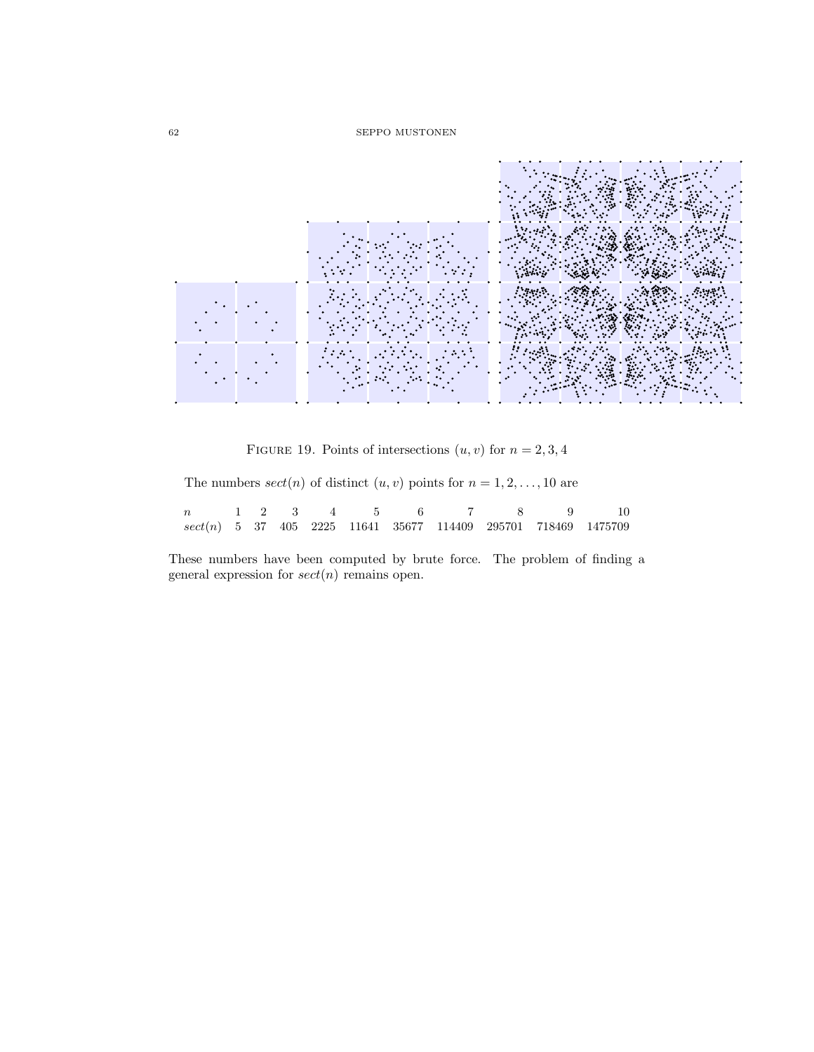

FIGURE 19. Points of intersections  $(u, v)$  for  $n = 2, 3, 4$ 

The numbers  $sect(n)$  of distinct  $(u, v)$  points for  $n = 1, 2, ..., 10$  are

|  |  |  |  |  | n 1 2 3 4 5 6 7 8 9 10                                           |
|--|--|--|--|--|------------------------------------------------------------------|
|  |  |  |  |  | $sect(n)$ 5 37 405 2225 11641 35677 114409 295701 718469 1475709 |

These numbers have been computed by brute force. The problem of finding a general expression for  $sect(n)$  remains open.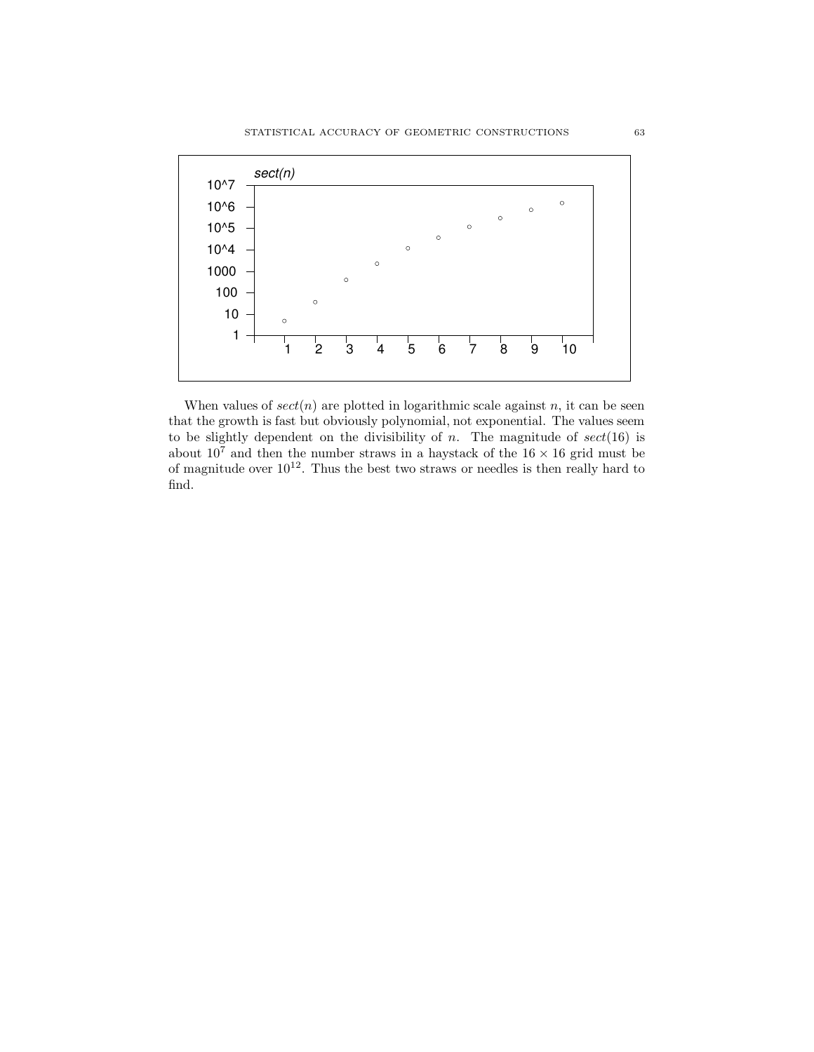

When values of  $sect(n)$  are plotted in logarithmic scale against n, it can be seen that the growth is fast but obviously polynomial, not exponential. The values seem to be slightly dependent on the divisibility of  $n$ . The magnitude of  $sect(16)$  is about  $10^7$  and then the number straws in a haystack of the  $16 \times 16$  grid must be of magnitude over  $10^{12}$ . Thus the best two straws or needles is then really hard to find.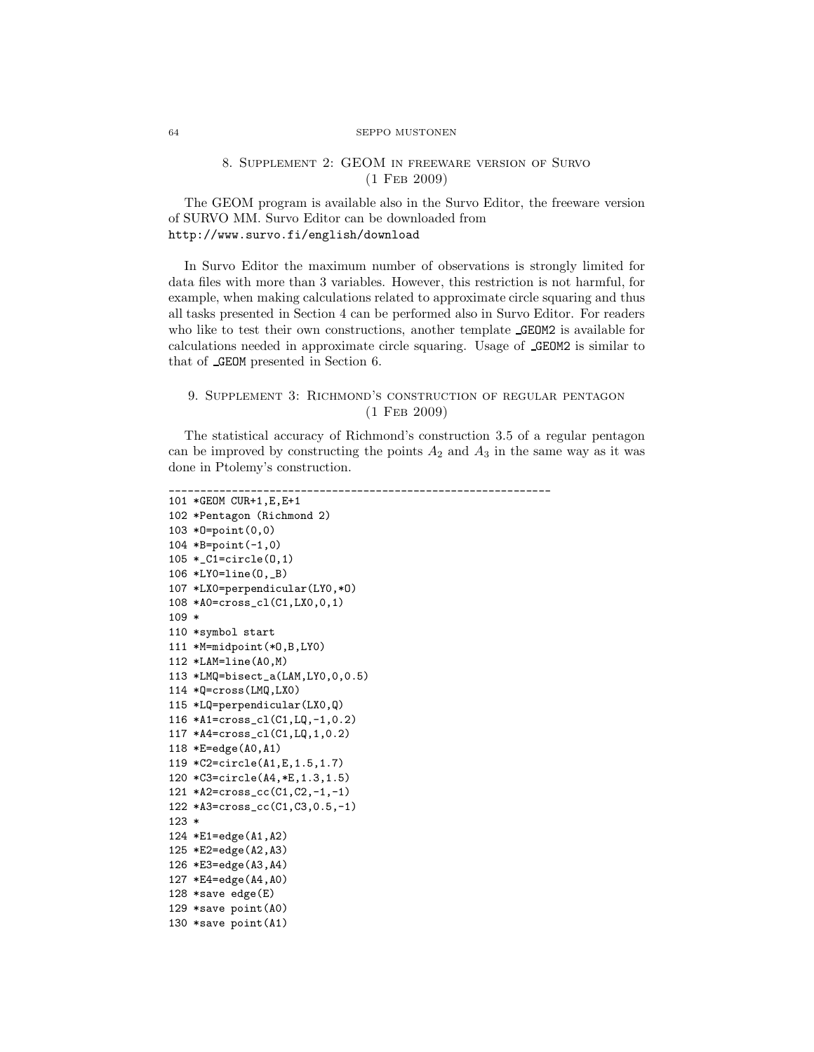## 8. Supplement 2: GEOM in freeware version of Survo (1 Feb 2009)

The GEOM program is available also in the Survo Editor, the freeware version of SURVO MM. Survo Editor can be downloaded from <http://www.survo.fi/english/download>

In Survo Editor the maximum number of observations is strongly limited for data files with more than 3 variables. However, this restriction is not harmful, for example, when making calculations related to approximate circle squaring and thus all tasks presented in Section 4 can be performed also in Survo Editor. For readers who like to test their own constructions, another template **GEOM2** is available for calculations needed in approximate circle squaring. Usage of GEOM2 is similar to that of GEOM presented in Section 6.

# 9. Supplement 3: Richmond's construction of regular pentagon (1 Feb 2009)

The statistical accuracy of Richmond's construction 3.5 of a regular pentagon can be improved by constructing the points  $A_2$  and  $A_3$  in the same way as it was done in Ptolemy's construction.

```
_____________________________________________________________
101 *GEOM CUR+1,E,E+1
102 *Pentagon (Richmond 2)
103 *O=point(0,0)
104 *B=point(-1,0)
105 *_C1=circle(O,1)
106 *LY0=line(O,_B)
107 *LX0=perpendicular(LY0,*O)
108 *A0=cross_cl(C1,LX0,0,1)
109 *
110 *symbol start
111 *M=midpoint(*O,B,LY0)
112 *LAM=line(A0,M)
113 *LMQ=bisect_a(LAM,LY0,0,0.5)
114 *Q=cross(LMQ,LX0)
115 *LQ=perpendicular(LX0,Q)
116 *A1=cross_cl(C1,LQ,-1,0.2)
117 *A4=cross_cl(C1,LQ,1,0.2)
118 *E=edge(A0,A1)
119 *C2=circle(A1,E,1.5,1.7)
120 *C3=circle(A4,*E,1.3,1.5)
121 *A2=cross_cc(C1,C2,-1,-1)
122 *A3=cross_cc(C1,C3,0.5,-1)
123 *
124 *E1=edge(A1,A2)
125 *E2=edge(A2,A3)
126 *E3=edge(A3,A4)
127 *E4=edge(A4,A0)
128 *save edge(E)
129 *save point(A0)
130 *save point(A1)
```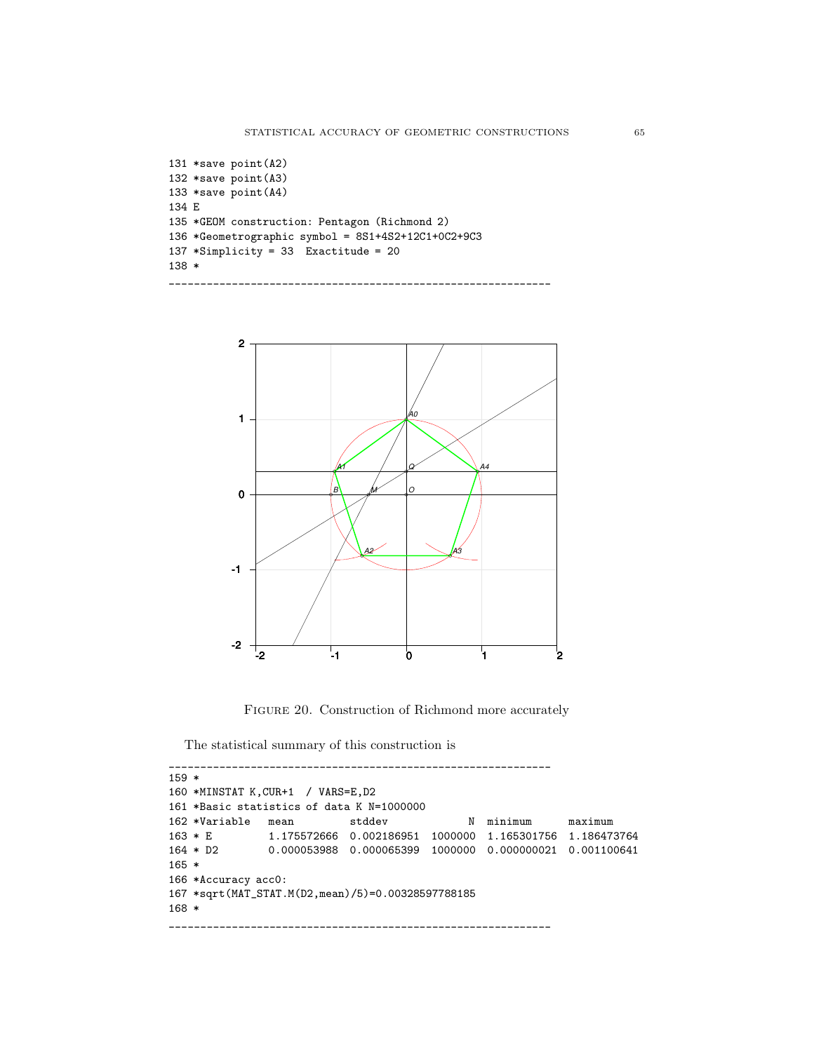```
131 *save point(A2)
132 *save point(A3)
133 *save point(A4)
134 E
135 *GEOM construction: Pentagon (Richmond 2)
136 *Geometrographic symbol = 8S1+4S2+12C1+0C2+9C3
137 *Simplicity = 33 Exactitude = 20
138 *
_____________________________________________________________
```


FIGURE 20. Construction of Richmond more accurately

The statistical summary of this construction is

```
_____________________________________________________________
159 *
160 *MINSTAT K,CUR+1 / VARS=E,D2
161 *Basic statistics of data K N=1000000
162 *Variable mean stddev N minimum maximum
163 * E 1.175572666 0.002186951 1000000 1.165301756 1.186473764
164 * D2 0.000053988 0.000065399 1000000 0.000000021 0.001100641
165 *
166 *Accuracy acc0:
167 *sqrt(MAT_STAT.M(D2,mean)/5)=0.00328597788185
168 *
_____________________________________________________________
```